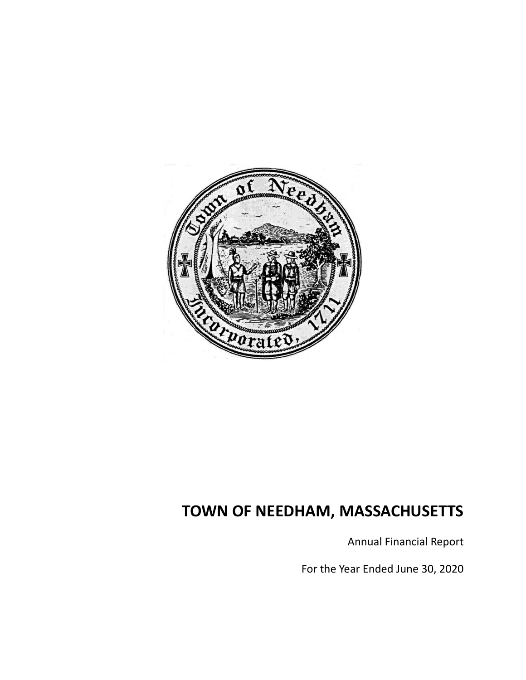

Annual Financial Report

For the Year Ended June 30, 2020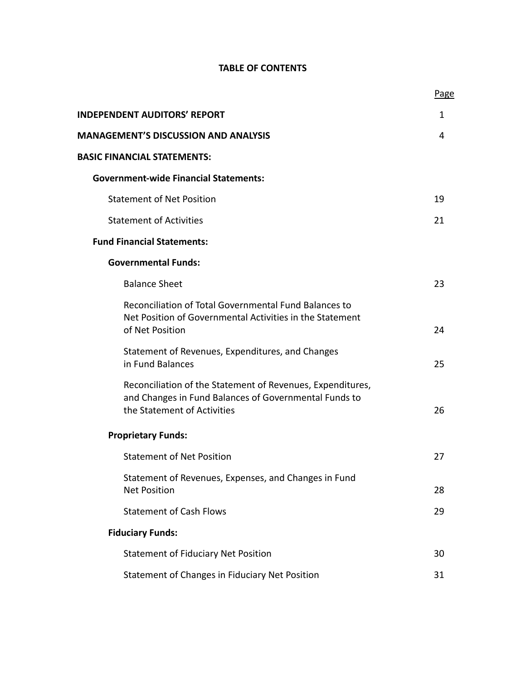# **TABLE OF CONTENTS**

|                                                                                                                                                    | Page |
|----------------------------------------------------------------------------------------------------------------------------------------------------|------|
| <b>INDEPENDENT AUDITORS' REPORT</b>                                                                                                                | 1    |
| <b>MANAGEMENT'S DISCUSSION AND ANALYSIS</b>                                                                                                        | 4    |
| <b>BASIC FINANCIAL STATEMENTS:</b>                                                                                                                 |      |
| <b>Government-wide Financial Statements:</b>                                                                                                       |      |
| <b>Statement of Net Position</b>                                                                                                                   | 19   |
| <b>Statement of Activities</b>                                                                                                                     | 21   |
| <b>Fund Financial Statements:</b>                                                                                                                  |      |
| <b>Governmental Funds:</b>                                                                                                                         |      |
| <b>Balance Sheet</b>                                                                                                                               | 23   |
| Reconciliation of Total Governmental Fund Balances to<br>Net Position of Governmental Activities in the Statement<br>of Net Position               | 24   |
| Statement of Revenues, Expenditures, and Changes<br>in Fund Balances                                                                               | 25   |
| Reconciliation of the Statement of Revenues, Expenditures,<br>and Changes in Fund Balances of Governmental Funds to<br>the Statement of Activities | 26   |
| <b>Proprietary Funds:</b>                                                                                                                          |      |
| <b>Statement of Net Position</b>                                                                                                                   | 27   |
| Statement of Revenues, Expenses, and Changes in Fund<br><b>Net Position</b>                                                                        | 28   |
| <b>Statement of Cash Flows</b>                                                                                                                     | 29   |
| <b>Fiduciary Funds:</b>                                                                                                                            |      |
| <b>Statement of Fiduciary Net Position</b>                                                                                                         | 30   |
| Statement of Changes in Fiduciary Net Position                                                                                                     | 31   |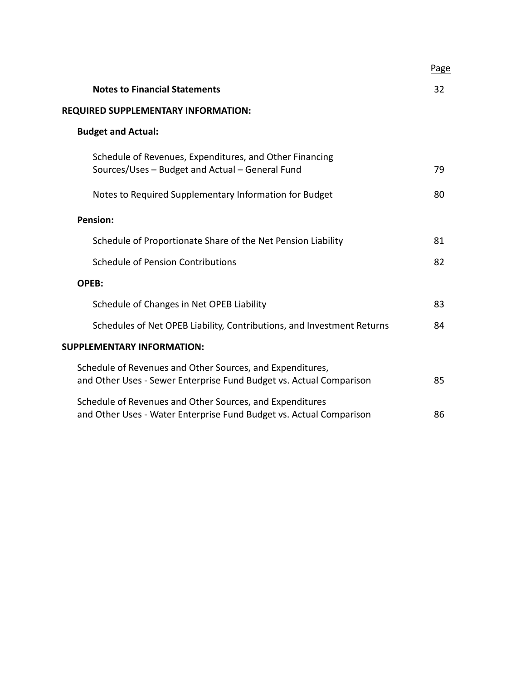|                                                                                                                                  | Page |
|----------------------------------------------------------------------------------------------------------------------------------|------|
| <b>Notes to Financial Statements</b>                                                                                             | 32   |
| REQUIRED SUPPLEMENTARY INFORMATION:                                                                                              |      |
| <b>Budget and Actual:</b>                                                                                                        |      |
| Schedule of Revenues, Expenditures, and Other Financing<br>Sources/Uses - Budget and Actual - General Fund                       | 79   |
| Notes to Required Supplementary Information for Budget                                                                           | 80   |
| <b>Pension:</b>                                                                                                                  |      |
| Schedule of Proportionate Share of the Net Pension Liability                                                                     | 81   |
| <b>Schedule of Pension Contributions</b>                                                                                         | 82   |
| OPEB:                                                                                                                            |      |
| Schedule of Changes in Net OPEB Liability                                                                                        | 83   |
| Schedules of Net OPEB Liability, Contributions, and Investment Returns                                                           | 84   |
| <b>SUPPLEMENTARY INFORMATION:</b>                                                                                                |      |
| Schedule of Revenues and Other Sources, and Expenditures,<br>and Other Uses - Sewer Enterprise Fund Budget vs. Actual Comparison | 85   |
| Schedule of Revenues and Other Sources, and Expenditures<br>and Other Uses - Water Enterprise Fund Budget vs. Actual Comparison  | 86   |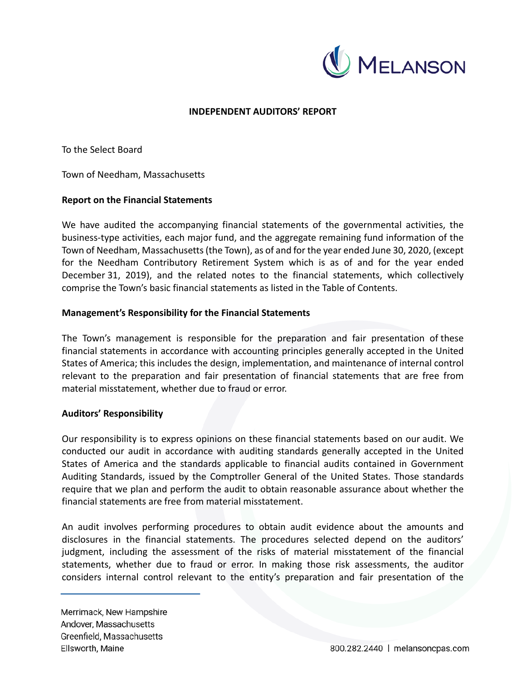

# **INDEPENDENT AUDITORS' REPORT**

To the Select Board

Town of Needham, Massachusetts

## **Report on the Financial Statements**

We have audited the accompanying financial statements of the governmental activities, the business‐type activities, each major fund, and the aggregate remaining fund information of the Town of Needham, Massachusetts (the Town), as of and for the year ended June 30, 2020, (except for the Needham Contributory Retirement System which is as of and for the year ended December 31, 2019), and the related notes to the financial statements, which collectively comprise the Town's basic financial statements as listed in the Table of Contents.

## **Management's Responsibility for the Financial Statements**

The Town's management is responsible for the preparation and fair presentation of these financial statements in accordance with accounting principles generally accepted in the United States of America; this includes the design, implementation, and maintenance of internal control relevant to the preparation and fair presentation of financial statements that are free from material misstatement, whether due to fraud or error.

## **Auditors' Responsibility**

Our responsibility is to express opinions on these financial statements based on our audit. We conducted our audit in accordance with auditing standards generally accepted in the United States of America and the standards applicable to financial audits contained in Government Auditing Standards, issued by the Comptroller General of the United States. Those standards require that we plan and perform the audit to obtain reasonable assurance about whether the financial statements are free from material misstatement.

An audit involves performing procedures to obtain audit evidence about the amounts and disclosures in the financial statements. The procedures selected depend on the auditors' judgment, including the assessment of the risks of material misstatement of the financial statements, whether due to fraud or error. In making those risk assessments, the auditor considers internal control relevant to the entity's preparation and fair presentation of the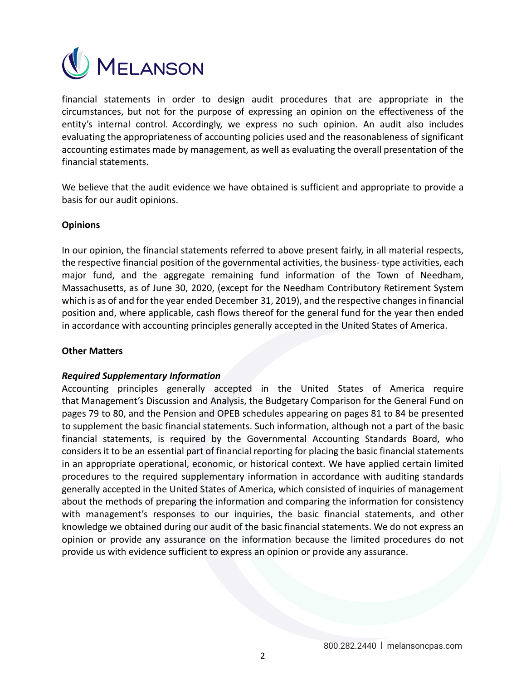

financial statements in order to design audit procedures that are appropriate in the circumstances, but not for the purpose of expressing an opinion on the effectiveness of the entity's internal control. Accordingly, we express no such opinion. An audit also includes evaluating the appropriateness of accounting policies used and the reasonableness of significant accounting estimates made by management, as well as evaluating the overall presentation of the financial statements.

We believe that the audit evidence we have obtained is sufficient and appropriate to provide a basis for our audit opinions.

# **Opinions**

In our opinion, the financial statements referred to above present fairly, in all material respects, the respective financial position of the governmental activities, the business-type activities, each major fund, and the aggregate remaining fund information of the Town of Needham, Massachusetts, as of June 30, 2020, (except for the Needham Contributory Retirement System which is as of and for the year ended December 31, 2019), and the respective changes in financial position and, where applicable, cash flows thereof for the general fund for the year then ended in accordance with accounting principles generally accepted in the United States of America.

## **Other Matters**

## *Required Supplementary Information*

Accounting principles generally accepted in the United States of America require that Management's Discussion and Analysis, the Budgetary Comparison for the General Fund on pages 79 to 80, and the Pension and OPEB schedules appearing on pages 81 to 84 be presented to supplement the basic financial statements. Such information, although not a part of the basic financial statements, is required by the Governmental Accounting Standards Board, who considers it to be an essential part of financial reporting for placing the basic financial statements in an appropriate operational, economic, or historical context. We have applied certain limited procedures to the required supplementary information in accordance with auditing standards generally accepted in the United States of America, which consisted of inquiries of management about the methods of preparing the information and comparing the information for consistency with management's responses to our inquiries, the basic financial statements, and other knowledge we obtained during our audit of the basic financial statements. We do not express an opinion or provide any assurance on the information because the limited procedures do not provide us with evidence sufficient to express an opinion or provide any assurance.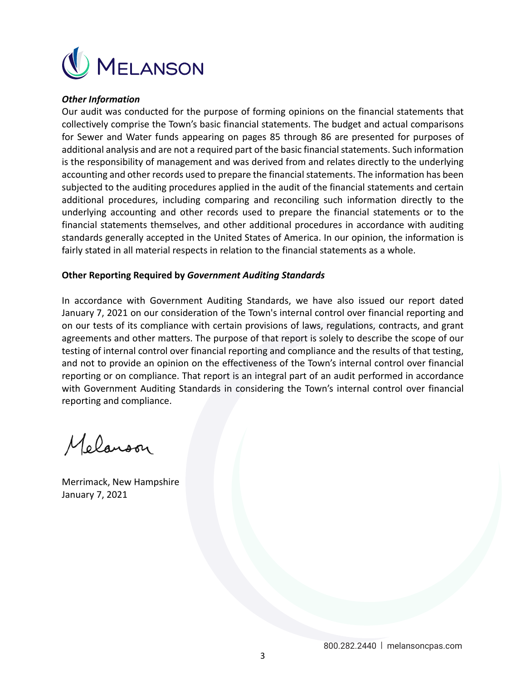

## *Other Information*

Our audit was conducted for the purpose of forming opinions on the financial statements that collectively comprise the Town's basic financial statements. The budget and actual comparisons for Sewer and Water funds appearing on pages 85 through 86 are presented for purposes of additional analysis and are not a required part of the basic financial statements. Such information is the responsibility of management and was derived from and relates directly to the underlying accounting and other records used to prepare the financial statements. The information has been subjected to the auditing procedures applied in the audit of the financial statements and certain additional procedures, including comparing and reconciling such information directly to the underlying accounting and other records used to prepare the financial statements or to the financial statements themselves, and other additional procedures in accordance with auditing standards generally accepted in the United States of America. In our opinion, the information is fairly stated in all material respects in relation to the financial statements as a whole.

# **Other Reporting Required by** *Government Auditing Standards*

In accordance with Government Auditing Standards, we have also issued our report dated January 7, 2021 on our consideration of the Town's internal control over financial reporting and on our tests of its compliance with certain provisions of laws, regulations, contracts, and grant agreements and other matters. The purpose of that report is solely to describe the scope of our testing of internal control over financial reporting and compliance and the results of that testing, and not to provide an opinion on the effectiveness of the Town's internal control over financial reporting or on compliance. That report is an integral part of an audit performed in accordance with Government Auditing Standards in considering the Town's internal control over financial reporting and compliance.

Melanson

Merrimack, New Hampshire January 7, 2021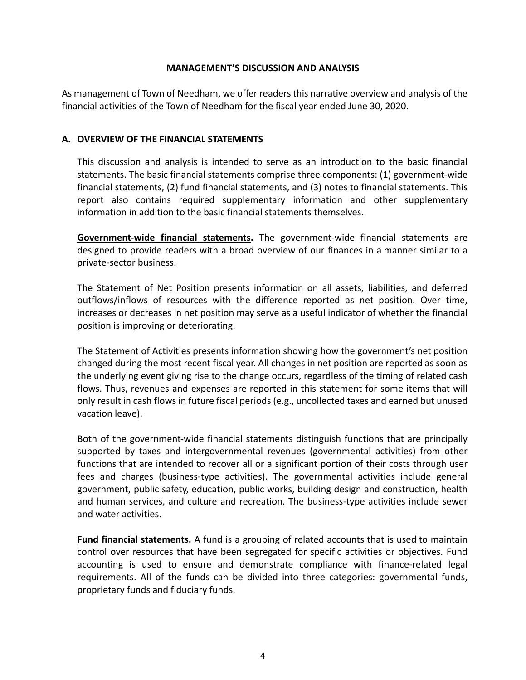# **MANAGEMENT'S DISCUSSION AND ANALYSIS**

As management of Town of Needham, we offer readers this narrative overview and analysis of the financial activities of the Town of Needham for the fiscal year ended June 30, 2020.

# **A. OVERVIEW OF THE FINANCIAL STATEMENTS**

This discussion and analysis is intended to serve as an introduction to the basic financial statements. The basic financial statements comprise three components: (1) government‐wide financial statements, (2) fund financial statements, and (3) notes to financial statements. This report also contains required supplementary information and other supplementary information in addition to the basic financial statements themselves.

**Government‐wide financial statements.**  The government‐wide financial statements are designed to provide readers with a broad overview of our finances in a manner similar to a private‐sector business.

The Statement of Net Position presents information on all assets, liabilities, and deferred outflows/inflows of resources with the difference reported as net position. Over time, increases or decreases in net position may serve as a useful indicator of whether the financial position is improving or deteriorating.

The Statement of Activities presents information showing how the government's net position changed during the most recent fiscal year. All changes in net position are reported as soon as the underlying event giving rise to the change occurs, regardless of the timing of related cash flows. Thus, revenues and expenses are reported in this statement for some items that will only result in cash flows in future fiscal periods (e.g., uncollected taxes and earned but unused vacation leave).

Both of the government‐wide financial statements distinguish functions that are principally supported by taxes and intergovernmental revenues (governmental activities) from other functions that are intended to recover all or a significant portion of their costs through user fees and charges (business-type activities). The governmental activities include general government, public safety, education, public works, building design and construction, health and human services, and culture and recreation. The business-type activities include sewer and water activities.

**Fund financial statements.** A fund is a grouping of related accounts that is used to maintain control over resources that have been segregated for specific activities or objectives. Fund accounting is used to ensure and demonstrate compliance with finance-related legal requirements. All of the funds can be divided into three categories: governmental funds, proprietary funds and fiduciary funds.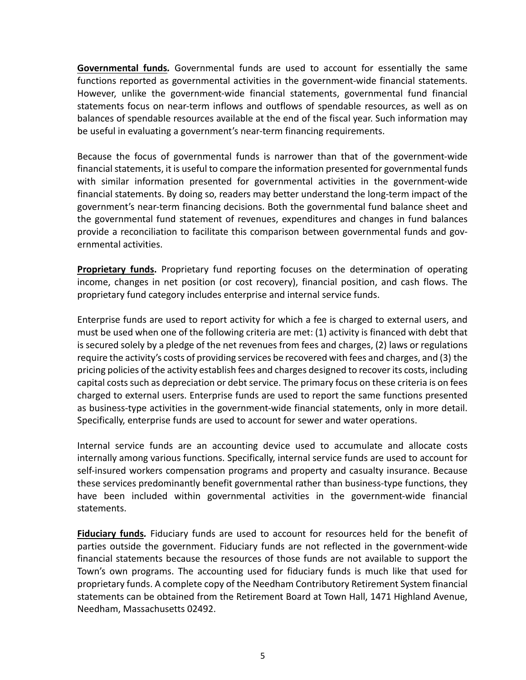**Governmental funds***.*  Governmental funds are used to account for essentially the same functions reported as governmental activities in the government-wide financial statements. However, unlike the government-wide financial statements, governmental fund financial statements focus on near-term inflows and outflows of spendable resources, as well as on balances of spendable resources available at the end of the fiscal year. Such information may be useful in evaluating a government's near-term financing requirements.

Because the focus of governmental funds is narrower than that of the government‐wide financial statements, it is useful to compare the information presented for governmental funds with similar information presented for governmental activities in the government-wide financial statements. By doing so, readers may better understand the long‐term impact of the government's near‐term financing decisions. Both the governmental fund balance sheet and the governmental fund statement of revenues, expenditures and changes in fund balances provide a reconciliation to facilitate this comparison between governmental funds and governmental activities.

**Proprietary funds.** Proprietary fund reporting focuses on the determination of operating income, changes in net position (or cost recovery), financial position, and cash flows. The proprietary fund category includes enterprise and internal service funds.

Enterprise funds are used to report activity for which a fee is charged to external users, and must be used when one of the following criteria are met: (1) activity is financed with debt that is secured solely by a pledge of the net revenues from fees and charges, (2) laws or regulations require the activity's costs of providing services be recovered with fees and charges, and (3) the pricing policies of the activity establish fees and charges designed to recover its costs, including capital costs such as depreciation or debt service. The primary focus on these criteria is on fees charged to external users. Enterprise funds are used to report the same functions presented as business‐type activities in the government‐wide financial statements, only in more detail. Specifically, enterprise funds are used to account for sewer and water operations.

Internal service funds are an accounting device used to accumulate and allocate costs internally among various functions. Specifically, internal service funds are used to account for self-insured workers compensation programs and property and casualty insurance. Because these services predominantly benefit governmental rather than business‐type functions, they have been included within governmental activities in the government-wide financial statements.

**Fiduciary funds***.*  Fiduciary funds are used to account for resources held for the benefit of parties outside the government. Fiduciary funds are not reflected in the government‐wide financial statements because the resources of those funds are not available to support the Town's own programs. The accounting used for fiduciary funds is much like that used for proprietary funds. A complete copy of the Needham Contributory Retirement System financial statements can be obtained from the Retirement Board at Town Hall, 1471 Highland Avenue, Needham, Massachusetts 02492.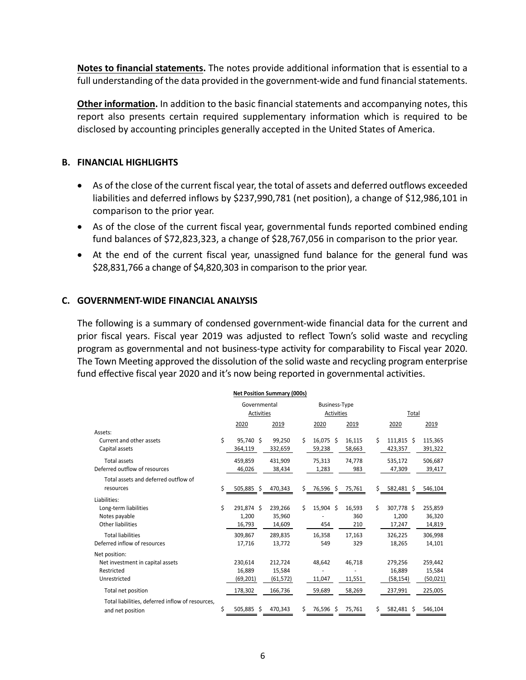**Notes to financial statements.** The notes provide additional information that is essential to a full understanding of the data provided in the government-wide and fund financial statements.

**Other information.** In addition to the basic financial statements and accompanying notes, this report also presents certain required supplementary information which is required to be disclosed by accounting principles generally accepted in the United States of America.

# **B. FINANCIAL HIGHLIGHTS**

- As of the close of the current fiscal year, the total of assets and deferred outflows exceeded liabilities and deferred inflows by \$237,990,781 (net position), a change of \$12,986,101 in comparison to the prior year.
- As of the close of the current fiscal year, governmental funds reported combined ending fund balances of \$72,823,323, a change of \$28,767,056 in comparison to the prior year.
- At the end of the current fiscal year, unassigned fund balance for the general fund was \$28,831,766 a change of \$4,820,303 in comparison to the prior year.

# **C. GOVERNMENT‐WIDE FINANCIAL ANALYSIS**

The following is a summary of condensed government‐wide financial data for the current and prior fiscal years. Fiscal year 2019 was adjusted to reflect Town's solid waste and recycling program as governmental and not business‐type activity for comparability to Fiscal year 2020. The Town Meeting approved the dissolution of the solid waste and recycling program enterprise fund effective fiscal year 2020 and it's now being reported in governmental activities.

|                                                  |    | <b>Net Position Summary (000s)</b> |           |    |                      |        |    |            |           |
|--------------------------------------------------|----|------------------------------------|-----------|----|----------------------|--------|----|------------|-----------|
|                                                  |    | Governmental                       |           |    | <b>Business-Type</b> |        |    |            |           |
|                                                  |    | Activities                         |           |    | Activities           |        |    | Total      |           |
|                                                  |    | 2020                               | 2019      |    | 2020                 | 2019   |    | 2020       | 2019      |
| Assets:                                          |    |                                    |           |    |                      |        |    |            |           |
| Current and other assets                         | \$ | 95,740 \$                          | 99,250    | Ś. | 16,075 \$            | 16,115 | Ś. | 111,815 \$ | 115,365   |
| Capital assets                                   |    | 364,119                            | 332,659   |    | 59,238               | 58,663 |    | 423,357    | 391,322   |
| <b>Total assets</b>                              |    | 459,859                            | 431,909   |    | 75,313               | 74,778 |    | 535,172    | 506,687   |
| Deferred outflow of resources                    |    | 46,026                             | 38,434    |    | 1,283                | 983    |    | 47,309     | 39,417    |
| Total assets and deferred outflow of             |    |                                    |           |    |                      |        |    |            |           |
| resources                                        | Ś  | 505,885 \$                         | 470,343   | \$ | 76,596 \$ 75,761     |        | \$ | 582,481 \$ | 546,104   |
| Liabilities:                                     |    |                                    |           |    |                      |        |    |            |           |
| Long-term liabilities                            | \$ | 291.874 \$                         | 239,266   | \$ | 15,904 \$            | 16,593 | Ś. | 307,778 \$ | 255,859   |
| Notes payable                                    |    | 1,200                              | 35,960    |    |                      | 360    |    | 1,200      | 36,320    |
| Other liabilities                                |    | 16,793                             | 14,609    |    | 454                  | 210    |    | 17,247     | 14,819    |
| <b>Total liabilities</b>                         |    | 309,867                            | 289,835   |    | 16,358               | 17,163 |    | 326,225    | 306,998   |
| Deferred inflow of resources                     |    | 17,716                             | 13,772    |    | 549                  | 329    |    | 18,265     | 14,101    |
| Net position:                                    |    |                                    |           |    |                      |        |    |            |           |
| Net investment in capital assets                 |    | 230,614                            | 212,724   |    | 48,642               | 46,718 |    | 279,256    | 259,442   |
| Restricted                                       |    | 16,889                             | 15,584    |    |                      |        |    | 16,889     | 15,584    |
| Unrestricted                                     |    | (69, 201)                          | (61, 572) |    | 11,047               | 11,551 |    | (58, 154)  | (50, 021) |
| Total net position                               |    | 178,302                            | 166,736   |    | 59,689               | 58,269 |    | 237,991    | 225,005   |
| Total liabilities, deferred inflow of resources, |    |                                    |           |    |                      |        |    |            |           |
| and net position                                 | \$ | 505,885<br>-S                      | 470,343   | Ś. | 76,596 \$            | 75,761 | \$ | 582,481 \$ | 546,104   |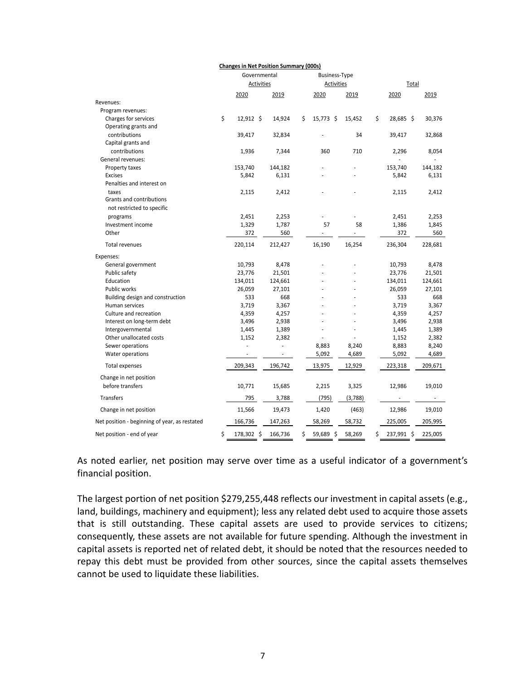|                                               | <b>Changes in Net Position Summary (000s)</b> |         |    |                      |         |    |            |  |         |
|-----------------------------------------------|-----------------------------------------------|---------|----|----------------------|---------|----|------------|--|---------|
|                                               | Governmental                                  |         |    | <b>Business-Type</b> |         |    |            |  |         |
|                                               | Activities                                    |         |    | Activities           |         |    | Total      |  |         |
|                                               | 2020                                          | 2019    |    | 2020                 | 2019    |    | 2020       |  | 2019    |
| Revenues:                                     |                                               |         |    |                      |         |    |            |  |         |
| Program revenues:                             |                                               |         |    |                      |         |    |            |  |         |
| Charges for services                          | \$<br>12,912 \$                               | 14,924  | \$ | $15,773$ \$          | 15,452  | \$ | 28,685 \$  |  | 30,376  |
| Operating grants and                          |                                               |         |    |                      |         |    |            |  |         |
| contributions                                 | 39,417                                        | 32,834  |    |                      | 34      |    | 39,417     |  | 32,868  |
| Capital grants and                            |                                               |         |    |                      |         |    |            |  |         |
| contributions                                 | 1,936                                         | 7,344   |    | 360                  | 710     |    | 2,296      |  | 8,054   |
| General revenues:                             |                                               |         |    |                      |         |    |            |  |         |
| Property taxes                                | 153,740                                       | 144,182 |    |                      |         |    | 153,740    |  | 144,182 |
| <b>Excises</b>                                | 5,842                                         | 6,131   |    |                      |         |    | 5,842      |  | 6,131   |
| Penalties and interest on                     |                                               |         |    |                      |         |    |            |  |         |
| taxes                                         | 2,115                                         | 2,412   |    |                      |         |    | 2,115      |  | 2,412   |
| Grants and contributions                      |                                               |         |    |                      |         |    |            |  |         |
| not restricted to specific                    |                                               |         |    |                      |         |    |            |  |         |
| programs                                      | 2,451                                         | 2,253   |    |                      |         |    | 2,451      |  | 2,253   |
| Investment income                             | 1,329                                         | 1,787   |    | 57                   | 58      |    | 1,386      |  | 1,845   |
| Other                                         | 372                                           | 560     |    |                      |         |    | 372        |  | 560     |
| <b>Total revenues</b>                         | 220,114                                       | 212,427 |    | 16,190               | 16,254  |    | 236,304    |  | 228,681 |
| Expenses:                                     |                                               |         |    |                      |         |    |            |  |         |
| General government                            | 10,793                                        | 8,478   |    |                      |         |    | 10,793     |  | 8,478   |
| Public safety                                 | 23,776                                        | 21,501  |    |                      |         |    | 23,776     |  | 21,501  |
| Education                                     | 134,011                                       | 124,661 |    |                      |         |    | 134,011    |  | 124,661 |
| Public works                                  | 26,059                                        | 27,101  |    |                      |         |    | 26,059     |  | 27,101  |
| Building design and construction              | 533                                           | 668     |    |                      |         |    | 533        |  | 668     |
| Human services                                | 3,719                                         | 3,367   |    |                      |         |    | 3,719      |  | 3,367   |
| Culture and recreation                        | 4,359                                         | 4,257   |    |                      |         |    | 4,359      |  | 4,257   |
| Interest on long-term debt                    | 3,496                                         | 2,938   |    |                      |         |    | 3,496      |  | 2,938   |
| Intergovernmental                             | 1,445                                         | 1,389   |    |                      |         |    | 1,445      |  | 1,389   |
| Other unallocated costs                       | 1,152                                         | 2,382   |    |                      |         |    | 1,152      |  | 2,382   |
| Sewer operations                              | ÷,                                            | ÷,      |    | 8,883                | 8,240   |    | 8,883      |  | 8,240   |
| Water operations                              |                                               |         |    | 5,092                | 4,689   |    | 5,092      |  | 4,689   |
| <b>Total expenses</b>                         | 209,343                                       | 196,742 |    | 13,975               | 12,929  |    | 223,318    |  | 209,671 |
| Change in net position                        |                                               |         |    |                      |         |    |            |  |         |
| before transfers                              | 10,771                                        | 15,685  |    | 2,215                | 3,325   |    | 12,986     |  | 19,010  |
| <b>Transfers</b>                              | 795                                           | 3,788   |    | (795)                | (3,788) |    |            |  |         |
| Change in net position                        | 11,566                                        | 19,473  |    | 1,420                | (463)   |    | 12,986     |  | 19,010  |
| Net position - beginning of year, as restated | 166,736                                       | 147,263 |    | 58,269               | 58,732  |    | 225,005    |  | 205,995 |
| Net position - end of year                    | \$<br>178,302 \$                              | 166,736 | Ś  | 59,689 \$            | 58,269  | \$ | 237,991 \$ |  | 225,005 |

As noted earlier, net position may serve over time as a useful indicator of a government's financial position.

The largest portion of net position \$279,255,448 reflects our investment in capital assets (e.g., land, buildings, machinery and equipment); less any related debt used to acquire those assets that is still outstanding. These capital assets are used to provide services to citizens; consequently, these assets are not available for future spending. Although the investment in capital assets is reported net of related debt, it should be noted that the resources needed to repay this debt must be provided from other sources, since the capital assets themselves cannot be used to liquidate these liabilities.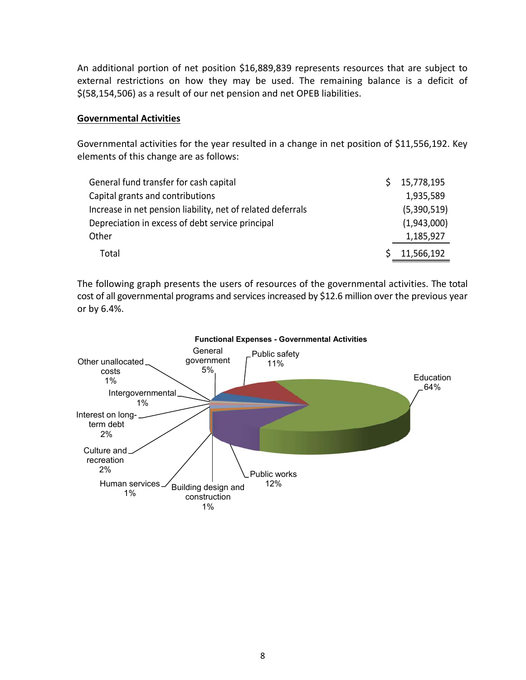An additional portion of net position \$16,889,839 represents resources that are subject to external restrictions on how they may be used. The remaining balance is a deficit of \$(58,154,506) as a result of our net pension and net OPEB liabilities.

# **Governmental Activities**

Governmental activities for the year resulted in a change in net position of \$11,556,192. Key elements of this change are as follows:

| General fund transfer for cash capital                      | 15,778,195  |
|-------------------------------------------------------------|-------------|
| Capital grants and contributions                            | 1,935,589   |
| Increase in net pension liability, net of related deferrals | (5,390,519) |
| Depreciation in excess of debt service principal            | (1,943,000) |
| Other                                                       | 1,185,927   |
| Total                                                       | 11,566,192  |

The following graph presents the users of resources of the governmental activities. The total cost of all governmental programs and services increased by \$12.6 million over the previous year or by 6.4%.



## **Functional Expenses - Governmental Activities**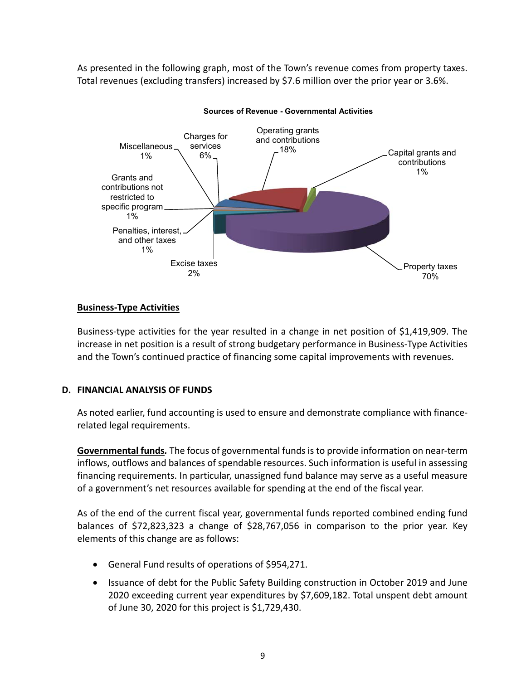As presented in the following graph, most of the Town's revenue comes from property taxes. Total revenues (excluding transfers) increased by \$7.6 million over the prior year or 3.6%.



**Sources of Revenue - Governmental Activities**

# **Business‐Type Activities**

Business‐type activities for the year resulted in a change in net position of \$1,419,909. The increase in net position is a result of strong budgetary performance in Business‐Type Activities and the Town's continued practice of financing some capital improvements with revenues.

# **D. FINANCIAL ANALYSIS OF FUNDS**

As noted earlier, fund accounting is used to ensure and demonstrate compliance with finance‐ related legal requirements.

**Governmental funds***.* The focus of governmental funds is to provide information on near‐term inflows, outflows and balances of spendable resources. Such information is useful in assessing financing requirements. In particular, unassigned fund balance may serve as a useful measure of a government's net resources available for spending at the end of the fiscal year.

As of the end of the current fiscal year, governmental funds reported combined ending fund balances of \$72,823,323 a change of \$28,767,056 in comparison to the prior year. Key elements of this change are as follows:

- General Fund results of operations of \$954,271.
- Issuance of debt for the Public Safety Building construction in October 2019 and June 2020 exceeding current year expenditures by \$7,609,182. Total unspent debt amount of June 30, 2020 for this project is \$1,729,430.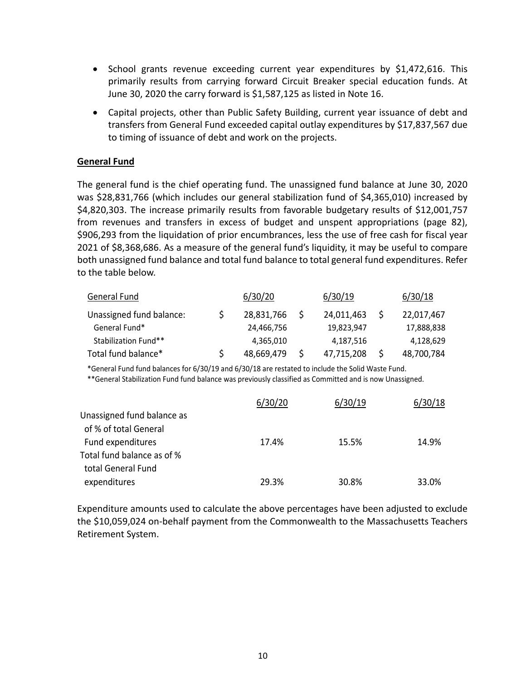- School grants revenue exceeding current year expenditures by \$1,472,616. This primarily results from carrying forward Circuit Breaker special education funds. At June 30, 2020 the carry forward is \$1,587,125 as listed in Note 16.
- Capital projects, other than Public Safety Building, current year issuance of debt and transfers from General Fund exceeded capital outlay expenditures by \$17,837,567 due to timing of issuance of debt and work on the projects.

# **General Fund**

The general fund is the chief operating fund. The unassigned fund balance at June 30, 2020 was \$28,831,766 (which includes our general stabilization fund of \$4,365,010) increased by \$4,820,303. The increase primarily results from favorable budgetary results of \$12,001,757 from revenues and transfers in excess of budget and unspent appropriations (page 82), \$906,293 from the liquidation of prior encumbrances, less the use of free cash for fiscal year 2021 of \$8,368,686. As a measure of the general fund's liquidity, it may be useful to compare both unassigned fund balance and total fund balance to total general fund expenditures. Refer to the table below.

| General Fund             | 6/30/20    | 6/30/19    | 6/30/18    |
|--------------------------|------------|------------|------------|
| Unassigned fund balance: | 28,831,766 | 24,011,463 | 22,017,467 |
| General Fund*            | 24,466,756 | 19.823.947 | 17,888,838 |
| Stabilization Fund**     | 4,365,010  | 4,187,516  | 4,128,629  |
| Total fund balance*      | 48,669,479 | 47,715,208 | 48,700,784 |

\*General Fund fund balances for 6/30/19 and 6/30/18 are restated to include the Solid Waste Fund.

\*\*General Stabilization Fund fund balance was previously classified as Committed and is now Unassigned.

|                            | 6/30/20 | 6/30/19 | 6/30/18 |
|----------------------------|---------|---------|---------|
| Unassigned fund balance as |         |         |         |
| of % of total General      |         |         |         |
| Fund expenditures          | 17.4%   | 15.5%   | 14.9%   |
| Total fund balance as of % |         |         |         |
| total General Fund         |         |         |         |
| expenditures               | 29.3%   | 30.8%   | 33.0%   |

Expenditure amounts used to calculate the above percentages have been adjusted to exclude the \$10,059,024 on‐behalf payment from the Commonwealth to the Massachusetts Teachers Retirement System.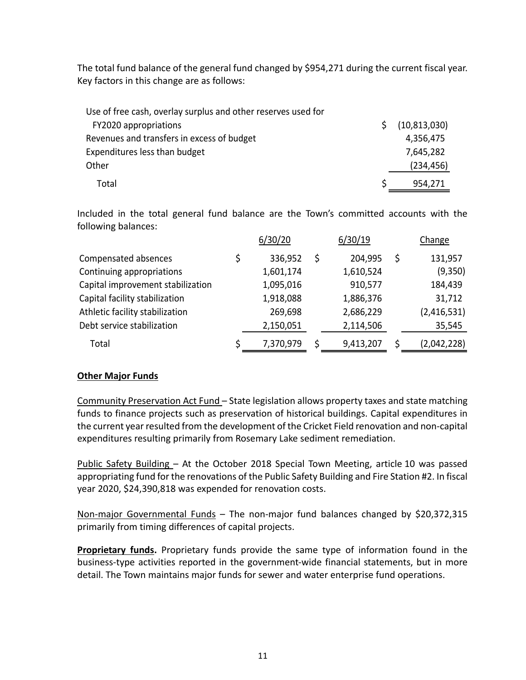The total fund balance of the general fund changed by \$954,271 during the current fiscal year. Key factors in this change are as follows:

| Use of free cash, overlay surplus and other reserves used for |                |
|---------------------------------------------------------------|----------------|
| FY2020 appropriations                                         | (10, 813, 030) |
| Revenues and transfers in excess of budget                    | 4,356,475      |
| Expenditures less than budget                                 | 7,645,282      |
| Other                                                         | (234, 456)     |
| Total                                                         | 954,271        |

Included in the total general fund balance are the Town's committed accounts with the following balances:

|                                   | 6/30/20   |    | 6/30/19   | Change      |
|-----------------------------------|-----------|----|-----------|-------------|
| Compensated absences              | 336,952   | \$ | 204,995   | 131,957     |
| Continuing appropriations         | 1,601,174 |    | 1,610,524 | (9,350)     |
| Capital improvement stabilization | 1,095,016 |    | 910,577   | 184,439     |
| Capital facility stabilization    | 1,918,088 |    | 1,886,376 | 31,712      |
| Athletic facility stabilization   | 269,698   |    | 2,686,229 | (2,416,531) |
| Debt service stabilization        | 2,150,051 |    | 2,114,506 | 35,545      |
| Total                             | 7,370,979 | Ś  | 9,413,207 | (2,042,228) |

# **Other Major Funds**

Community Preservation Act Fund – State legislation allows property taxes and state matching funds to finance projects such as preservation of historical buildings. Capital expenditures in the current year resulted from the development of the Cricket Field renovation and non‐capital expenditures resulting primarily from Rosemary Lake sediment remediation.

Public Safety Building – At the October 2018 Special Town Meeting, article 10 was passed appropriating fund for the renovations of the Public Safety Building and Fire Station #2. In fiscal year 2020, \$24,390,818 was expended for renovation costs.

Non-major Governmental Funds - The non-major fund balances changed by \$20,372,315 primarily from timing differences of capital projects.

**Proprietary funds.** Proprietary funds provide the same type of information found in the business-type activities reported in the government-wide financial statements, but in more detail. The Town maintains major funds for sewer and water enterprise fund operations.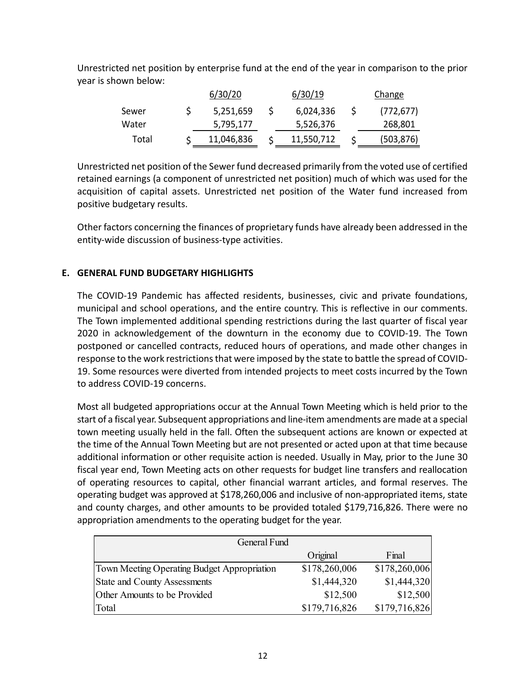Unrestricted net position by enterprise fund at the end of the year in comparison to the prior year is shown below:

|       | 6/30/20    | 6/30/19    | Change     |
|-------|------------|------------|------------|
| Sewer | 5,251,659  | 6,024,336  | (772, 677) |
| Water | 5,795,177  | 5,526,376  | 268,801    |
| Total | 11,046,836 | 11,550,712 | (503,876)  |

Unrestricted net position of the Sewer fund decreased primarily from the voted use of certified retained earnings (a component of unrestricted net position) much of which was used for the acquisition of capital assets. Unrestricted net position of the Water fund increased from positive budgetary results.

Other factors concerning the finances of proprietary funds have already been addressed in the entity‐wide discussion of business‐type activities.

# **E. GENERAL FUND BUDGETARY HIGHLIGHTS**

The COVID-19 Pandemic has affected residents, businesses, civic and private foundations, municipal and school operations, and the entire country. This is reflective in our comments. The Town implemented additional spending restrictions during the last quarter of fiscal year 2020 in acknowledgement of the downturn in the economy due to COVID‐19. The Town postponed or cancelled contracts, reduced hours of operations, and made other changes in response to the work restrictions that were imposed by the state to battle the spread of COVID‐ 19. Some resources were diverted from intended projects to meet costs incurred by the Town to address COVID‐19 concerns.

Most all budgeted appropriations occur at the Annual Town Meeting which is held prior to the start of a fiscal year. Subsequent appropriations and line‐item amendments are made at a special town meeting usually held in the fall. Often the subsequent actions are known or expected at the time of the Annual Town Meeting but are not presented or acted upon at that time because additional information or other requisite action is needed. Usually in May, prior to the June 30 fiscal year end, Town Meeting acts on other requests for budget line transfers and reallocation of operating resources to capital, other financial warrant articles, and formal reserves. The operating budget was approved at \$178,260,006 and inclusive of non‐appropriated items, state and county charges, and other amounts to be provided totaled \$179,716,826. There were no appropriation amendments to the operating budget for the year.

| General Fund                                |               |               |
|---------------------------------------------|---------------|---------------|
|                                             | Original      | Final         |
| Town Meeting Operating Budget Appropriation | \$178,260,006 | \$178,260,006 |
| State and County Assessments                | \$1,444,320   | \$1,444,320   |
| Other Amounts to be Provided                | \$12,500      | \$12,500      |
| Total                                       | \$179,716,826 | \$179,716,826 |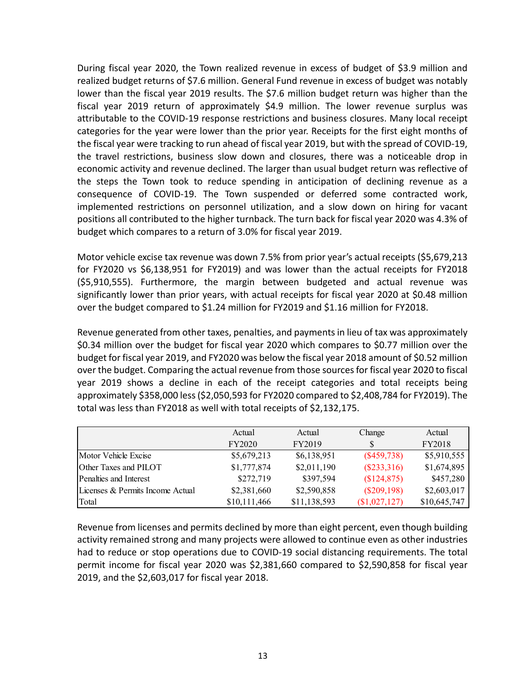During fiscal year 2020, the Town realized revenue in excess of budget of \$3.9 million and realized budget returns of \$7.6 million. General Fund revenue in excess of budget was notably lower than the fiscal year 2019 results. The \$7.6 million budget return was higher than the fiscal year 2019 return of approximately \$4.9 million. The lower revenue surplus was attributable to the COVID‐19 response restrictions and business closures. Many local receipt categories for the year were lower than the prior year. Receipts for the first eight months of the fiscal year were tracking to run ahead of fiscal year 2019, but with the spread of COVID‐19, the travel restrictions, business slow down and closures, there was a noticeable drop in economic activity and revenue declined. The larger than usual budget return was reflective of the steps the Town took to reduce spending in anticipation of declining revenue as a consequence of COVID-19. The Town suspended or deferred some contracted work, implemented restrictions on personnel utilization, and a slow down on hiring for vacant positions all contributed to the higher turnback. The turn back for fiscal year 2020 was 4.3% of budget which compares to a return of 3.0% for fiscal year 2019.

Motor vehicle excise tax revenue was down 7.5% from prior year's actual receipts (\$5,679,213 for FY2020 vs \$6,138,951 for FY2019) and was lower than the actual receipts for FY2018 (\$5,910,555). Furthermore, the margin between budgeted and actual revenue was significantly lower than prior years, with actual receipts for fiscal year 2020 at \$0.48 million over the budget compared to \$1.24 million for FY2019 and \$1.16 million for FY2018.

Revenue generated from other taxes, penalties, and payments in lieu of tax was approximately \$0.34 million over the budget for fiscal year 2020 which compares to \$0.77 million over the budget for fiscal year 2019, and FY2020 was below the fiscal year 2018 amount of \$0.52 million over the budget. Comparing the actual revenue from those sources for fiscal year 2020 to fiscal year 2019 shows a decline in each of the receipt categories and total receipts being approximately \$358,000 less (\$2,050,593 for FY2020 compared to \$2,408,784 for FY2019). The total was less than FY2018 as well with total receipts of \$2,132,175.

|                                  | Actual       | Actual       | Change        | Actual        |
|----------------------------------|--------------|--------------|---------------|---------------|
|                                  | FY2020       | FY2019       | S             | <b>FY2018</b> |
| Motor Vehicle Excise             | \$5,679,213  | \$6,138,951  | $(\$459,738)$ | \$5,910,555   |
| Other Taxes and PILOT            | \$1,777,874  | \$2,011,190  | $(\$233,316)$ | \$1,674,895   |
| Penalties and Interest           | \$272,719    | \$397,594    | (\$124,875)   | \$457,280     |
| Licenses & Permits Income Actual | \$2,381,660  | \$2,590,858  | $(\$209,198)$ | \$2,603,017   |
| Total                            | \$10,111,466 | \$11,138,593 | (\$1,027,127) | \$10,645,747  |

Revenue from licenses and permits declined by more than eight percent, even though building activity remained strong and many projects were allowed to continue even as other industries had to reduce or stop operations due to COVID‐19 social distancing requirements. The total permit income for fiscal year 2020 was \$2,381,660 compared to \$2,590,858 for fiscal year 2019, and the \$2,603,017 for fiscal year 2018.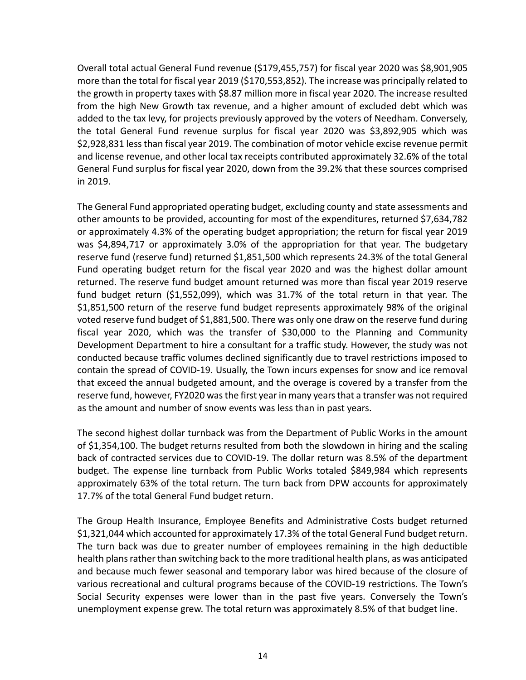Overall total actual General Fund revenue (\$179,455,757) for fiscal year 2020 was \$8,901,905 more than the total for fiscal year 2019 (\$170,553,852). The increase was principally related to the growth in property taxes with \$8.87 million more in fiscal year 2020. The increase resulted from the high New Growth tax revenue, and a higher amount of excluded debt which was added to the tax levy, for projects previously approved by the voters of Needham. Conversely, the total General Fund revenue surplus for fiscal year 2020 was \$3,892,905 which was \$2,928,831 less than fiscal year 2019. The combination of motor vehicle excise revenue permit and license revenue, and other local tax receipts contributed approximately 32.6% of the total General Fund surplus for fiscal year 2020, down from the 39.2% that these sources comprised in 2019.

The General Fund appropriated operating budget, excluding county and state assessments and other amounts to be provided, accounting for most of the expenditures, returned \$7,634,782 or approximately 4.3% of the operating budget appropriation; the return for fiscal year 2019 was \$4,894,717 or approximately 3.0% of the appropriation for that year. The budgetary reserve fund (reserve fund) returned \$1,851,500 which represents 24.3% of the total General Fund operating budget return for the fiscal year 2020 and was the highest dollar amount returned. The reserve fund budget amount returned was more than fiscal year 2019 reserve fund budget return (\$1,552,099), which was 31.7% of the total return in that year. The \$1,851,500 return of the reserve fund budget represents approximately 98% of the original voted reserve fund budget of \$1,881,500. There was only one draw on the reserve fund during fiscal year 2020, which was the transfer of \$30,000 to the Planning and Community Development Department to hire a consultant for a traffic study. However, the study was not conducted because traffic volumes declined significantly due to travel restrictions imposed to contain the spread of COVID‐19. Usually, the Town incurs expenses for snow and ice removal that exceed the annual budgeted amount, and the overage is covered by a transfer from the reserve fund, however, FY2020 was the first year in many years that a transfer was not required as the amount and number of snow events was less than in past years.

The second highest dollar turnback was from the Department of Public Works in the amount of \$1,354,100. The budget returns resulted from both the slowdown in hiring and the scaling back of contracted services due to COVID‐19. The dollar return was 8.5% of the department budget. The expense line turnback from Public Works totaled \$849,984 which represents approximately 63% of the total return. The turn back from DPW accounts for approximately 17.7% of the total General Fund budget return.

The Group Health Insurance, Employee Benefits and Administrative Costs budget returned \$1,321,044 which accounted for approximately 17.3% of the total General Fund budget return. The turn back was due to greater number of employees remaining in the high deductible health plans rather than switching back to the more traditional health plans, as was anticipated and because much fewer seasonal and temporary labor was hired because of the closure of various recreational and cultural programs because of the COVID‐19 restrictions. The Town's Social Security expenses were lower than in the past five years. Conversely the Town's unemployment expense grew. The total return was approximately 8.5% of that budget line.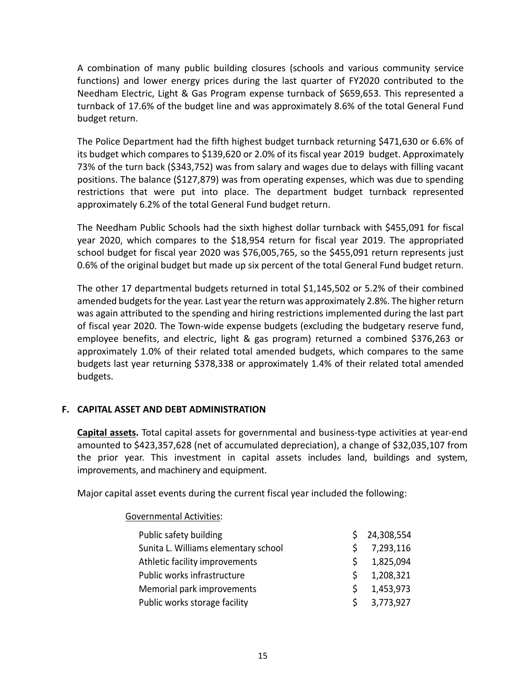A combination of many public building closures (schools and various community service functions) and lower energy prices during the last quarter of FY2020 contributed to the Needham Electric, Light & Gas Program expense turnback of \$659,653. This represented a turnback of 17.6% of the budget line and was approximately 8.6% of the total General Fund budget return.

The Police Department had the fifth highest budget turnback returning \$471,630 or 6.6% of its budget which compares to \$139,620 or 2.0% of its fiscal year 2019 budget. Approximately 73% of the turn back (\$343,752) was from salary and wages due to delays with filling vacant positions. The balance (\$127,879) was from operating expenses, which was due to spending restrictions that were put into place. The department budget turnback represented approximately 6.2% of the total General Fund budget return.

The Needham Public Schools had the sixth highest dollar turnback with \$455,091 for fiscal year 2020, which compares to the \$18,954 return for fiscal year 2019. The appropriated school budget for fiscal year 2020 was \$76,005,765, so the \$455,091 return represents just 0.6% of the original budget but made up six percent of the total General Fund budget return.

The other 17 departmental budgets returned in total \$1,145,502 or 5.2% of their combined amended budgets for the year. Last year the return was approximately 2.8%. The higher return was again attributed to the spending and hiring restrictions implemented during the last part of fiscal year 2020. The Town‐wide expense budgets (excluding the budgetary reserve fund, employee benefits, and electric, light & gas program) returned a combined \$376,263 or approximately 1.0% of their related total amended budgets, which compares to the same budgets last year returning \$378,338 or approximately 1.4% of their related total amended budgets.

# **F. CAPITAL ASSET AND DEBT ADMINISTRATION**

**Capital assets.** Total capital assets for governmental and business‐type activities at year‐end amounted to \$423,357,628 (net of accumulated depreciation), a change of \$32,035,107 from the prior year. This investment in capital assets includes land, buildings and system, improvements, and machinery and equipment.

Major capital asset events during the current fiscal year included the following:

Governmental Activities:

| Public safety building               |    | 24,308,554 |
|--------------------------------------|----|------------|
| Sunita L. Williams elementary school | S. | 7,293,116  |
| Athletic facility improvements       | S. | 1,825,094  |
| Public works infrastructure          | S. | 1,208,321  |
| Memorial park improvements           | S. | 1,453,973  |
| Public works storage facility        | ς. | 3,773,927  |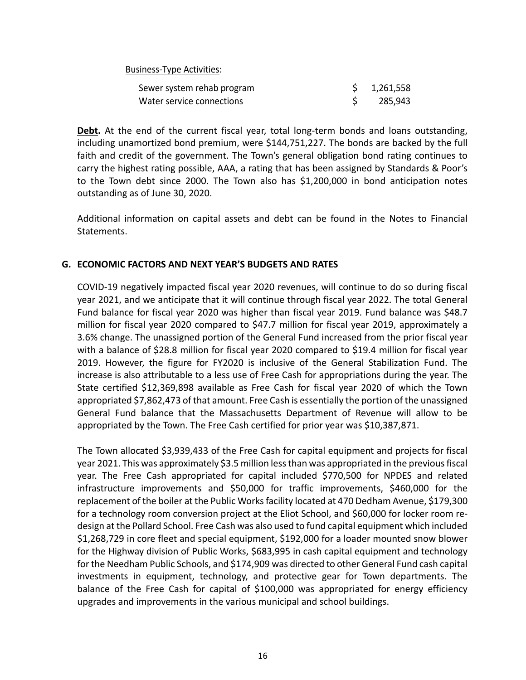Business‐Type Activities:

| Sewer system rehab program | \$1,261,558 |
|----------------------------|-------------|
| Water service connections  | 285,943     |

**Debt.** At the end of the current fiscal year, total long-term bonds and loans outstanding, including unamortized bond premium, were \$144,751,227. The bonds are backed by the full faith and credit of the government. The Town's general obligation bond rating continues to carry the highest rating possible, AAA, a rating that has been assigned by Standards & Poor's to the Town debt since 2000. The Town also has \$1,200,000 in bond anticipation notes outstanding as of June 30, 2020.

Additional information on capital assets and debt can be found in the Notes to Financial Statements.

# **G. ECONOMIC FACTORS AND NEXT YEAR'S BUDGETS AND RATES**

COVID‐19 negatively impacted fiscal year 2020 revenues, will continue to do so during fiscal year 2021, and we anticipate that it will continue through fiscal year 2022. The total General Fund balance for fiscal year 2020 was higher than fiscal year 2019. Fund balance was \$48.7 million for fiscal year 2020 compared to \$47.7 million for fiscal year 2019, approximately a 3.6% change. The unassigned portion of the General Fund increased from the prior fiscal year with a balance of \$28.8 million for fiscal year 2020 compared to \$19.4 million for fiscal year 2019. However, the figure for FY2020 is inclusive of the General Stabilization Fund. The increase is also attributable to a less use of Free Cash for appropriations during the year. The State certified \$12,369,898 available as Free Cash for fiscal year 2020 of which the Town appropriated \$7,862,473 of that amount. Free Cash is essentially the portion of the unassigned General Fund balance that the Massachusetts Department of Revenue will allow to be appropriated by the Town. The Free Cash certified for prior year was \$10,387,871.

The Town allocated \$3,939,433 of the Free Cash for capital equipment and projects for fiscal year 2021. This was approximately \$3.5 million less than was appropriated in the previous fiscal year. The Free Cash appropriated for capital included \$770,500 for NPDES and related infrastructure improvements and \$50,000 for traffic improvements, \$460,000 for the replacement of the boiler at the Public Works facility located at 470 Dedham Avenue, \$179,300 for a technology room conversion project at the Eliot School, and \$60,000 for locker room re‐ design at the Pollard School. Free Cash was also used to fund capital equipment which included \$1,268,729 in core fleet and special equipment, \$192,000 for a loader mounted snow blower for the Highway division of Public Works, \$683,995 in cash capital equipment and technology for the Needham Public Schools, and \$174,909 was directed to other General Fund cash capital investments in equipment, technology, and protective gear for Town departments. The balance of the Free Cash for capital of \$100,000 was appropriated for energy efficiency upgrades and improvements in the various municipal and school buildings.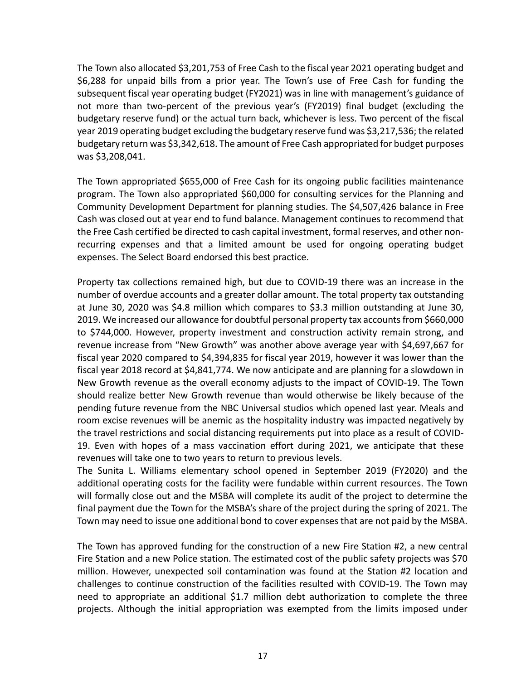The Town also allocated \$3,201,753 of Free Cash to the fiscal year 2021 operating budget and \$6,288 for unpaid bills from a prior year. The Town's use of Free Cash for funding the subsequent fiscal year operating budget (FY2021) was in line with management's guidance of not more than two-percent of the previous year's (FY2019) final budget (excluding the budgetary reserve fund) or the actual turn back, whichever is less. Two percent of the fiscal year 2019 operating budget excluding the budgetary reserve fund was \$3,217,536; the related budgetary return was \$3,342,618. The amount of Free Cash appropriated for budget purposes was \$3,208,041.

The Town appropriated \$655,000 of Free Cash for its ongoing public facilities maintenance program. The Town also appropriated \$60,000 for consulting services for the Planning and Community Development Department for planning studies. The \$4,507,426 balance in Free Cash was closed out at year end to fund balance. Management continues to recommend that the Free Cash certified be directed to cash capital investment, formal reserves, and other non‐ recurring expenses and that a limited amount be used for ongoing operating budget expenses. The Select Board endorsed this best practice.

Property tax collections remained high, but due to COVID‐19 there was an increase in the number of overdue accounts and a greater dollar amount. The total property tax outstanding at June 30, 2020 was \$4.8 million which compares to \$3.3 million outstanding at June 30, 2019. We increased our allowance for doubtful personal property tax accounts from \$660,000 to \$744,000. However, property investment and construction activity remain strong, and revenue increase from "New Growth" was another above average year with \$4,697,667 for fiscal year 2020 compared to \$4,394,835 for fiscal year 2019, however it was lower than the fiscal year 2018 record at \$4,841,774. We now anticipate and are planning for a slowdown in New Growth revenue as the overall economy adjusts to the impact of COVID‐19. The Town should realize better New Growth revenue than would otherwise be likely because of the pending future revenue from the NBC Universal studios which opened last year. Meals and room excise revenues will be anemic as the hospitality industry was impacted negatively by the travel restrictions and social distancing requirements put into place as a result of COVID‐ 19. Even with hopes of a mass vaccination effort during 2021, we anticipate that these revenues will take one to two years to return to previous levels.

The Sunita L. Williams elementary school opened in September 2019 (FY2020) and the additional operating costs for the facility were fundable within current resources. The Town will formally close out and the MSBA will complete its audit of the project to determine the final payment due the Town for the MSBA's share of the project during the spring of 2021. The Town may need to issue one additional bond to cover expenses that are not paid by the MSBA.

The Town has approved funding for the construction of a new Fire Station #2, a new central Fire Station and a new Police station. The estimated cost of the public safety projects was \$70 million. However, unexpected soil contamination was found at the Station #2 location and challenges to continue construction of the facilities resulted with COVID‐19. The Town may need to appropriate an additional \$1.7 million debt authorization to complete the three projects. Although the initial appropriation was exempted from the limits imposed under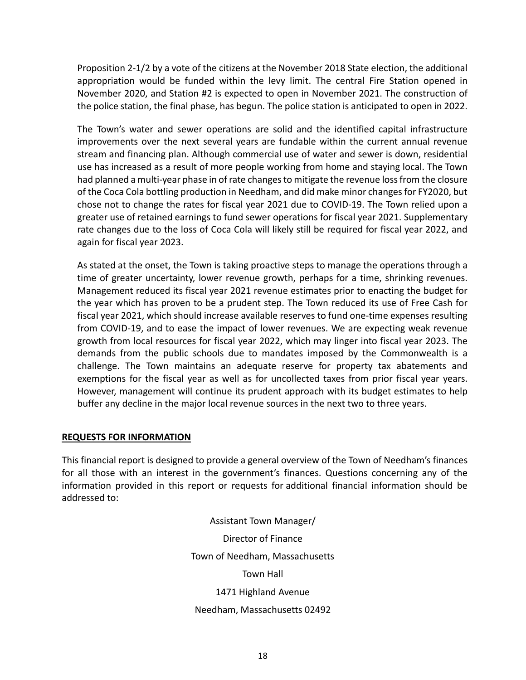Proposition 2‐1/2 by a vote of the citizens at the November 2018 State election, the additional appropriation would be funded within the levy limit. The central Fire Station opened in November 2020, and Station #2 is expected to open in November 2021. The construction of the police station, the final phase, has begun. The police station is anticipated to open in 2022.

The Town's water and sewer operations are solid and the identified capital infrastructure improvements over the next several years are fundable within the current annual revenue stream and financing plan. Although commercial use of water and sewer is down, residential use has increased as a result of more people working from home and staying local. The Town had planned a multi‐year phase in of rate changes to mitigate the revenue loss from the closure of the Coca Cola bottling production in Needham, and did make minor changes for FY2020, but chose not to change the rates for fiscal year 2021 due to COVID‐19. The Town relied upon a greater use of retained earnings to fund sewer operations for fiscal year 2021. Supplementary rate changes due to the loss of Coca Cola will likely still be required for fiscal year 2022, and again for fiscal year 2023.

As stated at the onset, the Town is taking proactive steps to manage the operations through a time of greater uncertainty, lower revenue growth, perhaps for a time, shrinking revenues. Management reduced its fiscal year 2021 revenue estimates prior to enacting the budget for the year which has proven to be a prudent step. The Town reduced its use of Free Cash for fiscal year 2021, which should increase available reserves to fund one-time expenses resulting from COVID‐19, and to ease the impact of lower revenues. We are expecting weak revenue growth from local resources for fiscal year 2022, which may linger into fiscal year 2023. The demands from the public schools due to mandates imposed by the Commonwealth is a challenge. The Town maintains an adequate reserve for property tax abatements and exemptions for the fiscal year as well as for uncollected taxes from prior fiscal year years. However, management will continue its prudent approach with its budget estimates to help buffer any decline in the major local revenue sources in the next two to three years.

# **REQUESTS FOR INFORMATION**

This financial report is designed to provide a general overview of the Town of Needham's finances for all those with an interest in the government's finances. Questions concerning any of the information provided in this report or requests for additional financial information should be addressed to:

> Assistant Town Manager/ Director of Finance Town of Needham, Massachusetts Town Hall 1471 Highland Avenue Needham, Massachusetts 02492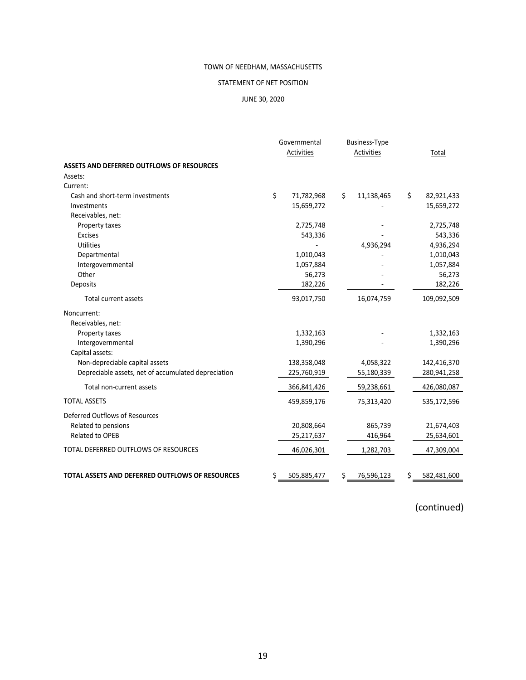## STATEMENT OF NET POSITION

## JUNE 30, 2020

|                                                        | Governmental<br>Activities | <b>Business-Type</b><br>Activities | Total             |
|--------------------------------------------------------|----------------------------|------------------------------------|-------------------|
| <b>ASSETS AND DEFERRED OUTFLOWS OF RESOURCES</b>       |                            |                                    |                   |
| Assets:                                                |                            |                                    |                   |
| Current:                                               |                            |                                    |                   |
| Cash and short-term investments                        | \$<br>71,782,968           | \$<br>11,138,465                   | \$<br>82,921,433  |
| Investments                                            | 15,659,272                 |                                    | 15,659,272        |
| Receivables, net:                                      |                            |                                    |                   |
| Property taxes                                         | 2,725,748                  |                                    | 2,725,748         |
| <b>Excises</b>                                         | 543,336                    |                                    | 543,336           |
| Utilities                                              |                            | 4,936,294                          | 4,936,294         |
| Departmental                                           | 1,010,043                  |                                    | 1,010,043         |
| Intergovernmental                                      | 1,057,884                  |                                    | 1,057,884         |
| Other                                                  | 56,273                     |                                    | 56,273            |
| Deposits                                               | 182,226                    |                                    | 182,226           |
| <b>Total current assets</b>                            | 93,017,750                 | 16,074,759                         | 109,092,509       |
| Noncurrent:                                            |                            |                                    |                   |
| Receivables, net:                                      |                            |                                    |                   |
| Property taxes                                         | 1,332,163                  |                                    | 1,332,163         |
| Intergovernmental                                      | 1,390,296                  |                                    | 1,390,296         |
| Capital assets:                                        |                            |                                    |                   |
| Non-depreciable capital assets                         | 138,358,048                | 4,058,322                          | 142,416,370       |
| Depreciable assets, net of accumulated depreciation    | 225,760,919                | 55,180,339                         | 280,941,258       |
| Total non-current assets                               | 366,841,426                | 59,238,661                         | 426,080,087       |
| <b>TOTAL ASSETS</b>                                    | 459,859,176                | 75,313,420                         | 535,172,596       |
| Deferred Outflows of Resources                         |                            |                                    |                   |
| Related to pensions                                    | 20,808,664                 | 865,739                            | 21,674,403        |
| <b>Related to OPEB</b>                                 | 25,217,637                 | 416,964                            | 25,634,601        |
| TOTAL DEFERRED OUTFLOWS OF RESOURCES                   | 46,026,301                 | 1,282,703                          | 47,309,004        |
| <b>TOTAL ASSETS AND DEFERRED OUTFLOWS OF RESOURCES</b> | \$<br>505,885,477          | \$<br>76,596,123                   | \$<br>582,481,600 |

(continued)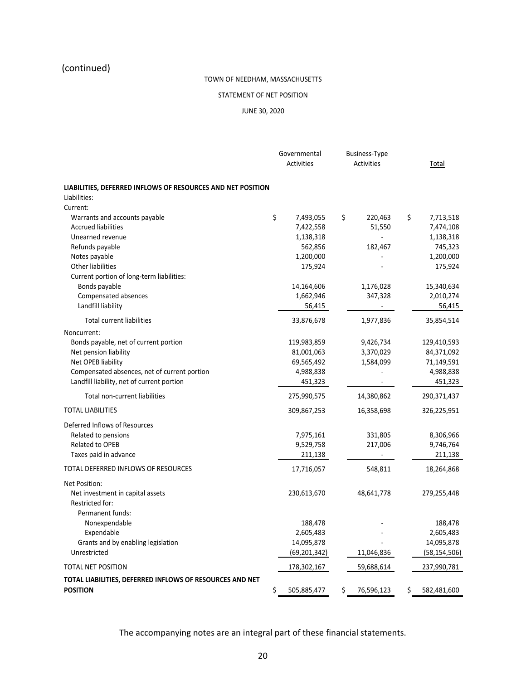# (continued)

## TOWN OF NEEDHAM, MASSACHUSETTS

#### STATEMENT OF NET POSITION

## JUNE 30, 2020

|                                                             | Governmental<br><b>Business-Type</b><br>Activities<br>Activities |                |                  | Total |                |
|-------------------------------------------------------------|------------------------------------------------------------------|----------------|------------------|-------|----------------|
| LIABILITIES, DEFERRED INFLOWS OF RESOURCES AND NET POSITION |                                                                  |                |                  |       |                |
| Liabilities:                                                |                                                                  |                |                  |       |                |
| Current:                                                    |                                                                  |                |                  |       |                |
| Warrants and accounts payable                               | \$                                                               | 7,493,055      | \$<br>220,463    | \$    | 7,713,518      |
| <b>Accrued liabilities</b>                                  |                                                                  | 7,422,558      | 51,550           |       | 7,474,108      |
| Unearned revenue                                            |                                                                  | 1,138,318      |                  |       | 1,138,318      |
| Refunds payable                                             |                                                                  | 562,856        | 182,467          |       | 745,323        |
| Notes payable                                               |                                                                  | 1,200,000      |                  |       | 1,200,000      |
| <b>Other liabilities</b>                                    |                                                                  | 175,924        |                  |       | 175,924        |
| Current portion of long-term liabilities:                   |                                                                  |                |                  |       |                |
| Bonds payable                                               |                                                                  | 14,164,606     | 1,176,028        |       | 15,340,634     |
| Compensated absences                                        |                                                                  | 1,662,946      | 347,328          |       | 2,010,274      |
| Landfill liability                                          |                                                                  | 56,415         |                  |       | 56,415         |
| <b>Total current liabilities</b>                            |                                                                  | 33,876,678     | 1,977,836        |       | 35,854,514     |
| Noncurrent:                                                 |                                                                  |                |                  |       |                |
| Bonds payable, net of current portion                       |                                                                  | 119,983,859    | 9,426,734        |       | 129,410,593    |
| Net pension liability                                       |                                                                  | 81,001,063     | 3,370,029        |       | 84,371,092     |
| Net OPEB liability                                          |                                                                  | 69,565,492     | 1,584,099        |       | 71,149,591     |
| Compensated absences, net of current portion                |                                                                  | 4,988,838      |                  |       | 4,988,838      |
| Landfill liability, net of current portion                  |                                                                  | 451,323        |                  |       | 451,323        |
| Total non-current liabilities                               |                                                                  | 275,990,575    | 14,380,862       |       | 290,371,437    |
| <b>TOTAL LIABILITIES</b>                                    |                                                                  | 309,867,253    | 16,358,698       |       | 326,225,951    |
| Deferred Inflows of Resources                               |                                                                  |                |                  |       |                |
| Related to pensions                                         |                                                                  | 7,975,161      | 331,805          |       | 8,306,966      |
| <b>Related to OPEB</b>                                      |                                                                  | 9,529,758      | 217,006          |       | 9,746,764      |
| Taxes paid in advance                                       |                                                                  | 211,138        |                  |       | 211,138        |
| TOTAL DEFERRED INFLOWS OF RESOURCES                         |                                                                  | 17,716,057     | 548,811          |       | 18,264,868     |
| Net Position:                                               |                                                                  |                |                  |       |                |
| Net investment in capital assets                            |                                                                  | 230,613,670    | 48,641,778       |       | 279,255,448    |
| Restricted for:                                             |                                                                  |                |                  |       |                |
| Permanent funds:                                            |                                                                  |                |                  |       |                |
| Nonexpendable                                               |                                                                  | 188,478        |                  |       | 188,478        |
| Expendable                                                  |                                                                  | 2,605,483      |                  |       | 2,605,483      |
| Grants and by enabling legislation                          |                                                                  | 14,095,878     |                  |       | 14,095,878     |
| Unrestricted                                                |                                                                  | (69, 201, 342) | 11,046,836       |       | (58, 154, 506) |
| TOTAL NET POSITION                                          |                                                                  | 178,302,167    | 59,688,614       |       | 237,990,781    |
| TOTAL LIABILITIES, DEFERRED INFLOWS OF RESOURCES AND NET    |                                                                  |                |                  |       |                |
| <b>POSITION</b>                                             | \$                                                               | 505,885,477    | \$<br>76,596,123 | Ş.    | 582,481,600    |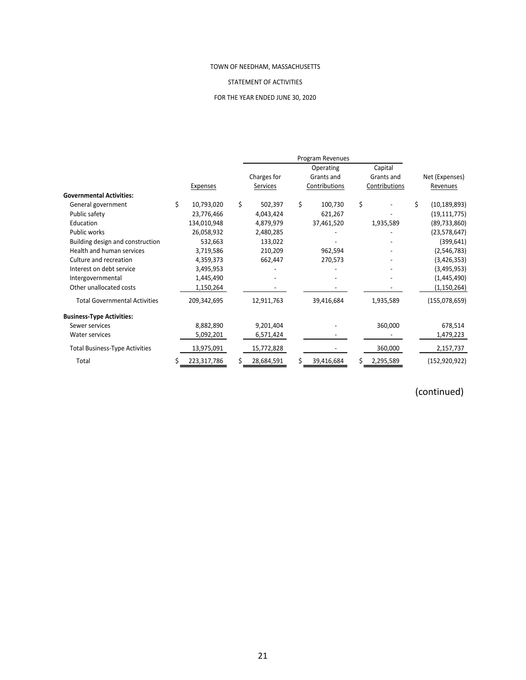#### STATEMENT OF ACTIVITIES

# FOR THE YEAR ENDED JUNE 30, 2020

|                                      |                  |    |             | Program Revenues |    |               |    |                |
|--------------------------------------|------------------|----|-------------|------------------|----|---------------|----|----------------|
|                                      |                  |    |             | Operating        |    | Capital       |    |                |
|                                      |                  |    | Charges for | Grants and       |    | Grants and    |    | Net (Expenses) |
|                                      | Expenses         |    | Services    | Contributions    |    | Contributions |    | Revenues       |
| <b>Governmental Activities:</b>      |                  |    |             |                  |    |               |    |                |
| General government                   | \$<br>10,793,020 | \$ | 502,397     | \$<br>100,730    | \$ |               | Ś. | (10, 189, 893) |
| Public safety                        | 23,776,466       |    | 4,043,424   | 621,267          |    |               |    | (19, 111, 775) |
| Education                            | 134,010,948      |    | 4,879,979   | 37,461,520       |    | 1,935,589     |    | (89, 733, 860) |
| Public works                         | 26,058,932       |    | 2,480,285   |                  |    |               |    | (23,578,647)   |
| Building design and construction     | 532,663          |    | 133,022     |                  |    |               |    | (399, 641)     |
| Health and human services            | 3,719,586        |    | 210,209     | 962,594          |    |               |    | (2,546,783)    |
| Culture and recreation               | 4,359,373        |    | 662,447     | 270,573          |    |               |    | (3,426,353)    |
| Interest on debt service             | 3,495,953        |    |             |                  |    |               |    | (3,495,953)    |
| Intergovernmental                    | 1,445,490        |    |             |                  |    |               |    | (1,445,490)    |
| Other unallocated costs              | 1,150,264        |    |             |                  |    |               |    | (1, 150, 264)  |
| <b>Total Governmental Activities</b> | 209,342,695      |    | 12,911,763  | 39,416,684       |    | 1,935,589     |    | (155,078,659)  |
| <b>Business-Type Activities:</b>     |                  |    |             |                  |    |               |    |                |
| Sewer services                       | 8,882,890        |    | 9,201,404   |                  |    | 360,000       |    | 678,514        |
| Water services                       | 5,092,201        |    | 6,571,424   |                  |    |               |    | 1,479,223      |
| Total Business-Type Activities       | 13,975,091       |    | 15,772,828  |                  |    | 360,000       |    | 2,157,737      |
| Total                                | 223,317,786      | Ś. | 28,684,591  | 39,416,684       | S  | 2,295,589     |    | (152,920,922)  |
|                                      |                  |    |             |                  |    |               |    |                |

# (continued)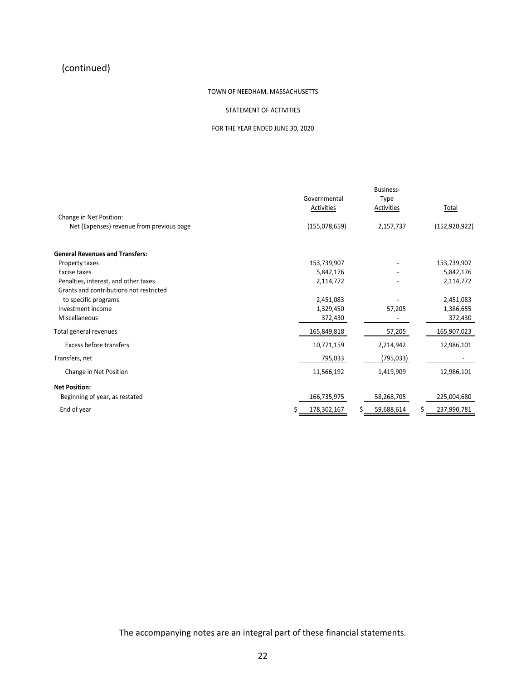# (continued)

## TOWN OF NEEDHAM, MASSACHUSETTS

## STATEMENT OF ACTIVITIES

#### FOR THE YEAR ENDED JUNE 30, 2020

|                                           |               | Business-         |                 |
|-------------------------------------------|---------------|-------------------|-----------------|
|                                           | Governmental  | Type              |                 |
|                                           | Activities    | Activities        | Total           |
| Change in Net Position:                   |               |                   |                 |
| Net (Expenses) revenue from previous page | (155,078,659) | 2,157,737         | (152, 920, 922) |
| <b>General Revenues and Transfers:</b>    |               |                   |                 |
| Property taxes                            | 153,739,907   |                   | 153,739,907     |
| Excise taxes                              | 5,842,176     |                   | 5,842,176       |
| Penalties, interest, and other taxes      | 2,114,772     |                   | 2,114,772       |
| Grants and contributions not restricted   |               |                   |                 |
| to specific programs                      | 2,451,083     |                   | 2,451,083       |
| Investment income                         | 1,329,450     | 57,205            | 1,386,655       |
| Miscellaneous                             | 372,430       |                   | 372,430         |
| Total general revenues                    | 165,849,818   | 57,205            | 165,907,023     |
| Excess before transfers                   | 10,771,159    | 2,214,942         | 12,986,101      |
| Transfers, net                            | 795,033       | (795,033)         |                 |
| Change in Net Position                    | 11,566,192    | 1,419,909         | 12,986,101      |
| <b>Net Position:</b>                      |               |                   |                 |
| Beginning of year, as restated            | 166,735,975   | 58,268,705        | 225,004,680     |
| End of year                               | 178,302,167   | \$.<br>59,688,614 | 237,990,781     |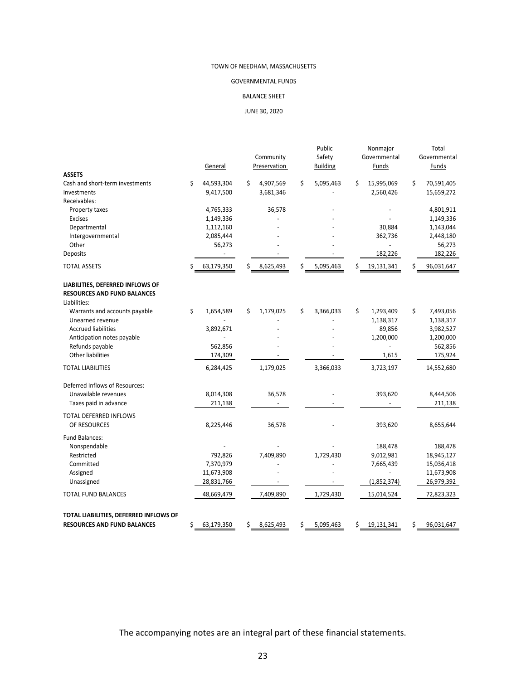## GOVERNMENTAL FUNDS

#### BALANCE SHEET

JUNE 30, 2020

|                                        |    |            |                 |    | Public          |    | Nonmajor     |    | Total        |
|----------------------------------------|----|------------|-----------------|----|-----------------|----|--------------|----|--------------|
|                                        |    |            | Community       |    | Safety          |    | Governmental |    | Governmental |
|                                        |    | General    | Preservation    |    | <b>Building</b> |    | Funds        |    | Funds        |
| <b>ASSETS</b>                          |    |            |                 |    |                 |    |              |    |              |
| Cash and short-term investments        | \$ | 44,593,304 | \$<br>4,907,569 | \$ | 5,095,463       | \$ | 15,995,069   | \$ | 70,591,405   |
| Investments                            |    | 9,417,500  | 3,681,346       |    |                 |    | 2,560,426    |    | 15,659,272   |
| Receivables:                           |    |            |                 |    |                 |    |              |    |              |
| Property taxes                         |    | 4,765,333  | 36,578          |    |                 |    |              |    | 4,801,911    |
| <b>Excises</b>                         |    | 1,149,336  |                 |    |                 |    |              |    | 1,149,336    |
| Departmental                           |    | 1,112,160  |                 |    |                 |    | 30,884       |    | 1,143,044    |
| Intergovernmental                      |    | 2,085,444  |                 |    |                 |    | 362,736      |    | 2,448,180    |
| Other                                  |    | 56,273     |                 |    |                 |    |              |    | 56,273       |
| Deposits                               |    |            |                 |    |                 |    | 182,226      |    | 182,226      |
| <b>TOTAL ASSETS</b>                    | Ś  | 63,179,350 | \$<br>8,625,493 | Ś  | 5,095,463       | Ś  | 19,131,341   | Ś  | 96,031,647   |
| LIABILITIES, DEFERRED INFLOWS OF       |    |            |                 |    |                 |    |              |    |              |
| <b>RESOURCES AND FUND BALANCES</b>     |    |            |                 |    |                 |    |              |    |              |
| Liabilities:                           |    |            |                 |    |                 |    |              |    |              |
| Warrants and accounts payable          | \$ | 1,654,589  | \$<br>1,179,025 | \$ | 3,366,033       | \$ | 1,293,409    | \$ | 7,493,056    |
| Unearned revenue                       |    |            |                 |    |                 |    | 1,138,317    |    | 1,138,317    |
| <b>Accrued liabilities</b>             |    | 3,892,671  |                 |    |                 |    | 89,856       |    | 3,982,527    |
| Anticipation notes payable             |    |            |                 |    |                 |    | 1,200,000    |    | 1,200,000    |
| Refunds payable                        |    | 562,856    |                 |    |                 |    |              |    | 562,856      |
| Other liabilities                      |    | 174,309    |                 |    |                 |    | 1,615        |    | 175,924      |
| <b>TOTAL LIABILITIES</b>               |    | 6,284,425  | 1,179,025       |    | 3,366,033       |    | 3,723,197    |    | 14,552,680   |
|                                        |    |            |                 |    |                 |    |              |    |              |
| Deferred Inflows of Resources:         |    |            |                 |    |                 |    |              |    |              |
| Unavailable revenues                   |    | 8,014,308  | 36,578          |    |                 |    | 393,620      |    | 8,444,506    |
| Taxes paid in advance                  |    | 211,138    |                 |    |                 |    |              |    | 211,138      |
| TOTAL DEFERRED INFLOWS                 |    |            |                 |    |                 |    |              |    |              |
| OF RESOURCES                           |    | 8,225,446  | 36,578          |    |                 |    | 393,620      |    | 8,655,644    |
|                                        |    |            |                 |    |                 |    |              |    |              |
| Fund Balances:                         |    |            |                 |    |                 |    |              |    |              |
| Nonspendable                           |    |            |                 |    |                 |    | 188,478      |    | 188,478      |
| Restricted                             |    | 792,826    | 7,409,890       |    | 1,729,430       |    | 9,012,981    |    | 18,945,127   |
| Committed                              |    | 7,370,979  |                 |    |                 |    | 7,665,439    |    | 15,036,418   |
| Assigned                               |    | 11,673,908 |                 |    |                 |    |              |    | 11,673,908   |
| Unassigned                             |    | 28,831,766 |                 |    |                 |    | (1,852,374)  |    | 26,979,392   |
| TOTAL FUND BALANCES                    |    | 48,669,479 | 7,409,890       |    | 1,729,430       |    | 15,014,524   |    | 72,823,323   |
|                                        |    |            |                 |    |                 |    |              |    |              |
| TOTAL LIABILITIES, DEFERRED INFLOWS OF |    |            |                 |    |                 |    |              |    |              |
| <b>RESOURCES AND FUND BALANCES</b>     | \$ | 63,179,350 | \$<br>8,625,493 | \$ | 5,095,463       | \$ | 19,131,341   | \$ | 96,031,647   |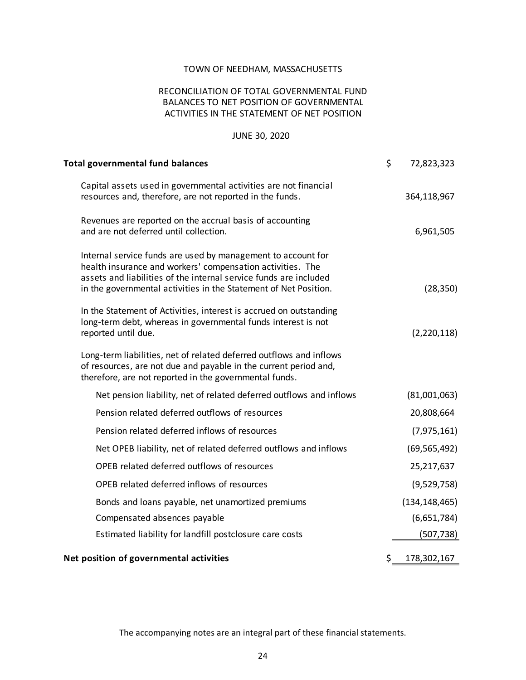# RECONCILIATION OF TOTAL GOVERNMENTAL FUND BALANCES TO NET POSITION OF GOVERNMENTAL ACTIVITIES IN THE STATEMENT OF NET POSITION

## JUNE 30, 2020

| <b>Total governmental fund balances</b>                                                                                                                                                                                                                             | \$<br>72,823,323  |
|---------------------------------------------------------------------------------------------------------------------------------------------------------------------------------------------------------------------------------------------------------------------|-------------------|
| Capital assets used in governmental activities are not financial<br>resources and, therefore, are not reported in the funds.                                                                                                                                        | 364,118,967       |
| Revenues are reported on the accrual basis of accounting<br>and are not deferred until collection.                                                                                                                                                                  | 6,961,505         |
| Internal service funds are used by management to account for<br>health insurance and workers' compensation activities. The<br>assets and liabilities of the internal service funds are included<br>in the governmental activities in the Statement of Net Position. | (28, 350)         |
| In the Statement of Activities, interest is accrued on outstanding<br>long-term debt, whereas in governmental funds interest is not<br>reported until due.                                                                                                          | (2,220,118)       |
| Long-term liabilities, net of related deferred outflows and inflows<br>of resources, are not due and payable in the current period and,<br>therefore, are not reported in the governmental funds.                                                                   |                   |
| Net pension liability, net of related deferred outflows and inflows                                                                                                                                                                                                 | (81,001,063)      |
| Pension related deferred outflows of resources                                                                                                                                                                                                                      | 20,808,664        |
| Pension related deferred inflows of resources                                                                                                                                                                                                                       | (7, 975, 161)     |
| Net OPEB liability, net of related deferred outflows and inflows                                                                                                                                                                                                    | (69, 565, 492)    |
| OPEB related deferred outflows of resources                                                                                                                                                                                                                         | 25,217,637        |
| OPEB related deferred inflows of resources                                                                                                                                                                                                                          | (9,529,758)       |
| Bonds and loans payable, net unamortized premiums                                                                                                                                                                                                                   | (134, 148, 465)   |
| Compensated absences payable                                                                                                                                                                                                                                        | (6,651,784)       |
| Estimated liability for landfill postclosure care costs                                                                                                                                                                                                             | (507, 738)        |
| Net position of governmental activities                                                                                                                                                                                                                             | \$<br>178,302,167 |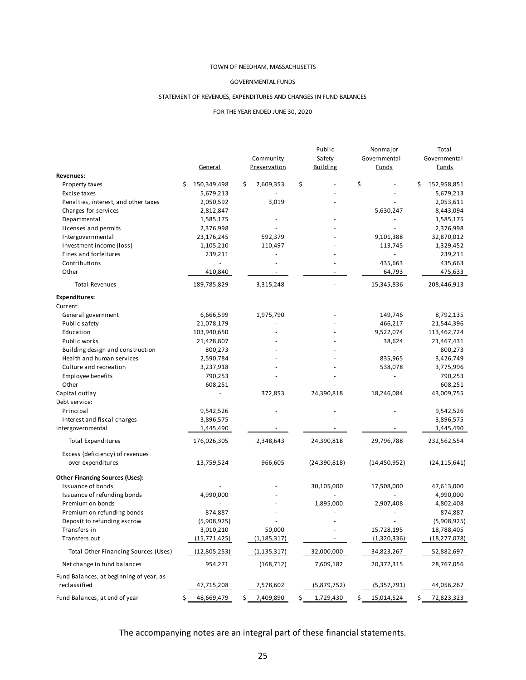#### GOVERNMENTAL FUNDS

#### STATEMENT OF REVENUES, EXPENDITURES AND CHANGES IN FUND BALANCES

#### FOR THE YEAR ENDED JUNE 30, 2020

| Governmental<br>Governmental<br>General<br>Preservation<br><b>Building</b><br><b>Funds</b><br><b>Funds</b><br><b>Revenues:</b><br>\$<br>150,349,498<br>\$<br>2,609,353<br>\$<br>\$<br>152,958,851<br>\$<br>Property taxes<br>5,679,213<br>5,679,213<br>Excise taxes<br>Penalties, interest, and other taxes<br>2,050,592<br>3,019<br>2,053,611<br>Charges for services<br>2,812,847<br>5,630,247<br>8,443,094<br>L,<br>Departmental<br>1,585,175<br>1,585,175<br>Licenses and permits<br>2,376,998<br>2,376,998<br>Intergovernmental<br>23,176,245<br>592,379<br>9,101,388<br>32,870,012<br>Investment income (loss)<br>1,105,210<br>110,497<br>113,745<br>1,329,452<br>Fines and forfeitures<br>239,211<br>239,211<br>Contributions<br>435,663<br>435,663<br>475,633<br>Other<br>410,840<br>64,793<br>3,315,248<br><b>Total Revenues</b><br>189,785,829<br>15,345,836<br>208,446,913<br><b>Expenditures:</b><br>Current:<br>General government<br>6,666,599<br>1,975,790<br>149,746<br>8,792,135<br>Public safety<br>21,078,179<br>466,217<br>21,544,396<br>Education<br>103,940,650<br>9,522,074<br>113,462,724<br>Public works<br>21,428,807<br>38,624<br>21,467,431<br>Building design and construction<br>800,273<br>800,273<br>Health and human services<br>2,590,784<br>835,965<br>3,426,749<br>Culture and recreation<br>3,237,918<br>538,078<br>3,775,996<br>790,253<br>Employee benefits<br>790,253<br>Other<br>608,251<br>608,251<br>24,390,818<br>Capital outlay<br>372,853<br>18,246,084<br>43,009,755<br>Debt service:<br>Principal<br>9,542,526<br>9,542,526<br>Interest and fiscal charges<br>3,896,575<br>3,896,575<br>Intergovernmental<br>1,445,490<br>1,445,490<br><b>Total Expenditures</b><br>176,026,305<br>2,348,643<br>24,390,818<br>29,796,788<br>232,562,554<br>Excess (deficiency) of revenues<br>966,605<br>(24, 390, 818)<br>(14, 450, 952)<br>over expenditures<br>13,759,524<br>(24, 115, 641)<br><b>Other Financing Sources (Uses):</b><br><b>Issuance of bonds</b><br>30,105,000<br>17,508,000<br>47,613,000<br>Issuance of refunding bonds<br>4,990,000<br>4,990,000<br>ä,<br>Premium on bonds<br>1,895,000<br>2,907,408<br>4,802,408<br>Premium on refunding bonds<br>874,887<br>874,887<br>Deposit to refunding escrow<br>(5,908,925)<br>(5,908,925)<br>50,000<br>15,728,195<br>18,788,405<br>Transfers in<br>3,010,210<br>Transfers out<br>(18, 277, 078)<br>(15, 771, 425)<br>(1, 185, 317)<br>(1,320,336)<br>$\sigma_{\rm{max}}$<br>Total Other Financing Sources (Uses)<br>34,823,267<br>52,882,697<br>(12,805,253)<br>(1, 135, 317)<br>32,000,000<br>Net change in fund balances<br>(168, 712)<br>7,609,182<br>20,372,315<br>28,767,056<br>954,271<br>Fund Balances, at beginning of year, as<br>reclassified<br>47,715,208<br>7,578,602<br>(5,879,752)<br>(5,357,791)<br>44,056,267 |  |  |           | Public | Nonmajor | Total |
|--------------------------------------------------------------------------------------------------------------------------------------------------------------------------------------------------------------------------------------------------------------------------------------------------------------------------------------------------------------------------------------------------------------------------------------------------------------------------------------------------------------------------------------------------------------------------------------------------------------------------------------------------------------------------------------------------------------------------------------------------------------------------------------------------------------------------------------------------------------------------------------------------------------------------------------------------------------------------------------------------------------------------------------------------------------------------------------------------------------------------------------------------------------------------------------------------------------------------------------------------------------------------------------------------------------------------------------------------------------------------------------------------------------------------------------------------------------------------------------------------------------------------------------------------------------------------------------------------------------------------------------------------------------------------------------------------------------------------------------------------------------------------------------------------------------------------------------------------------------------------------------------------------------------------------------------------------------------------------------------------------------------------------------------------------------------------------------------------------------------------------------------------------------------------------------------------------------------------------------------------------------------------------------------------------------------------------------------------------------------------------------------------------------------------------------------------------------------------------------------------------------------------------------------------------------------------------------------------------------------------------------------------------------------------------------------------------------------------------------------------------------------------------------------------------------------------------|--|--|-----------|--------|----------|-------|
|                                                                                                                                                                                                                                                                                                                                                                                                                                                                                                                                                                                                                                                                                                                                                                                                                                                                                                                                                                                                                                                                                                                                                                                                                                                                                                                                                                                                                                                                                                                                                                                                                                                                                                                                                                                                                                                                                                                                                                                                                                                                                                                                                                                                                                                                                                                                                                                                                                                                                                                                                                                                                                                                                                                                                                                                                                |  |  | Community | Safety |          |       |
|                                                                                                                                                                                                                                                                                                                                                                                                                                                                                                                                                                                                                                                                                                                                                                                                                                                                                                                                                                                                                                                                                                                                                                                                                                                                                                                                                                                                                                                                                                                                                                                                                                                                                                                                                                                                                                                                                                                                                                                                                                                                                                                                                                                                                                                                                                                                                                                                                                                                                                                                                                                                                                                                                                                                                                                                                                |  |  |           |        |          |       |
|                                                                                                                                                                                                                                                                                                                                                                                                                                                                                                                                                                                                                                                                                                                                                                                                                                                                                                                                                                                                                                                                                                                                                                                                                                                                                                                                                                                                                                                                                                                                                                                                                                                                                                                                                                                                                                                                                                                                                                                                                                                                                                                                                                                                                                                                                                                                                                                                                                                                                                                                                                                                                                                                                                                                                                                                                                |  |  |           |        |          |       |
|                                                                                                                                                                                                                                                                                                                                                                                                                                                                                                                                                                                                                                                                                                                                                                                                                                                                                                                                                                                                                                                                                                                                                                                                                                                                                                                                                                                                                                                                                                                                                                                                                                                                                                                                                                                                                                                                                                                                                                                                                                                                                                                                                                                                                                                                                                                                                                                                                                                                                                                                                                                                                                                                                                                                                                                                                                |  |  |           |        |          |       |
|                                                                                                                                                                                                                                                                                                                                                                                                                                                                                                                                                                                                                                                                                                                                                                                                                                                                                                                                                                                                                                                                                                                                                                                                                                                                                                                                                                                                                                                                                                                                                                                                                                                                                                                                                                                                                                                                                                                                                                                                                                                                                                                                                                                                                                                                                                                                                                                                                                                                                                                                                                                                                                                                                                                                                                                                                                |  |  |           |        |          |       |
|                                                                                                                                                                                                                                                                                                                                                                                                                                                                                                                                                                                                                                                                                                                                                                                                                                                                                                                                                                                                                                                                                                                                                                                                                                                                                                                                                                                                                                                                                                                                                                                                                                                                                                                                                                                                                                                                                                                                                                                                                                                                                                                                                                                                                                                                                                                                                                                                                                                                                                                                                                                                                                                                                                                                                                                                                                |  |  |           |        |          |       |
|                                                                                                                                                                                                                                                                                                                                                                                                                                                                                                                                                                                                                                                                                                                                                                                                                                                                                                                                                                                                                                                                                                                                                                                                                                                                                                                                                                                                                                                                                                                                                                                                                                                                                                                                                                                                                                                                                                                                                                                                                                                                                                                                                                                                                                                                                                                                                                                                                                                                                                                                                                                                                                                                                                                                                                                                                                |  |  |           |        |          |       |
|                                                                                                                                                                                                                                                                                                                                                                                                                                                                                                                                                                                                                                                                                                                                                                                                                                                                                                                                                                                                                                                                                                                                                                                                                                                                                                                                                                                                                                                                                                                                                                                                                                                                                                                                                                                                                                                                                                                                                                                                                                                                                                                                                                                                                                                                                                                                                                                                                                                                                                                                                                                                                                                                                                                                                                                                                                |  |  |           |        |          |       |
|                                                                                                                                                                                                                                                                                                                                                                                                                                                                                                                                                                                                                                                                                                                                                                                                                                                                                                                                                                                                                                                                                                                                                                                                                                                                                                                                                                                                                                                                                                                                                                                                                                                                                                                                                                                                                                                                                                                                                                                                                                                                                                                                                                                                                                                                                                                                                                                                                                                                                                                                                                                                                                                                                                                                                                                                                                |  |  |           |        |          |       |
|                                                                                                                                                                                                                                                                                                                                                                                                                                                                                                                                                                                                                                                                                                                                                                                                                                                                                                                                                                                                                                                                                                                                                                                                                                                                                                                                                                                                                                                                                                                                                                                                                                                                                                                                                                                                                                                                                                                                                                                                                                                                                                                                                                                                                                                                                                                                                                                                                                                                                                                                                                                                                                                                                                                                                                                                                                |  |  |           |        |          |       |
|                                                                                                                                                                                                                                                                                                                                                                                                                                                                                                                                                                                                                                                                                                                                                                                                                                                                                                                                                                                                                                                                                                                                                                                                                                                                                                                                                                                                                                                                                                                                                                                                                                                                                                                                                                                                                                                                                                                                                                                                                                                                                                                                                                                                                                                                                                                                                                                                                                                                                                                                                                                                                                                                                                                                                                                                                                |  |  |           |        |          |       |
|                                                                                                                                                                                                                                                                                                                                                                                                                                                                                                                                                                                                                                                                                                                                                                                                                                                                                                                                                                                                                                                                                                                                                                                                                                                                                                                                                                                                                                                                                                                                                                                                                                                                                                                                                                                                                                                                                                                                                                                                                                                                                                                                                                                                                                                                                                                                                                                                                                                                                                                                                                                                                                                                                                                                                                                                                                |  |  |           |        |          |       |
|                                                                                                                                                                                                                                                                                                                                                                                                                                                                                                                                                                                                                                                                                                                                                                                                                                                                                                                                                                                                                                                                                                                                                                                                                                                                                                                                                                                                                                                                                                                                                                                                                                                                                                                                                                                                                                                                                                                                                                                                                                                                                                                                                                                                                                                                                                                                                                                                                                                                                                                                                                                                                                                                                                                                                                                                                                |  |  |           |        |          |       |
|                                                                                                                                                                                                                                                                                                                                                                                                                                                                                                                                                                                                                                                                                                                                                                                                                                                                                                                                                                                                                                                                                                                                                                                                                                                                                                                                                                                                                                                                                                                                                                                                                                                                                                                                                                                                                                                                                                                                                                                                                                                                                                                                                                                                                                                                                                                                                                                                                                                                                                                                                                                                                                                                                                                                                                                                                                |  |  |           |        |          |       |
|                                                                                                                                                                                                                                                                                                                                                                                                                                                                                                                                                                                                                                                                                                                                                                                                                                                                                                                                                                                                                                                                                                                                                                                                                                                                                                                                                                                                                                                                                                                                                                                                                                                                                                                                                                                                                                                                                                                                                                                                                                                                                                                                                                                                                                                                                                                                                                                                                                                                                                                                                                                                                                                                                                                                                                                                                                |  |  |           |        |          |       |
|                                                                                                                                                                                                                                                                                                                                                                                                                                                                                                                                                                                                                                                                                                                                                                                                                                                                                                                                                                                                                                                                                                                                                                                                                                                                                                                                                                                                                                                                                                                                                                                                                                                                                                                                                                                                                                                                                                                                                                                                                                                                                                                                                                                                                                                                                                                                                                                                                                                                                                                                                                                                                                                                                                                                                                                                                                |  |  |           |        |          |       |
|                                                                                                                                                                                                                                                                                                                                                                                                                                                                                                                                                                                                                                                                                                                                                                                                                                                                                                                                                                                                                                                                                                                                                                                                                                                                                                                                                                                                                                                                                                                                                                                                                                                                                                                                                                                                                                                                                                                                                                                                                                                                                                                                                                                                                                                                                                                                                                                                                                                                                                                                                                                                                                                                                                                                                                                                                                |  |  |           |        |          |       |
|                                                                                                                                                                                                                                                                                                                                                                                                                                                                                                                                                                                                                                                                                                                                                                                                                                                                                                                                                                                                                                                                                                                                                                                                                                                                                                                                                                                                                                                                                                                                                                                                                                                                                                                                                                                                                                                                                                                                                                                                                                                                                                                                                                                                                                                                                                                                                                                                                                                                                                                                                                                                                                                                                                                                                                                                                                |  |  |           |        |          |       |
|                                                                                                                                                                                                                                                                                                                                                                                                                                                                                                                                                                                                                                                                                                                                                                                                                                                                                                                                                                                                                                                                                                                                                                                                                                                                                                                                                                                                                                                                                                                                                                                                                                                                                                                                                                                                                                                                                                                                                                                                                                                                                                                                                                                                                                                                                                                                                                                                                                                                                                                                                                                                                                                                                                                                                                                                                                |  |  |           |        |          |       |
|                                                                                                                                                                                                                                                                                                                                                                                                                                                                                                                                                                                                                                                                                                                                                                                                                                                                                                                                                                                                                                                                                                                                                                                                                                                                                                                                                                                                                                                                                                                                                                                                                                                                                                                                                                                                                                                                                                                                                                                                                                                                                                                                                                                                                                                                                                                                                                                                                                                                                                                                                                                                                                                                                                                                                                                                                                |  |  |           |        |          |       |
|                                                                                                                                                                                                                                                                                                                                                                                                                                                                                                                                                                                                                                                                                                                                                                                                                                                                                                                                                                                                                                                                                                                                                                                                                                                                                                                                                                                                                                                                                                                                                                                                                                                                                                                                                                                                                                                                                                                                                                                                                                                                                                                                                                                                                                                                                                                                                                                                                                                                                                                                                                                                                                                                                                                                                                                                                                |  |  |           |        |          |       |
|                                                                                                                                                                                                                                                                                                                                                                                                                                                                                                                                                                                                                                                                                                                                                                                                                                                                                                                                                                                                                                                                                                                                                                                                                                                                                                                                                                                                                                                                                                                                                                                                                                                                                                                                                                                                                                                                                                                                                                                                                                                                                                                                                                                                                                                                                                                                                                                                                                                                                                                                                                                                                                                                                                                                                                                                                                |  |  |           |        |          |       |
|                                                                                                                                                                                                                                                                                                                                                                                                                                                                                                                                                                                                                                                                                                                                                                                                                                                                                                                                                                                                                                                                                                                                                                                                                                                                                                                                                                                                                                                                                                                                                                                                                                                                                                                                                                                                                                                                                                                                                                                                                                                                                                                                                                                                                                                                                                                                                                                                                                                                                                                                                                                                                                                                                                                                                                                                                                |  |  |           |        |          |       |
|                                                                                                                                                                                                                                                                                                                                                                                                                                                                                                                                                                                                                                                                                                                                                                                                                                                                                                                                                                                                                                                                                                                                                                                                                                                                                                                                                                                                                                                                                                                                                                                                                                                                                                                                                                                                                                                                                                                                                                                                                                                                                                                                                                                                                                                                                                                                                                                                                                                                                                                                                                                                                                                                                                                                                                                                                                |  |  |           |        |          |       |
|                                                                                                                                                                                                                                                                                                                                                                                                                                                                                                                                                                                                                                                                                                                                                                                                                                                                                                                                                                                                                                                                                                                                                                                                                                                                                                                                                                                                                                                                                                                                                                                                                                                                                                                                                                                                                                                                                                                                                                                                                                                                                                                                                                                                                                                                                                                                                                                                                                                                                                                                                                                                                                                                                                                                                                                                                                |  |  |           |        |          |       |
|                                                                                                                                                                                                                                                                                                                                                                                                                                                                                                                                                                                                                                                                                                                                                                                                                                                                                                                                                                                                                                                                                                                                                                                                                                                                                                                                                                                                                                                                                                                                                                                                                                                                                                                                                                                                                                                                                                                                                                                                                                                                                                                                                                                                                                                                                                                                                                                                                                                                                                                                                                                                                                                                                                                                                                                                                                |  |  |           |        |          |       |
|                                                                                                                                                                                                                                                                                                                                                                                                                                                                                                                                                                                                                                                                                                                                                                                                                                                                                                                                                                                                                                                                                                                                                                                                                                                                                                                                                                                                                                                                                                                                                                                                                                                                                                                                                                                                                                                                                                                                                                                                                                                                                                                                                                                                                                                                                                                                                                                                                                                                                                                                                                                                                                                                                                                                                                                                                                |  |  |           |        |          |       |
|                                                                                                                                                                                                                                                                                                                                                                                                                                                                                                                                                                                                                                                                                                                                                                                                                                                                                                                                                                                                                                                                                                                                                                                                                                                                                                                                                                                                                                                                                                                                                                                                                                                                                                                                                                                                                                                                                                                                                                                                                                                                                                                                                                                                                                                                                                                                                                                                                                                                                                                                                                                                                                                                                                                                                                                                                                |  |  |           |        |          |       |
|                                                                                                                                                                                                                                                                                                                                                                                                                                                                                                                                                                                                                                                                                                                                                                                                                                                                                                                                                                                                                                                                                                                                                                                                                                                                                                                                                                                                                                                                                                                                                                                                                                                                                                                                                                                                                                                                                                                                                                                                                                                                                                                                                                                                                                                                                                                                                                                                                                                                                                                                                                                                                                                                                                                                                                                                                                |  |  |           |        |          |       |
|                                                                                                                                                                                                                                                                                                                                                                                                                                                                                                                                                                                                                                                                                                                                                                                                                                                                                                                                                                                                                                                                                                                                                                                                                                                                                                                                                                                                                                                                                                                                                                                                                                                                                                                                                                                                                                                                                                                                                                                                                                                                                                                                                                                                                                                                                                                                                                                                                                                                                                                                                                                                                                                                                                                                                                                                                                |  |  |           |        |          |       |
|                                                                                                                                                                                                                                                                                                                                                                                                                                                                                                                                                                                                                                                                                                                                                                                                                                                                                                                                                                                                                                                                                                                                                                                                                                                                                                                                                                                                                                                                                                                                                                                                                                                                                                                                                                                                                                                                                                                                                                                                                                                                                                                                                                                                                                                                                                                                                                                                                                                                                                                                                                                                                                                                                                                                                                                                                                |  |  |           |        |          |       |
|                                                                                                                                                                                                                                                                                                                                                                                                                                                                                                                                                                                                                                                                                                                                                                                                                                                                                                                                                                                                                                                                                                                                                                                                                                                                                                                                                                                                                                                                                                                                                                                                                                                                                                                                                                                                                                                                                                                                                                                                                                                                                                                                                                                                                                                                                                                                                                                                                                                                                                                                                                                                                                                                                                                                                                                                                                |  |  |           |        |          |       |
|                                                                                                                                                                                                                                                                                                                                                                                                                                                                                                                                                                                                                                                                                                                                                                                                                                                                                                                                                                                                                                                                                                                                                                                                                                                                                                                                                                                                                                                                                                                                                                                                                                                                                                                                                                                                                                                                                                                                                                                                                                                                                                                                                                                                                                                                                                                                                                                                                                                                                                                                                                                                                                                                                                                                                                                                                                |  |  |           |        |          |       |
|                                                                                                                                                                                                                                                                                                                                                                                                                                                                                                                                                                                                                                                                                                                                                                                                                                                                                                                                                                                                                                                                                                                                                                                                                                                                                                                                                                                                                                                                                                                                                                                                                                                                                                                                                                                                                                                                                                                                                                                                                                                                                                                                                                                                                                                                                                                                                                                                                                                                                                                                                                                                                                                                                                                                                                                                                                |  |  |           |        |          |       |
|                                                                                                                                                                                                                                                                                                                                                                                                                                                                                                                                                                                                                                                                                                                                                                                                                                                                                                                                                                                                                                                                                                                                                                                                                                                                                                                                                                                                                                                                                                                                                                                                                                                                                                                                                                                                                                                                                                                                                                                                                                                                                                                                                                                                                                                                                                                                                                                                                                                                                                                                                                                                                                                                                                                                                                                                                                |  |  |           |        |          |       |
|                                                                                                                                                                                                                                                                                                                                                                                                                                                                                                                                                                                                                                                                                                                                                                                                                                                                                                                                                                                                                                                                                                                                                                                                                                                                                                                                                                                                                                                                                                                                                                                                                                                                                                                                                                                                                                                                                                                                                                                                                                                                                                                                                                                                                                                                                                                                                                                                                                                                                                                                                                                                                                                                                                                                                                                                                                |  |  |           |        |          |       |
|                                                                                                                                                                                                                                                                                                                                                                                                                                                                                                                                                                                                                                                                                                                                                                                                                                                                                                                                                                                                                                                                                                                                                                                                                                                                                                                                                                                                                                                                                                                                                                                                                                                                                                                                                                                                                                                                                                                                                                                                                                                                                                                                                                                                                                                                                                                                                                                                                                                                                                                                                                                                                                                                                                                                                                                                                                |  |  |           |        |          |       |
|                                                                                                                                                                                                                                                                                                                                                                                                                                                                                                                                                                                                                                                                                                                                                                                                                                                                                                                                                                                                                                                                                                                                                                                                                                                                                                                                                                                                                                                                                                                                                                                                                                                                                                                                                                                                                                                                                                                                                                                                                                                                                                                                                                                                                                                                                                                                                                                                                                                                                                                                                                                                                                                                                                                                                                                                                                |  |  |           |        |          |       |
|                                                                                                                                                                                                                                                                                                                                                                                                                                                                                                                                                                                                                                                                                                                                                                                                                                                                                                                                                                                                                                                                                                                                                                                                                                                                                                                                                                                                                                                                                                                                                                                                                                                                                                                                                                                                                                                                                                                                                                                                                                                                                                                                                                                                                                                                                                                                                                                                                                                                                                                                                                                                                                                                                                                                                                                                                                |  |  |           |        |          |       |
|                                                                                                                                                                                                                                                                                                                                                                                                                                                                                                                                                                                                                                                                                                                                                                                                                                                                                                                                                                                                                                                                                                                                                                                                                                                                                                                                                                                                                                                                                                                                                                                                                                                                                                                                                                                                                                                                                                                                                                                                                                                                                                                                                                                                                                                                                                                                                                                                                                                                                                                                                                                                                                                                                                                                                                                                                                |  |  |           |        |          |       |
|                                                                                                                                                                                                                                                                                                                                                                                                                                                                                                                                                                                                                                                                                                                                                                                                                                                                                                                                                                                                                                                                                                                                                                                                                                                                                                                                                                                                                                                                                                                                                                                                                                                                                                                                                                                                                                                                                                                                                                                                                                                                                                                                                                                                                                                                                                                                                                                                                                                                                                                                                                                                                                                                                                                                                                                                                                |  |  |           |        |          |       |
|                                                                                                                                                                                                                                                                                                                                                                                                                                                                                                                                                                                                                                                                                                                                                                                                                                                                                                                                                                                                                                                                                                                                                                                                                                                                                                                                                                                                                                                                                                                                                                                                                                                                                                                                                                                                                                                                                                                                                                                                                                                                                                                                                                                                                                                                                                                                                                                                                                                                                                                                                                                                                                                                                                                                                                                                                                |  |  |           |        |          |       |
|                                                                                                                                                                                                                                                                                                                                                                                                                                                                                                                                                                                                                                                                                                                                                                                                                                                                                                                                                                                                                                                                                                                                                                                                                                                                                                                                                                                                                                                                                                                                                                                                                                                                                                                                                                                                                                                                                                                                                                                                                                                                                                                                                                                                                                                                                                                                                                                                                                                                                                                                                                                                                                                                                                                                                                                                                                |  |  |           |        |          |       |
|                                                                                                                                                                                                                                                                                                                                                                                                                                                                                                                                                                                                                                                                                                                                                                                                                                                                                                                                                                                                                                                                                                                                                                                                                                                                                                                                                                                                                                                                                                                                                                                                                                                                                                                                                                                                                                                                                                                                                                                                                                                                                                                                                                                                                                                                                                                                                                                                                                                                                                                                                                                                                                                                                                                                                                                                                                |  |  |           |        |          |       |
|                                                                                                                                                                                                                                                                                                                                                                                                                                                                                                                                                                                                                                                                                                                                                                                                                                                                                                                                                                                                                                                                                                                                                                                                                                                                                                                                                                                                                                                                                                                                                                                                                                                                                                                                                                                                                                                                                                                                                                                                                                                                                                                                                                                                                                                                                                                                                                                                                                                                                                                                                                                                                                                                                                                                                                                                                                |  |  |           |        |          |       |
|                                                                                                                                                                                                                                                                                                                                                                                                                                                                                                                                                                                                                                                                                                                                                                                                                                                                                                                                                                                                                                                                                                                                                                                                                                                                                                                                                                                                                                                                                                                                                                                                                                                                                                                                                                                                                                                                                                                                                                                                                                                                                                                                                                                                                                                                                                                                                                                                                                                                                                                                                                                                                                                                                                                                                                                                                                |  |  |           |        |          |       |
| Fund Balances, at end of year<br>48,669,479<br>7,409,890<br>\$<br>1,729,430<br>15,014,524<br>72,823,323<br>\$<br>\$<br>\$<br>\$                                                                                                                                                                                                                                                                                                                                                                                                                                                                                                                                                                                                                                                                                                                                                                                                                                                                                                                                                                                                                                                                                                                                                                                                                                                                                                                                                                                                                                                                                                                                                                                                                                                                                                                                                                                                                                                                                                                                                                                                                                                                                                                                                                                                                                                                                                                                                                                                                                                                                                                                                                                                                                                                                                |  |  |           |        |          |       |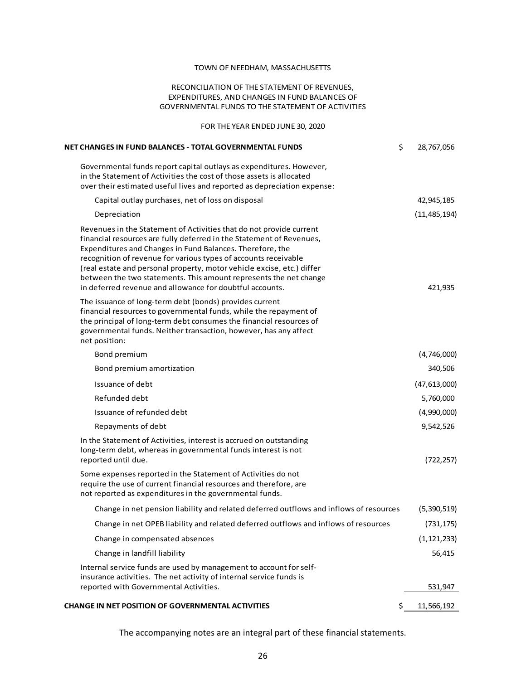### RECONCILIATION OF THE STATEMENT OF REVENUES, EXPENDITURES, AND CHANGES IN FUND BALANCES OF GOVERNMENTAL FUNDS TO THE STATEMENT OF ACTIVITIES

FOR THE YEAR ENDED JUNE 30, 2020

| <b>NET CHANGES IN FUND BALANCES - TOTAL GOVERNMENTAL FUNDS</b>                                                                                                                                                                                                                                                                                                                                                                                                                         | \$<br>28,767,056 |
|----------------------------------------------------------------------------------------------------------------------------------------------------------------------------------------------------------------------------------------------------------------------------------------------------------------------------------------------------------------------------------------------------------------------------------------------------------------------------------------|------------------|
| Governmental funds report capital outlays as expenditures. However,<br>in the Statement of Activities the cost of those assets is allocated<br>over their estimated useful lives and reported as depreciation expense:                                                                                                                                                                                                                                                                 |                  |
| Capital outlay purchases, net of loss on disposal                                                                                                                                                                                                                                                                                                                                                                                                                                      | 42,945,185       |
| Depreciation                                                                                                                                                                                                                                                                                                                                                                                                                                                                           | (11, 485, 194)   |
| Revenues in the Statement of Activities that do not provide current<br>financial resources are fully deferred in the Statement of Revenues,<br>Expenditures and Changes in Fund Balances. Therefore, the<br>recognition of revenue for various types of accounts receivable<br>(real estate and personal property, motor vehicle excise, etc.) differ<br>between the two statements. This amount represents the net change<br>in deferred revenue and allowance for doubtful accounts. | 421,935          |
| The issuance of long-term debt (bonds) provides current<br>financial resources to governmental funds, while the repayment of<br>the principal of long-term debt consumes the financial resources of<br>governmental funds. Neither transaction, however, has any affect<br>net position:                                                                                                                                                                                               |                  |
| Bond premium                                                                                                                                                                                                                                                                                                                                                                                                                                                                           | (4,746,000)      |
| Bond premium amortization                                                                                                                                                                                                                                                                                                                                                                                                                                                              | 340,506          |
| Issuance of debt                                                                                                                                                                                                                                                                                                                                                                                                                                                                       | (47, 613, 000)   |
| Refunded debt                                                                                                                                                                                                                                                                                                                                                                                                                                                                          | 5,760,000        |
| Issuance of refunded debt                                                                                                                                                                                                                                                                                                                                                                                                                                                              | (4,990,000)      |
| Repayments of debt                                                                                                                                                                                                                                                                                                                                                                                                                                                                     | 9,542,526        |
| In the Statement of Activities, interest is accrued on outstanding<br>long-term debt, whereas in governmental funds interest is not<br>reported until due.                                                                                                                                                                                                                                                                                                                             | (722, 257)       |
| Some expenses reported in the Statement of Activities do not<br>require the use of current financial resources and therefore, are<br>not reported as expenditures in the governmental funds.                                                                                                                                                                                                                                                                                           |                  |
| Change in net pension liability and related deferred outflows and inflows of resources                                                                                                                                                                                                                                                                                                                                                                                                 | (5,390,519)      |
| Change in net OPEB liability and related deferred outflows and inflows of resources                                                                                                                                                                                                                                                                                                                                                                                                    | (731, 175)       |
| Change in compensated absences                                                                                                                                                                                                                                                                                                                                                                                                                                                         | (1, 121, 233)    |
| Change in landfill liability                                                                                                                                                                                                                                                                                                                                                                                                                                                           | 56,415           |
| Internal service funds are used by management to account for self-<br>insurance activities. The net activity of internal service funds is                                                                                                                                                                                                                                                                                                                                              |                  |
| reported with Governmental Activities.                                                                                                                                                                                                                                                                                                                                                                                                                                                 | 531,947          |
| <b>CHANGE IN NET POSITION OF GOVERNMENTAL ACTIVITIES</b>                                                                                                                                                                                                                                                                                                                                                                                                                               | 11,566,192       |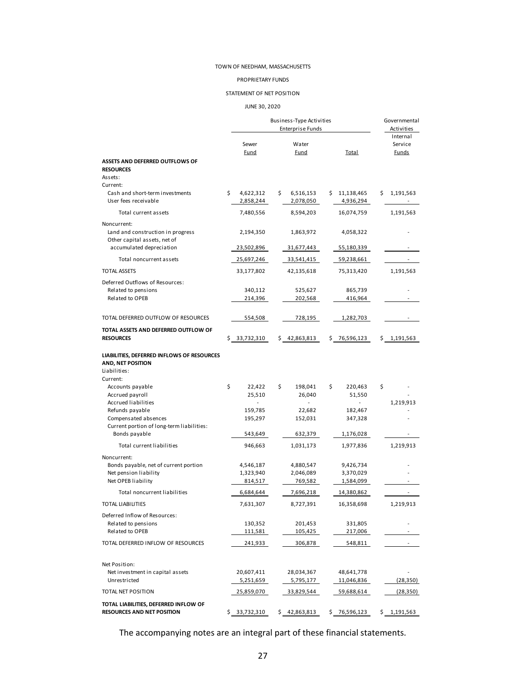#### PROPRIETARY FUNDS

#### STATEMENT OF NET POSITION

#### JUNE 30, 2020

|                                                                   |    |               | Business-Type Activities |                    |    | Governmental             |
|-------------------------------------------------------------------|----|---------------|--------------------------|--------------------|----|--------------------------|
|                                                                   |    |               | <b>Enterprise Funds</b>  |                    |    | Activities<br>Internal   |
|                                                                   |    | Sewer         | Water                    |                    |    | Service                  |
|                                                                   |    | Fund          | Fund                     | <b>Total</b>       |    | <b>Funds</b>             |
| <b>ASSETS AND DEFERRED OUTFLOWS OF</b>                            |    |               |                          |                    |    |                          |
| <b>RESOURCES</b>                                                  |    |               |                          |                    |    |                          |
| Assets:<br>Current:                                               |    |               |                          |                    |    |                          |
| Cash and short-term investments                                   | Ś. | 4,622,312     | \$<br>6,516,153          | \$<br>11,138,465   | s  | 1,191,563                |
| User fees receivable                                              |    | 2,858,244     | 2,078,050                | 4,936,294          |    |                          |
| Total current assets                                              |    | 7,480,556     | 8,594,203                | 16,074,759         |    | 1,191,563                |
| Noncurrent:                                                       |    |               |                          |                    |    |                          |
| Land and construction in progress                                 |    | 2,194,350     | 1,863,972                | 4,058,322          |    |                          |
| Other capital assets, net of<br>accumulated depreciation          |    |               |                          |                    |    |                          |
|                                                                   |    | 23,502,896    | 31,677,443               | 55,180,339         |    |                          |
| Total noncurrent assets                                           |    | 25,697,246    | 33,541,415               | 59,238,661         |    | $\overline{\phantom{a}}$ |
| <b>TOTAL ASSETS</b>                                               |    | 33,177,802    | 42,135,618               | 75,313,420         |    | 1,191,563                |
| Deferred Outflows of Resources:                                   |    |               |                          |                    |    |                          |
| Related to pensions<br>Related to OPEB                            |    | 340,112       | 525,627                  | 865,739<br>416,964 |    |                          |
|                                                                   |    | 214,396       | 202,568                  |                    |    |                          |
| TOTAL DEFERRED OUTFLOW OF RESOURCES                               |    | 554,508       | 728,195                  | 1,282,703          |    |                          |
|                                                                   |    |               |                          |                    |    |                          |
| TOTAL ASSETS AND DEFERRED OUTFLOW OF<br><b>RESOURCES</b>          |    | \$ 33,732,310 | 42,863,813               | \$76,596,123       |    | \$1,191,563              |
|                                                                   |    |               |                          |                    |    |                          |
| LIABILITIES, DEFERRED INFLOWS OF RESOURCES                        |    |               |                          |                    |    |                          |
| AND, NET POSITION                                                 |    |               |                          |                    |    |                          |
| Liabilities:<br>Current:                                          |    |               |                          |                    |    |                          |
| Accounts payable                                                  | \$ | 22,422        | \$<br>198,041            | \$<br>220,463      | \$ |                          |
| Accrued payroll                                                   |    | 25,510        | 26,040                   | 51,550             |    |                          |
| Accrued liabilities                                               |    |               |                          |                    |    | 1,219,913                |
| Refunds payable                                                   |    | 159,785       | 22,682                   | 182,467            |    |                          |
| Compensated absences<br>Current portion of long-term liabilities: |    | 195,297       | 152,031                  | 347,328            |    |                          |
| Bonds payable                                                     |    | 543,649       | 632,379                  | 1,176,028          |    |                          |
| Total current liabilities                                         |    | 946,663       | 1,031,173                | 1,977,836          |    | 1,219,913                |
| Noncurrent:                                                       |    |               |                          |                    |    |                          |
| Bonds payable, net of current portion                             |    | 4,546,187     | 4,880,547                | 9,426,734          |    |                          |
| Net pension liability                                             |    | 1,323,940     | 2,046,089                | 3,370,029          |    |                          |
| Net OPEB liability                                                |    | 814,517       | 769,582                  | 1,584,099          |    |                          |
| Total noncurrent liabilities                                      |    | 6,684,644     | 7,696,218                | 14,380,862         |    |                          |
| TOTAL LIABILITIES                                                 |    | 7,631,307     | 8,727,391                | 16,358,698         |    | 1,219,913                |
| Deferred Inflow of Resources:                                     |    |               |                          |                    |    |                          |
| Related to pensions                                               |    | 130,352       | 201,453                  | 331,805            |    |                          |
| Related to OPEB                                                   |    | 111,581       | 105,425                  | 217,006            |    |                          |
| TOTAL DEFERRED INFLOW OF RESOURCES                                |    | 241,933       | 306,878                  | 548,811            |    |                          |
| Net Position:                                                     |    |               |                          |                    |    |                          |
| Net investment in capital assets                                  |    | 20,607,411    | 28,034,367               | 48,641,778         |    |                          |
| Unrestricted                                                      |    | 5,251,659     | 5,795,177                | 11,046,836         |    | (28, 350)                |
| <b>TOTAL NET POSITION</b>                                         |    | 25,859,070    | 33,829,544               | 59,688,614         |    | (28, 350)                |
| TOTAL LIABILITIES, DEFERRED INFLOW OF                             |    |               |                          |                    |    |                          |
| <b>RESOURCES AND NET POSITION</b>                                 |    | \$33,732,310  | \$42,863,813             | \$76,596,123       |    | \$1,191,563              |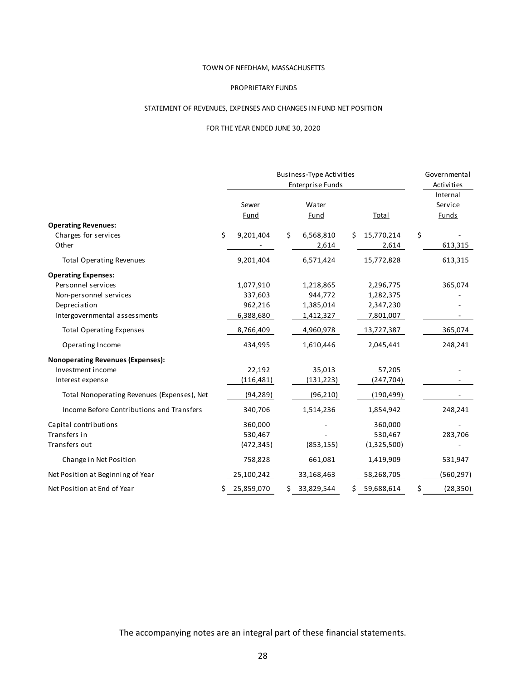#### PROPRIETARY FUNDS

## STATEMENT OF REVENUES, EXPENSES AND CHANGES IN FUND NET POSITION

## FOR THE YEAR ENDED JUNE 30, 2020

|                                             |                 | Business-Type Activities |    |                     | Governmental                        |
|---------------------------------------------|-----------------|--------------------------|----|---------------------|-------------------------------------|
|                                             |                 | <b>Enterprise Funds</b>  |    |                     | Activities                          |
|                                             | Sewer<br>Fund   | Water<br><b>Fund</b>     |    | Total               | Internal<br>Service<br><b>Funds</b> |
| <b>Operating Revenues:</b>                  |                 |                          |    |                     |                                     |
| Charges for services<br>Other               | \$<br>9,201,404 | \$<br>6,568,810<br>2,614 | Ś. | 15,770,214<br>2,614 | \$<br>613,315                       |
| <b>Total Operating Revenues</b>             | 9,201,404       | 6,571,424                |    | 15,772,828          | 613,315                             |
| <b>Operating Expenses:</b>                  |                 |                          |    |                     |                                     |
| Personnel services                          | 1,077,910       | 1,218,865                |    | 2,296,775           | 365,074                             |
| Non-personnel services                      | 337,603         | 944,772                  |    | 1,282,375           |                                     |
| Depreciation                                | 962,216         | 1,385,014                |    | 2,347,230           |                                     |
| Intergovernmental assessments               | 6,388,680       | 1,412,327                |    | 7,801,007           |                                     |
| <b>Total Operating Expenses</b>             | 8,766,409       | 4,960,978                |    | 13,727,387          | 365,074                             |
| Operating Income                            | 434,995         | 1,610,446                |    | 2,045,441           | 248,241                             |
| <b>Nonoperating Revenues (Expenses):</b>    |                 |                          |    |                     |                                     |
| Investment income                           | 22,192          | 35,013                   |    | 57,205              |                                     |
| Interest expense                            | (116, 481)      | (131, 223)               |    | (247, 704)          |                                     |
| Total Nonoperating Revenues (Expenses), Net | (94, 289)       | (96, 210)                |    | (190, 499)          |                                     |
| Income Before Contributions and Transfers   | 340,706         | 1,514,236                |    | 1,854,942           | 248,241                             |
| Capital contributions                       | 360,000         |                          |    | 360,000             |                                     |
| Transfers in                                | 530,467         |                          |    | 530,467             | 283,706                             |
| Transfers out                               | (472,345)       | (853, 155)               |    | (1,325,500)         |                                     |
| Change in Net Position                      | 758,828         | 661,081                  |    | 1,419,909           | 531,947                             |
| Net Position at Beginning of Year           | 25,100,242      | 33,168,463               |    | 58,268,705          | (560, 297)                          |
| Net Position at End of Year                 | 25,859,070      | \$33,829,544             |    | \$59,688,614        | (28, 350)                           |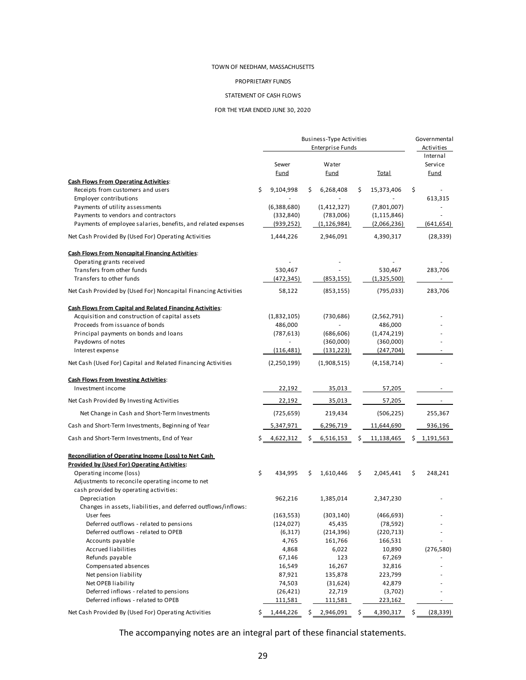#### PROPRIETARY FUNDS

#### STATEMENT OF CASH FLOWS

#### FOR THE YEAR ENDED JUNE 30, 2020

|                                                                                | Business-Type Activities<br><b>Enterprise Funds</b> |                      |    | Governmental<br>Activities |    |               |                                    |
|--------------------------------------------------------------------------------|-----------------------------------------------------|----------------------|----|----------------------------|----|---------------|------------------------------------|
|                                                                                |                                                     | Sewer<br><b>Fund</b> |    | Water<br><b>Fund</b>       |    | <b>Total</b>  | Internal<br>Service<br><b>Fund</b> |
| <b>Cash Flows From Operating Activities:</b>                                   |                                                     |                      |    |                            |    |               |                                    |
| Receipts from customers and users                                              | \$                                                  | 9,104,998            | Ś. | 6,268,408                  | \$ | 15,373,406    | \$                                 |
| <b>Employer contributions</b><br>Payments of utility assessments               |                                                     | (6,388,680)          |    | (1,412,327)                |    | (7,801,007)   | 613,315                            |
| Payments to vendors and contractors                                            |                                                     | (332, 840)           |    | (783,006)                  |    | (1, 115, 846) |                                    |
| Payments of employee salaries, benefits, and related expenses                  |                                                     | (939, 252)           |    | (1, 126, 984)              |    | (2,066,236)   | (641, 654)                         |
| Net Cash Provided By (Used For) Operating Activities                           |                                                     | 1,444,226            |    | 2,946,091                  |    | 4,390,317     | (28, 339)                          |
| <b>Cash Flows From Noncapital Financing Activities:</b>                        |                                                     |                      |    |                            |    |               |                                    |
| Operating grants received                                                      |                                                     |                      |    |                            |    |               |                                    |
| Transfers from other funds                                                     |                                                     | 530,467              |    |                            |    | 530,467       | 283,706                            |
| Transfers to other funds                                                       |                                                     | (472,345)            |    | (853, 155)                 |    | (1,325,500)   |                                    |
| Net Cash Provided by (Used For) Noncapital Financing Activities                |                                                     | 58,122               |    | (853, 155)                 |    | (795, 033)    | 283,706                            |
| <b>Cash Flows From Capital and Related Financing Activities:</b>               |                                                     |                      |    |                            |    |               |                                    |
| Acquisition and construction of capital assets                                 |                                                     | (1,832,105)          |    | (730, 686)                 |    | (2,562,791)   |                                    |
| Proceeds from issuance of bonds                                                |                                                     | 486,000              |    |                            |    | 486,000       |                                    |
| Principal payments on bonds and loans                                          |                                                     | (787, 613)           |    | (686, 606)                 |    | (1,474,219)   |                                    |
| Paydowns of notes                                                              |                                                     |                      |    | (360,000)                  |    | (360,000)     |                                    |
| Interest expense                                                               |                                                     | (116,481)            |    | (131, 223)                 |    | (247, 704)    |                                    |
| Net Cash (Used For) Capital and Related Financing Activities                   |                                                     | (2,250,199)          |    | (1,908,515)                |    | (4, 158, 714) |                                    |
| <b>Cash Flows From Investing Activities:</b>                                   |                                                     |                      |    |                            |    |               |                                    |
| Investment income                                                              |                                                     | 22,192               |    | 35,013                     |    | 57,205        |                                    |
| Net Cash Provided By Investing Activities                                      |                                                     | 22,192               |    | 35,013                     |    | 57,205        |                                    |
| Net Change in Cash and Short-Term Investments                                  |                                                     | (725, 659)           |    | 219,434                    |    | (506, 225)    | 255,367                            |
| Cash and Short-Term Investments, Beginning of Year                             |                                                     | 5,347,971            |    | 6,296,719                  |    | 11,644,690    | 936,196                            |
| Cash and Short-Term Investments, End of Year                                   |                                                     | 4,622,312            | Ś. | 6,516,153                  | Ś  | 11,138,465    | \$<br>1,191,563                    |
| Reconciliation of Operating Income (Loss) to Net Cash                          |                                                     |                      |    |                            |    |               |                                    |
| <b>Provided by (Used For) Operating Activities:</b><br>Operating income (loss) | \$                                                  | 434,995              | \$ | 1,610,446                  | \$ | 2,045,441     | \$<br>248,241                      |
| Adjustments to reconcile operating income to net                               |                                                     |                      |    |                            |    |               |                                    |
| cash provided by operating activities:                                         |                                                     |                      |    |                            |    |               |                                    |
| Depreciation                                                                   |                                                     | 962,216              |    | 1,385,014                  |    | 2,347,230     |                                    |
| Changes in assets, liabilities, and deferred outflows/inflows:                 |                                                     |                      |    |                            |    |               |                                    |
| Us er fees                                                                     |                                                     | (163, 553)           |    | (303, 140)                 |    | (466, 693)    |                                    |
| Deferred outflows - related to pensions                                        |                                                     | (124, 027)           |    | 45,435                     |    | (78, 592)     |                                    |
| Deferred outflows - related to OPEB                                            |                                                     | (6,317)              |    | (214, 396)                 |    | (220, 713)    |                                    |
| Accounts payable                                                               |                                                     | 4,765                |    | 161,766                    |    | 166,531       |                                    |
| Accrued liabilities                                                            |                                                     | 4,868                |    | 6,022                      |    | 10,890        | (276, 580)                         |
| Refunds payable                                                                |                                                     | 67,146               |    | 123                        |    | 67,269        |                                    |
| Compensated absences                                                           |                                                     | 16,549               |    | 16,267                     |    | 32,816        |                                    |
| Net pension liability                                                          |                                                     | 87,921               |    | 135,878                    |    | 223,799       |                                    |
| Net OPEB liability                                                             |                                                     | 74,503               |    | (31, 624)                  |    | 42,879        |                                    |
| Deferred inflows - related to pensions                                         |                                                     | (26, 421)            |    | 22,719                     |    | (3,702)       |                                    |
| Deferred inflows - related to OPEB                                             |                                                     | 111,581              |    | 111,581                    |    | 223,162       |                                    |
| Net Cash Provided By (Used For) Operating Activities                           | Ś.                                                  | 1,444,226            | S  | 2,946,091                  | \$ | 4,390,317     | \$<br>(28, 339)                    |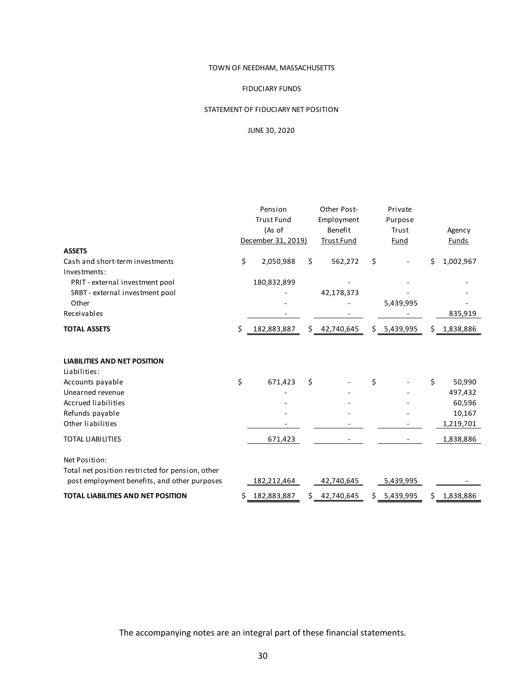#### FIDUCIARY FUNDS

## STATEMENT OF FIDUCIARY NET POSITION

## JUNE 30, 2020

|                                                  | Pension           |                    | Other Post- | Private           |       |              |                 |
|--------------------------------------------------|-------------------|--------------------|-------------|-------------------|-------|--------------|-----------------|
|                                                  | <b>Trust Fund</b> |                    | Employment  | Purpose           |       |              |                 |
|                                                  | (As of            |                    |             | Benefit           | Trust |              | Agency          |
|                                                  |                   | December 31, 2019) |             | <b>Trust Fund</b> |       | Fund         | <b>Funds</b>    |
| <b>ASSETS</b>                                    |                   |                    |             |                   |       |              |                 |
| Cash and short-term investments<br>Investments:  | \$                | 2,050,988          | \$          | 562,272           | \$    |              | \$<br>1,002,967 |
| PRIT - external investment pool                  |                   | 180,832,899        |             |                   |       |              |                 |
| SRBT - external investment pool                  |                   |                    |             | 42,178,373        |       |              |                 |
| Other                                            |                   |                    |             |                   |       | 5,439,995    |                 |
| Receivables                                      |                   |                    |             |                   |       |              | 835,919         |
|                                                  |                   |                    |             |                   |       |              |                 |
| <b>TOTAL ASSETS</b>                              | \$                | 182,883,887        | \$          | 42,740,645        |       | \$5,439,995  | \$1,838,886     |
| <b>LIABILITIES AND NET POSITION</b>              |                   |                    |             |                   |       |              |                 |
| Liabilities:                                     |                   |                    |             |                   |       |              |                 |
| Accounts payable                                 | \$                | 671,423            | \$          |                   | \$    |              | \$<br>50,990    |
| Unearned revenue                                 |                   |                    |             |                   |       |              | 497,432         |
| <b>Accrued liabilities</b>                       |                   |                    |             |                   |       |              | 60,596          |
| Refunds payable                                  |                   |                    |             |                   |       |              | 10,167          |
| Other liabilities                                |                   |                    |             |                   |       |              | 1,219,701       |
| <b>TOTAL LIABILITIES</b>                         |                   | 671,423            |             |                   |       |              | 1,838,886       |
| Net Position:                                    |                   |                    |             |                   |       |              |                 |
| Total net position restricted for pension, other |                   |                    |             |                   |       |              |                 |
| post employment benefits, and other purposes     |                   | 182,212,464        |             | 42,740,645        |       | 5,439,995    |                 |
| <b>TOTAL LIABILITIES AND NET POSITION</b>        | \$                | 182,883,887        | \$          | 42,740,645        |       | \$ 5,439,995 | \$1,838,886     |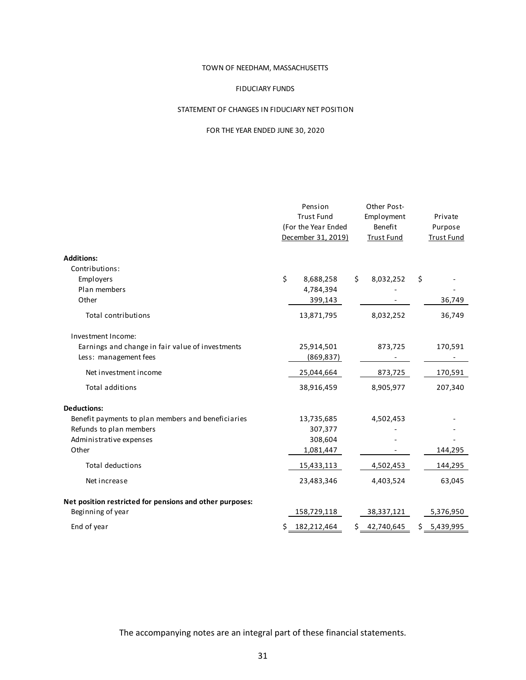#### FIDUCIARY FUNDS

## STATEMENT OF CHANGES IN FIDUCIARY NET POSITION

## FOR THE YEAR ENDED JUNE 30, 2020

|                                                          | Pension<br><b>Trust Fund</b><br>(For the Year Ended<br>December 31, 2019) |             |    | Other Post-<br>Employment<br>Benefit<br><b>Trust Fund</b> | Private<br>Purpose<br><b>Trust Fund</b> |
|----------------------------------------------------------|---------------------------------------------------------------------------|-------------|----|-----------------------------------------------------------|-----------------------------------------|
| <b>Additions:</b>                                        |                                                                           |             |    |                                                           |                                         |
| Contributions:                                           |                                                                           |             |    |                                                           |                                         |
| Employers                                                | \$                                                                        | 8,688,258   | \$ | 8,032,252                                                 | \$                                      |
| Plan members                                             |                                                                           | 4,784,394   |    |                                                           |                                         |
| Other                                                    |                                                                           | 399,143     |    |                                                           | 36,749                                  |
| <b>Total contributions</b>                               |                                                                           | 13,871,795  |    | 8,032,252                                                 | 36,749                                  |
| Investment Income:                                       |                                                                           |             |    |                                                           |                                         |
| Earnings and change in fair value of investments         |                                                                           | 25,914,501  |    | 873,725                                                   | 170,591                                 |
| Less: management fees                                    |                                                                           | (869, 837)  |    |                                                           |                                         |
| Net investment income                                    |                                                                           | 25,044,664  |    | 873,725                                                   | 170,591                                 |
| <b>Total additions</b>                                   |                                                                           | 38,916,459  |    | 8,905,977                                                 | 207,340                                 |
| <b>Deductions:</b>                                       |                                                                           |             |    |                                                           |                                         |
| Benefit payments to plan members and beneficiaries       |                                                                           | 13,735,685  |    | 4,502,453                                                 |                                         |
| Refunds to plan members                                  |                                                                           | 307,377     |    |                                                           |                                         |
| Administrative expenses                                  |                                                                           | 308,604     |    |                                                           |                                         |
| Other                                                    |                                                                           | 1,081,447   |    |                                                           | 144,295                                 |
| <b>Total deductions</b>                                  |                                                                           | 15,433,113  |    | 4,502,453                                                 | 144,295                                 |
| Net increase                                             |                                                                           | 23,483,346  |    | 4,403,524                                                 | 63,045                                  |
| Net position restricted for pensions and other purposes: |                                                                           |             |    |                                                           |                                         |
| Beginning of year                                        |                                                                           | 158,729,118 |    | 38,337,121                                                | 5,376,950                               |
| End of year                                              | \$<br>182,212,464                                                         |             | \$ | 42,740,645                                                | \$5,439,995                             |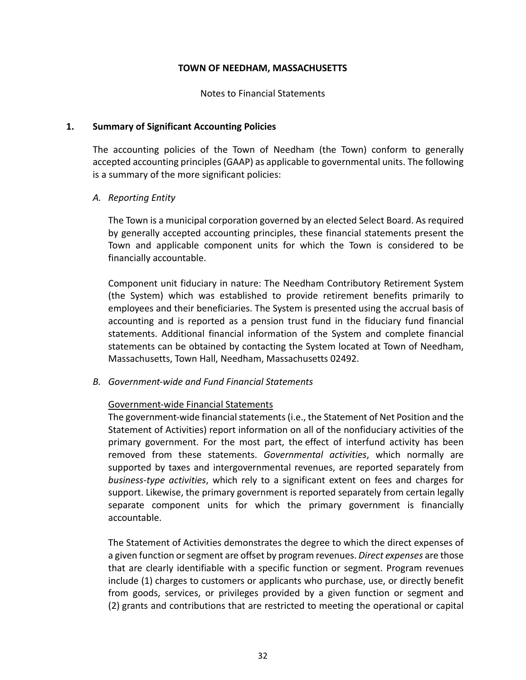Notes to Financial Statements

# **1. Summary of Significant Accounting Policies**

The accounting policies of the Town of Needham (the Town) conform to generally accepted accounting principles (GAAP) as applicable to governmental units. The following is a summary of the more significant policies:

# *A. Reporting Entity*

The Town is a municipal corporation governed by an elected Select Board. As required by generally accepted accounting principles, these financial statements present the Town and applicable component units for which the Town is considered to be financially accountable.

Component unit fiduciary in nature: The Needham Contributory Retirement System (the System) which was established to provide retirement benefits primarily to employees and their beneficiaries. The System is presented using the accrual basis of accounting and is reported as a pension trust fund in the fiduciary fund financial statements. Additional financial information of the System and complete financial statements can be obtained by contacting the System located at Town of Needham, Massachusetts, Town Hall, Needham, Massachusetts 02492.

*B. Government‐wide and Fund Financial Statements* 

# Government‐wide Financial Statements

The government‐wide financial statements (i.e., the Statement of Net Position and the Statement of Activities) report information on all of the nonfiduciary activities of the primary government. For the most part, the effect of interfund activity has been removed from these statements. *Governmental activities*, which normally are supported by taxes and intergovernmental revenues, are reported separately from *business‐type activities*, which rely to a significant extent on fees and charges for support. Likewise, the primary government is reported separately from certain legally separate component units for which the primary government is financially accountable.

The Statement of Activities demonstrates the degree to which the direct expenses of a given function or segment are offset by program revenues. *Direct expenses* are those that are clearly identifiable with a specific function or segment. Program revenues include (1) charges to customers or applicants who purchase, use, or directly benefit from goods, services, or privileges provided by a given function or segment and (2) grants and contributions that are restricted to meeting the operational or capital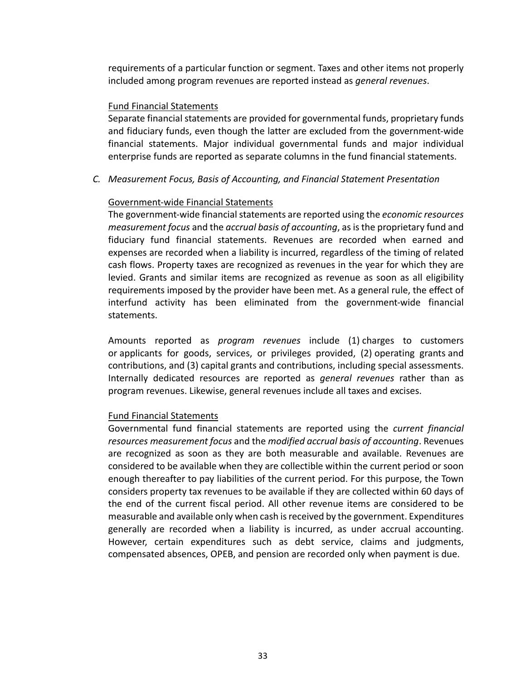requirements of a particular function or segment. Taxes and other items not properly included among program revenues are reported instead as *general revenues*.

# Fund Financial Statements

Separate financial statements are provided for governmental funds, proprietary funds and fiduciary funds, even though the latter are excluded from the government‐wide financial statements. Major individual governmental funds and major individual enterprise funds are reported as separate columns in the fund financial statements.

*C. Measurement Focus, Basis of Accounting, and Financial Statement Presentation* 

# Government‐wide Financial Statements

The government‐wide financial statements are reported using the *economic resources measurement focus* and the *accrual basis of accounting*, as is the proprietary fund and fiduciary fund financial statements. Revenues are recorded when earned and expenses are recorded when a liability is incurred, regardless of the timing of related cash flows. Property taxes are recognized as revenues in the year for which they are levied. Grants and similar items are recognized as revenue as soon as all eligibility requirements imposed by the provider have been met. As a general rule, the effect of interfund activity has been eliminated from the government‐wide financial statements.

Amounts reported as *program revenues* include (1) charges to customers or applicants for goods, services, or privileges provided, (2) operating grants and contributions, and (3) capital grants and contributions, including special assessments. Internally dedicated resources are reported as *general revenues* rather than as program revenues. Likewise, general revenues include all taxes and excises.

## Fund Financial Statements

Governmental fund financial statements are reported using the *current financial resources measurement focus* and the *modified accrual basis of accounting*. Revenues are recognized as soon as they are both measurable and available. Revenues are considered to be available when they are collectible within the current period or soon enough thereafter to pay liabilities of the current period. For this purpose, the Town considers property tax revenues to be available if they are collected within 60 days of the end of the current fiscal period. All other revenue items are considered to be measurable and available only when cash is received by the government. Expenditures generally are recorded when a liability is incurred, as under accrual accounting. However, certain expenditures such as debt service, claims and judgments, compensated absences, OPEB, and pension are recorded only when payment is due.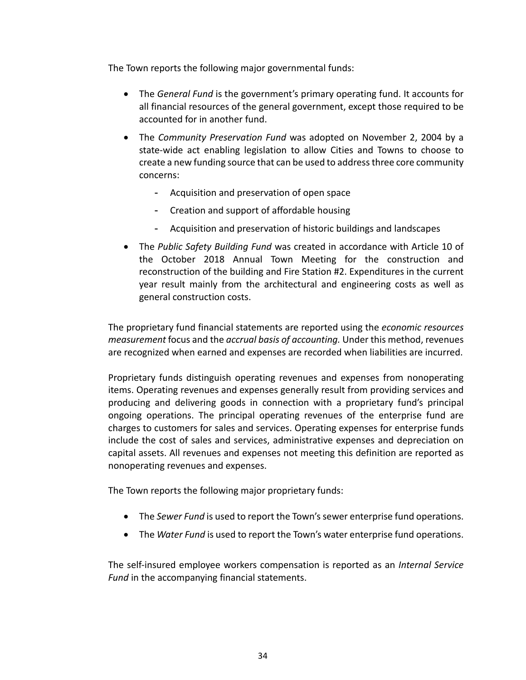The Town reports the following major governmental funds:

- The *General Fund* is the government's primary operating fund. It accounts for all financial resources of the general government, except those required to be accounted for in another fund.
- The *Community Preservation Fund* was adopted on November 2, 2004 by a state‐wide act enabling legislation to allow Cities and Towns to choose to create a new funding source that can be used to address three core community concerns:
	- Acquisition and preservation of open space
	- Creation and support of affordable housing
	- Acquisition and preservation of historic buildings and landscapes
- The *Public Safety Building Fund* was created in accordance with Article 10 of the October 2018 Annual Town Meeting for the construction and reconstruction of the building and Fire Station #2. Expenditures in the current year result mainly from the architectural and engineering costs as well as general construction costs.

The proprietary fund financial statements are reported using the *economic resources measurement* focus and the *accrual basis of accounting.* Under this method, revenues are recognized when earned and expenses are recorded when liabilities are incurred.

Proprietary funds distinguish operating revenues and expenses from nonoperating items. Operating revenues and expenses generally result from providing services and producing and delivering goods in connection with a proprietary fund's principal ongoing operations. The principal operating revenues of the enterprise fund are charges to customers for sales and services. Operating expenses for enterprise funds include the cost of sales and services, administrative expenses and depreciation on capital assets. All revenues and expenses not meeting this definition are reported as nonoperating revenues and expenses.

The Town reports the following major proprietary funds:

- The *Sewer Fund* is used to report the Town's sewer enterprise fund operations.
- The *Water Fund* is used to report the Town's water enterprise fund operations.

The self‐insured employee workers compensation is reported as an *Internal Service Fund* in the accompanying financial statements.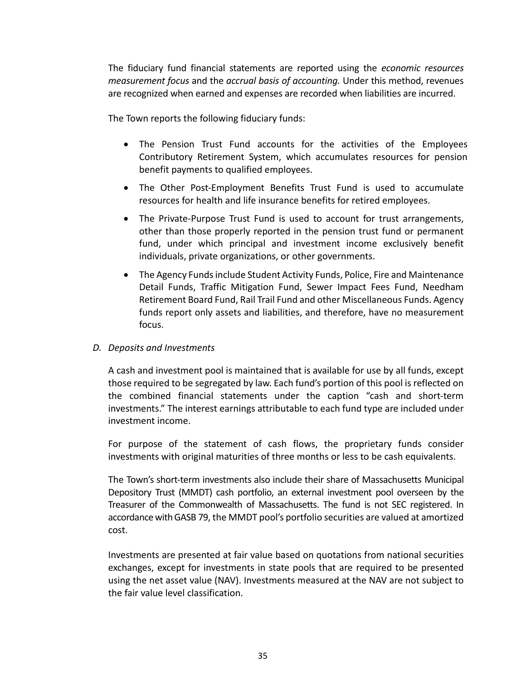The fiduciary fund financial statements are reported using the *economic resources measurement focus* and the *accrual basis of accounting.* Under this method, revenues are recognized when earned and expenses are recorded when liabilities are incurred.

The Town reports the following fiduciary funds:

- The Pension Trust Fund accounts for the activities of the Employees Contributory Retirement System, which accumulates resources for pension benefit payments to qualified employees.
- The Other Post-Employment Benefits Trust Fund is used to accumulate resources for health and life insurance benefits for retired employees.
- The Private-Purpose Trust Fund is used to account for trust arrangements, other than those properly reported in the pension trust fund or permanent fund, under which principal and investment income exclusively benefit individuals, private organizations, or other governments.
- The Agency Funds include Student Activity Funds, Police, Fire and Maintenance Detail Funds, Traffic Mitigation Fund, Sewer Impact Fees Fund, Needham Retirement Board Fund, Rail Trail Fund and other Miscellaneous Funds. Agency funds report only assets and liabilities, and therefore, have no measurement focus.

## *D. Deposits and Investments*

A cash and investment pool is maintained that is available for use by all funds, except those required to be segregated by law. Each fund's portion of this pool is reflected on the combined financial statements under the caption "cash and short‐term investments." The interest earnings attributable to each fund type are included under investment income.

For purpose of the statement of cash flows, the proprietary funds consider investments with original maturities of three months or less to be cash equivalents.

The Town's short‐term investments also include their share of Massachusetts Municipal Depository Trust (MMDT) cash portfolio, an external investment pool overseen by the Treasurer of the Commonwealth of Massachusetts. The fund is not SEC registered. In accordance with GASB 79, the MMDT pool's portfolio securities are valued at amortized cost.

Investments are presented at fair value based on quotations from national securities exchanges, except for investments in state pools that are required to be presented using the net asset value (NAV). Investments measured at the NAV are not subject to the fair value level classification.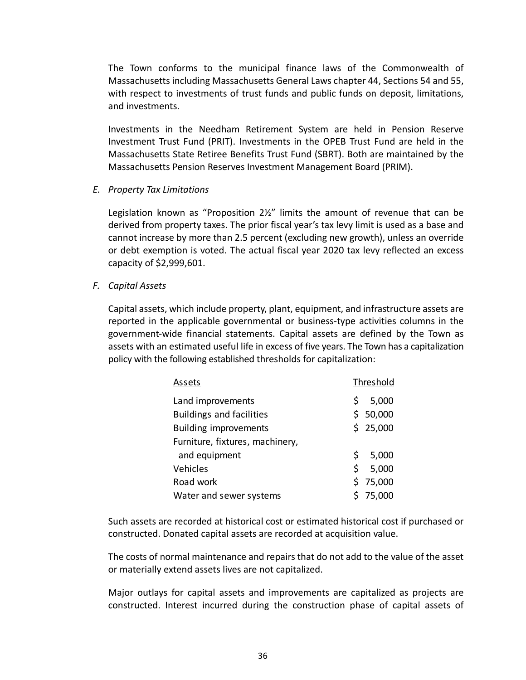The Town conforms to the municipal finance laws of the Commonwealth of Massachusetts including Massachusetts General Laws chapter 44, Sections 54 and 55, with respect to investments of trust funds and public funds on deposit, limitations, and investments.

Investments in the Needham Retirement System are held in Pension Reserve Investment Trust Fund (PRIT). Investments in the OPEB Trust Fund are held in the Massachusetts State Retiree Benefits Trust Fund (SBRT). Both are maintained by the Massachusetts Pension Reserves Investment Management Board (PRIM).

*E. Property Tax Limitations* 

Legislation known as "Proposition  $2\frac{y}{y}$  limits the amount of revenue that can be derived from property taxes. The prior fiscal year's tax levy limit is used as a base and cannot increase by more than 2.5 percent (excluding new growth), unless an override or debt exemption is voted. The actual fiscal year 2020 tax levy reflected an excess capacity of \$2,999,601.

*F. Capital Assets* 

Capital assets, which include property, plant, equipment, and infrastructure assets are reported in the applicable governmental or business-type activities columns in the government‐wide financial statements. Capital assets are defined by the Town as assets with an estimated useful life in excess of five years. The Town has a capitalization policy with the following established thresholds for capitalization:

| Assets                          |    | Threshold |
|---------------------------------|----|-----------|
| Land improvements               | S  | 5,000     |
| <b>Buildings and facilities</b> |    | \$50,000  |
| <b>Building improvements</b>    |    | \$25,000  |
| Furniture, fixtures, machinery, |    |           |
| and equipment                   | \$ | 5,000     |
| Vehicles                        | \$ | 5,000     |
| Road work                       |    | \$75,000  |
| Water and sewer systems         |    | \$75,000  |

Such assets are recorded at historical cost or estimated historical cost if purchased or constructed. Donated capital assets are recorded at acquisition value.

The costs of normal maintenance and repairs that do not add to the value of the asset or materially extend assets lives are not capitalized.

Major outlays for capital assets and improvements are capitalized as projects are constructed. Interest incurred during the construction phase of capital assets of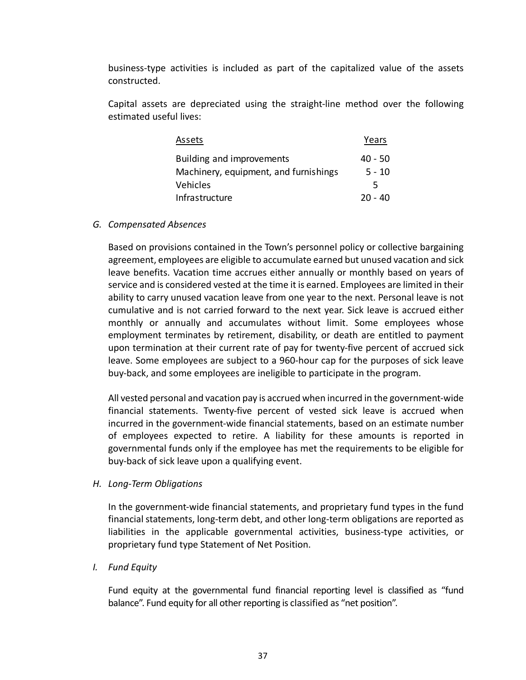business‐type activities is included as part of the capitalized value of the assets constructed.

Capital assets are depreciated using the straight‐line method over the following estimated useful lives:

| Assets                                | Years     |
|---------------------------------------|-----------|
| Building and improvements             | $40 - 50$ |
| Machinery, equipment, and furnishings | $5 - 10$  |
| Vehicles                              | 5         |
| Infrastructure                        | 20 - 40   |

### *G. Compensated Absences*

Based on provisions contained in the Town's personnel policy or collective bargaining agreement, employees are eligible to accumulate earned but unused vacation and sick leave benefits. Vacation time accrues either annually or monthly based on years of service and is considered vested at the time it is earned. Employees are limited in their ability to carry unused vacation leave from one year to the next. Personal leave is not cumulative and is not carried forward to the next year. Sick leave is accrued either monthly or annually and accumulates without limit. Some employees whose employment terminates by retirement, disability, or death are entitled to payment upon termination at their current rate of pay for twenty‐five percent of accrued sick leave. Some employees are subject to a 960‐hour cap for the purposes of sick leave buy‐back, and some employees are ineligible to participate in the program.

All vested personal and vacation pay is accrued when incurred in the government‐wide financial statements. Twenty-five percent of vested sick leave is accrued when incurred in the government‐wide financial statements, based on an estimate number of employees expected to retire. A liability for these amounts is reported in governmental funds only if the employee has met the requirements to be eligible for buy‐back of sick leave upon a qualifying event.

## *H. Long‐Term Obligations*

In the government‐wide financial statements, and proprietary fund types in the fund financial statements, long‐term debt, and other long‐term obligations are reported as liabilities in the applicable governmental activities, business‐type activities, or proprietary fund type Statement of Net Position.

## *I. Fund Equity*

Fund equity at the governmental fund financial reporting level is classified as "fund balance". Fund equity for all other reporting is classified as "net position".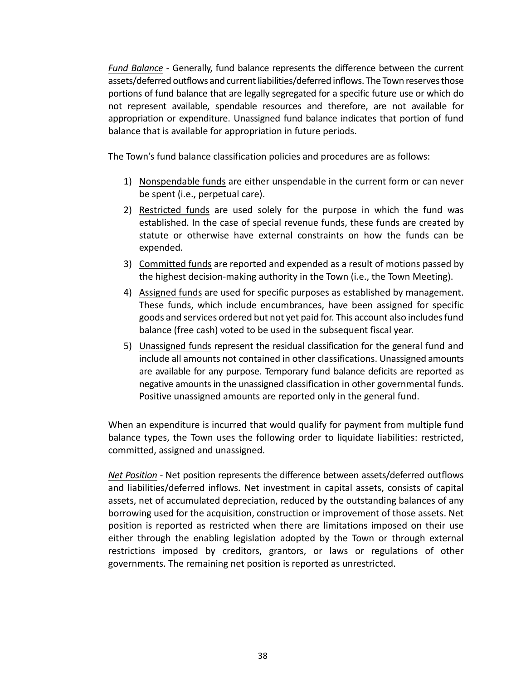*Fund Balance* - Generally, fund balance represents the difference between the current assets/deferred outflows and current liabilities/deferred inflows. The Town reserves those portions of fund balance that are legally segregated for a specific future use or which do not represent available, spendable resources and therefore, are not available for appropriation or expenditure. Unassigned fund balance indicates that portion of fund balance that is available for appropriation in future periods.

The Town's fund balance classification policies and procedures are as follows:

- 1) Nonspendable funds are either unspendable in the current form or can never be spent (i.e., perpetual care).
- 2) Restricted funds are used solely for the purpose in which the fund was established. In the case of special revenue funds, these funds are created by statute or otherwise have external constraints on how the funds can be expended.
- 3) Committed funds are reported and expended as a result of motions passed by the highest decision‐making authority in the Town (i.e., the Town Meeting).
- 4) Assigned funds are used for specific purposes as established by management. These funds, which include encumbrances, have been assigned for specific goods and services ordered but not yet paid for. This account also includes fund balance (free cash) voted to be used in the subsequent fiscal year.
- 5) Unassigned funds represent the residual classification for the general fund and include all amounts not contained in other classifications. Unassigned amounts are available for any purpose. Temporary fund balance deficits are reported as negative amounts in the unassigned classification in other governmental funds. Positive unassigned amounts are reported only in the general fund.

When an expenditure is incurred that would qualify for payment from multiple fund balance types, the Town uses the following order to liquidate liabilities: restricted, committed, assigned and unassigned.

*Net Position* ‐ Net position represents the difference between assets/deferred outflows and liabilities/deferred inflows. Net investment in capital assets, consists of capital assets, net of accumulated depreciation, reduced by the outstanding balances of any borrowing used for the acquisition, construction or improvement of those assets. Net position is reported as restricted when there are limitations imposed on their use either through the enabling legislation adopted by the Town or through external restrictions imposed by creditors, grantors, or laws or regulations of other governments. The remaining net position is reported as unrestricted.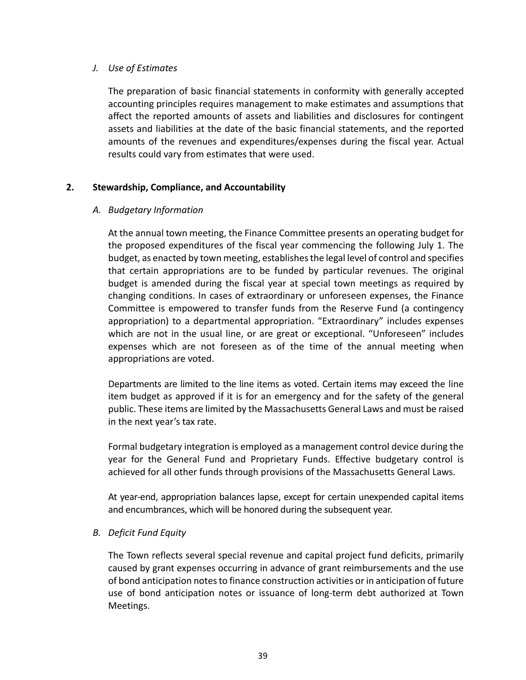## *J. Use of Estimates*

The preparation of basic financial statements in conformity with generally accepted accounting principles requires management to make estimates and assumptions that affect the reported amounts of assets and liabilities and disclosures for contingent assets and liabilities at the date of the basic financial statements, and the reported amounts of the revenues and expenditures/expenses during the fiscal year. Actual results could vary from estimates that were used.

# **2. Stewardship, Compliance, and Accountability**

# *A. Budgetary Information*

At the annual town meeting, the Finance Committee presents an operating budget for the proposed expenditures of the fiscal year commencing the following July 1. The budget, as enacted by town meeting, establishes the legal level of control and specifies that certain appropriations are to be funded by particular revenues. The original budget is amended during the fiscal year at special town meetings as required by changing conditions. In cases of extraordinary or unforeseen expenses, the Finance Committee is empowered to transfer funds from the Reserve Fund (a contingency appropriation) to a departmental appropriation. "Extraordinary" includes expenses which are not in the usual line, or are great or exceptional. "Unforeseen" includes expenses which are not foreseen as of the time of the annual meeting when appropriations are voted.

Departments are limited to the line items as voted. Certain items may exceed the line item budget as approved if it is for an emergency and for the safety of the general public. These items are limited by the Massachusetts General Laws and must be raised in the next year's tax rate.

Formal budgetary integration is employed as a management control device during the year for the General Fund and Proprietary Funds. Effective budgetary control is achieved for all other funds through provisions of the Massachusetts General Laws.

At year‐end, appropriation balances lapse, except for certain unexpended capital items and encumbrances, which will be honored during the subsequent year.

## *B. Deficit Fund Equity*

The Town reflects several special revenue and capital project fund deficits, primarily caused by grant expenses occurring in advance of grant reimbursements and the use of bond anticipation notes to finance construction activities or in anticipation of future use of bond anticipation notes or issuance of long‐term debt authorized at Town Meetings.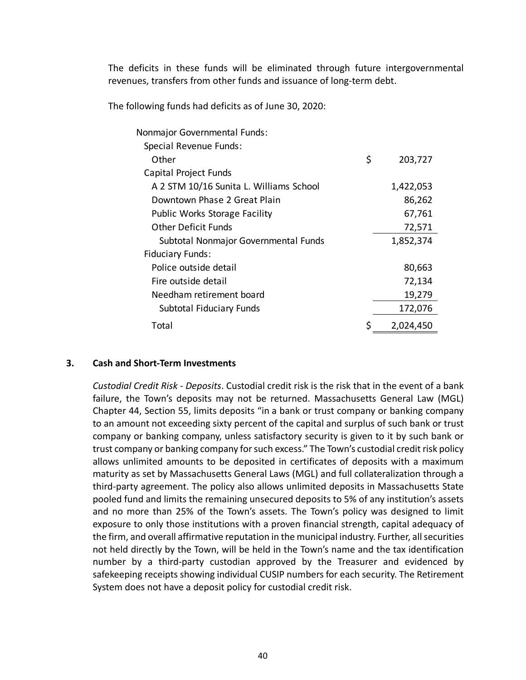The deficits in these funds will be eliminated through future intergovernmental revenues, transfers from other funds and issuance of long‐term debt.

The following funds had deficits as of June 30, 2020:

| Nonmajor Governmental Funds:            |               |
|-----------------------------------------|---------------|
| Special Revenue Funds:                  |               |
| Other                                   | \$<br>203,727 |
| Capital Project Funds                   |               |
| A 2 STM 10/16 Sunita L. Williams School | 1,422,053     |
| Downtown Phase 2 Great Plain            | 86,262        |
| <b>Public Works Storage Facility</b>    | 67,761        |
| Other Deficit Funds                     | 72,571        |
| Subtotal Nonmajor Governmental Funds    | 1,852,374     |
| <b>Fiduciary Funds:</b>                 |               |
| Police outside detail                   | 80,663        |
| Fire outside detail                     | 72,134        |
| Needham retirement board                | 19,279        |
| Subtotal Fiduciary Funds                | 172,076       |
| Total                                   | 2,024,450     |

## **3. Cash and Short‐Term Investments**

*Custodial Credit Risk* ‐ *Deposits*. Custodial credit risk is the risk that in the event of a bank failure, the Town's deposits may not be returned. Massachusetts General Law (MGL) Chapter 44, Section 55, limits deposits "in a bank or trust company or banking company to an amount not exceeding sixty percent of the capital and surplus of such bank or trust company or banking company, unless satisfactory security is given to it by such bank or trust company or banking company for such excess." The Town's custodial credit risk policy allows unlimited amounts to be deposited in certificates of deposits with a maximum maturity as set by Massachusetts General Laws (MGL) and full collateralization through a third‐party agreement. The policy also allows unlimited deposits in Massachusetts State pooled fund and limits the remaining unsecured deposits to 5% of any institution's assets and no more than 25% of the Town's assets. The Town's policy was designed to limit exposure to only those institutions with a proven financial strength, capital adequacy of the firm, and overall affirmative reputation in the municipal industry. Further, all securities not held directly by the Town, will be held in the Town's name and the tax identification number by a third-party custodian approved by the Treasurer and evidenced by safekeeping receipts showing individual CUSIP numbers for each security. The Retirement System does not have a deposit policy for custodial credit risk.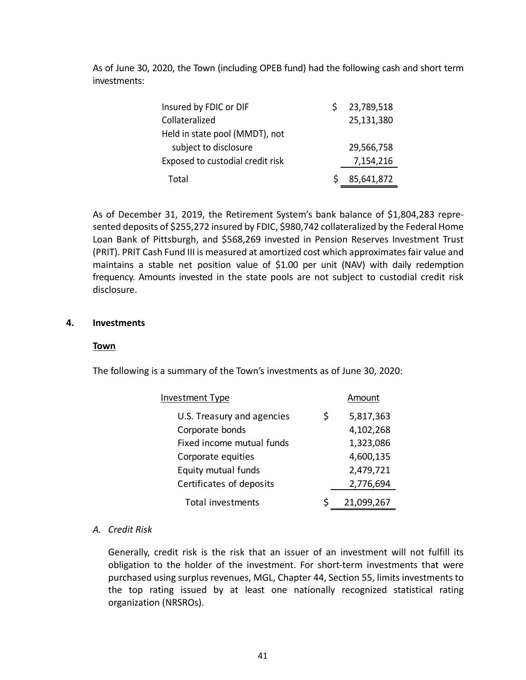As of June 30, 2020, the Town (including OPEB fund) had the following cash and short term investments:

| Insured by FDIC or DIF           | 23,789,518 |
|----------------------------------|------------|
| Collateralized                   | 25,131,380 |
| Held in state pool (MMDT), not   |            |
| subject to disclosure            | 29,566,758 |
| Exposed to custodial credit risk | 7,154,216  |
| Total                            | 85,641,872 |

As of December 31, 2019, the Retirement System's bank balance of \$1,804,283 repre‐ sented deposits of \$255,272 insured by FDIC, \$980,742 collateralized by the Federal Home Loan Bank of Pittsburgh, and \$568,269 invested in Pension Reserves Investment Trust (PRIT). PRIT Cash Fund III is measured at amortized cost which approximates fair value and maintains a stable net position value of \$1.00 per unit (NAV) with daily redemption frequency. Amounts invested in the state pools are not subject to custodial credit risk disclosure.

## **4. Investments**

## **Town**

The following is a summary of the Town's investments as of June 30, 2020:

| <b>Investment Type</b>     | Amount          |
|----------------------------|-----------------|
| U.S. Treasury and agencies | \$<br>5,817,363 |
| Corporate bonds            | 4,102,268       |
| Fixed income mutual funds  | 1,323,086       |
| Corporate equities         | 4,600,135       |
| Equity mutual funds        | 2,479,721       |
| Certificates of deposits   | 2,776,694       |
| <b>Total investments</b>   | 21,099,267      |

## *A. Credit Risk*

Generally, credit risk is the risk that an issuer of an investment will not fulfill its obligation to the holder of the investment. For short-term investments that were purchased using surplus revenues, MGL, Chapter 44, Section 55, limits investments to the top rating issued by at least one nationally recognized statistical rating organization (NRSROs).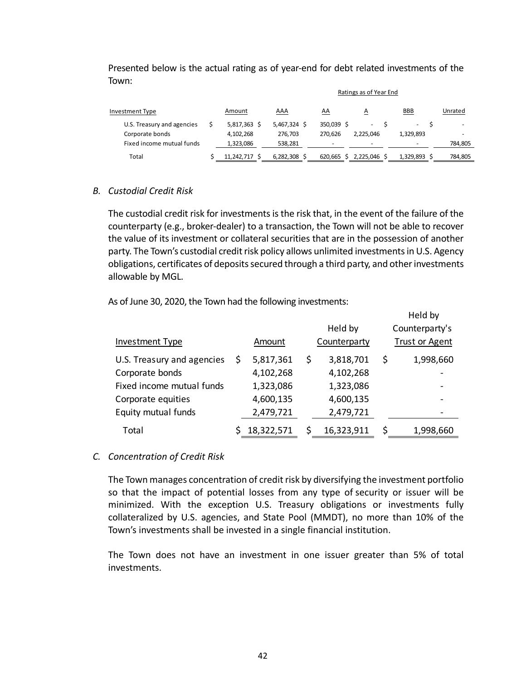|                            |              | Ratings as of Year End |            |                |                              |                          |  |  |
|----------------------------|--------------|------------------------|------------|----------------|------------------------------|--------------------------|--|--|
| Investment Type            | Amount       | AAA                    | <u>AA</u>  | $\overline{A}$ | <b>BBB</b>                   | Unrated                  |  |  |
| U.S. Treasury and agencies | 5,817,363 \$ | 5,467,324 \$           | 350,039 \$ | $\sim$         | $\qquad \qquad \blacksquare$ | $\overline{\phantom{a}}$ |  |  |
| Corporate bonds            | 4,102,268    | 276.703                | 270.626    | 2.225.046      | 1,329,893                    | -                        |  |  |
| Fixed income mutual funds  | 1,323,086    | 538,281                | -          |                |                              | 784,805                  |  |  |
| Total                      | 11.242.717   | 6,282,308              | 620,665    | 2,225,046 \$   | 1,329,893                    | 784,805                  |  |  |

# Presented below is the actual rating as of year‐end for debt related investments of the Town:

## *B. Custodial Credit Risk*

The custodial credit risk for investments is the risk that, in the event of the failure of the counterparty (e.g., broker‐dealer) to a transaction, the Town will not be able to recover the value of its investment or collateral securities that are in the possession of another party. The Town's custodial credit risk policy allows unlimited investments in U.S. Agency obligations, certificates of deposits secured through a third party, and other investments allowable by MGL.

As of June 30, 2020, the Town had the following investments:

|                            |   |            |                  | Held by               |
|----------------------------|---|------------|------------------|-----------------------|
|                            |   |            | Held by          | Counterparty's        |
| Investment Type            |   | Amount     | Counterparty     | <b>Trust or Agent</b> |
| U.S. Treasury and agencies | S | 5,817,361  | \$<br>3,818,701  | \$<br>1,998,660       |
| Corporate bonds            |   | 4,102,268  | 4,102,268        |                       |
| Fixed income mutual funds  |   | 1,323,086  | 1,323,086        |                       |
| Corporate equities         |   | 4,600,135  | 4,600,135        |                       |
| Equity mutual funds        |   | 2,479,721  | 2,479,721        |                       |
| Total                      |   | 18,322,571 | \$<br>16,323,911 | \$<br>1,998,660       |

## *C. Concentration of Credit Risk*

The Town manages concentration of credit risk by diversifying the investment portfolio so that the impact of potential losses from any type of security or issuer will be minimized. With the exception U.S. Treasury obligations or investments fully collateralized by U.S. agencies, and State Pool (MMDT), no more than 10% of the Town's investments shall be invested in a single financial institution.

The Town does not have an investment in one issuer greater than 5% of total investments.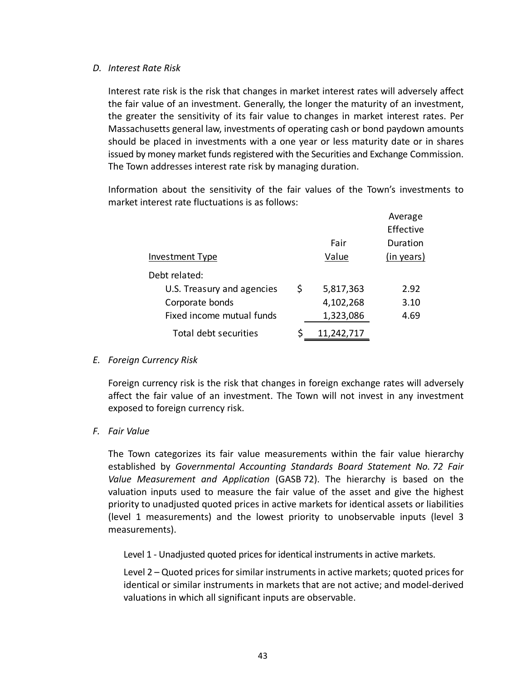### *D. Interest Rate Risk*

Interest rate risk is the risk that changes in market interest rates will adversely affect the fair value of an investment. Generally, the longer the maturity of an investment, the greater the sensitivity of its fair value to changes in market interest rates. Per Massachusetts general law, investments of operating cash or bond paydown amounts should be placed in investments with a one year or less maturity date or in shares issued by money market funds registered with the Securities and Exchange Commission. The Town addresses interest rate risk by managing duration.

Information about the sensitivity of the fair values of the Town's investments to market interest rate fluctuations is as follows:

|                            |   |            | Average    |
|----------------------------|---|------------|------------|
|                            |   |            | Effective  |
|                            |   | Fair       | Duration   |
| Investment Type            |   | Value      | (in years) |
| Debt related:              |   |            |            |
| U.S. Treasury and agencies | S | 5,817,363  | 2.92       |
| Corporate bonds            |   | 4,102,268  | 3.10       |
| Fixed income mutual funds  |   | 1,323,086  | 4.69       |
| Total debt securities      |   | 11,242,717 |            |

## *E. Foreign Currency Risk*

Foreign currency risk is the risk that changes in foreign exchange rates will adversely affect the fair value of an investment. The Town will not invest in any investment exposed to foreign currency risk.

## *F. Fair Value*

The Town categorizes its fair value measurements within the fair value hierarchy established by *Governmental Accounting Standards Board Statement No. 72 Fair Value Measurement and Application* (GASB 72). The hierarchy is based on the valuation inputs used to measure the fair value of the asset and give the highest priority to unadjusted quoted prices in active markets for identical assets or liabilities (level 1 measurements) and the lowest priority to unobservable inputs (level 3 measurements).

Level 1 - Unadjusted quoted prices for identical instruments in active markets.

Level 2 – Quoted prices for similar instruments in active markets; quoted prices for identical or similar instruments in markets that are not active; and model‐derived valuations in which all significant inputs are observable.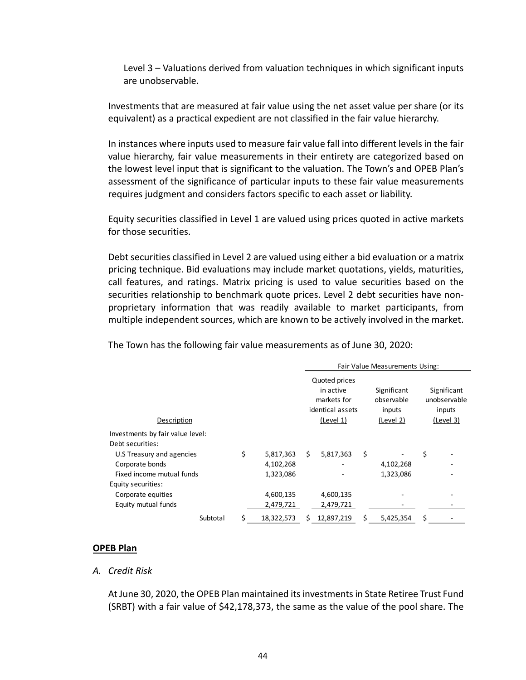Level 3 – Valuations derived from valuation techniques in which significant inputs are unobservable.

Investments that are measured at fair value using the net asset value per share (or its equivalent) as a practical expedient are not classified in the fair value hierarchy.

In instances where inputs used to measure fair value fall into different levels in the fair value hierarchy, fair value measurements in their entirety are categorized based on the lowest level input that is significant to the valuation. The Town's and OPEB Plan's assessment of the significance of particular inputs to these fair value measurements requires judgment and considers factors specific to each asset or liability.

Equity securities classified in Level 1 are valued using prices quoted in active markets for those securities.

Debt securities classified in Level 2 are valued using either a bid evaluation or a matrix pricing technique. Bid evaluations may include market quotations, yields, maturities, call features, and ratings. Matrix pricing is used to value securities based on the securities relationship to benchmark quote prices. Level 2 debt securities have non‐ proprietary information that was readily available to market participants, from multiple independent sources, which are known to be actively involved in the market.

The Town has the following fair value measurements as of June 30, 2020:

|                                  | Fair Value Measurements Using: |            |                                                                            |            |    |                                                  |    |                                                    |
|----------------------------------|--------------------------------|------------|----------------------------------------------------------------------------|------------|----|--------------------------------------------------|----|----------------------------------------------------|
| Description                      |                                |            | Quoted prices<br>in active<br>markets for<br>identical assets<br>(Level 1) |            |    | Significant<br>observable<br>inputs<br>(Level 2) |    | Significant<br>unobservable<br>inputs<br>(Level 3) |
| Investments by fair value level: |                                |            |                                                                            |            |    |                                                  |    |                                                    |
| Debt securities:                 |                                |            |                                                                            |            |    |                                                  |    |                                                    |
| U.S Treasury and agencies        | \$                             | 5,817,363  | Ś.                                                                         | 5,817,363  | \$ |                                                  | \$ |                                                    |
| Corporate bonds                  |                                | 4,102,268  |                                                                            |            |    | 4,102,268                                        |    |                                                    |
| Fixed income mutual funds        |                                | 1,323,086  |                                                                            |            |    | 1,323,086                                        |    |                                                    |
| Equity securities:               |                                |            |                                                                            |            |    |                                                  |    |                                                    |
| Corporate equities               |                                | 4,600,135  |                                                                            | 4,600,135  |    |                                                  |    |                                                    |
| Equity mutual funds              |                                | 2,479,721  |                                                                            | 2,479,721  |    |                                                  |    |                                                    |
| Subtotal                         | \$                             | 18,322,573 |                                                                            | 12,897,219 | s  | 5,425,354                                        | \$ |                                                    |

## **OPEB Plan**

### *A. Credit Risk*

At June 30, 2020, the OPEB Plan maintained its investments in State Retiree Trust Fund (SRBT) with a fair value of \$42,178,373, the same as the value of the pool share. The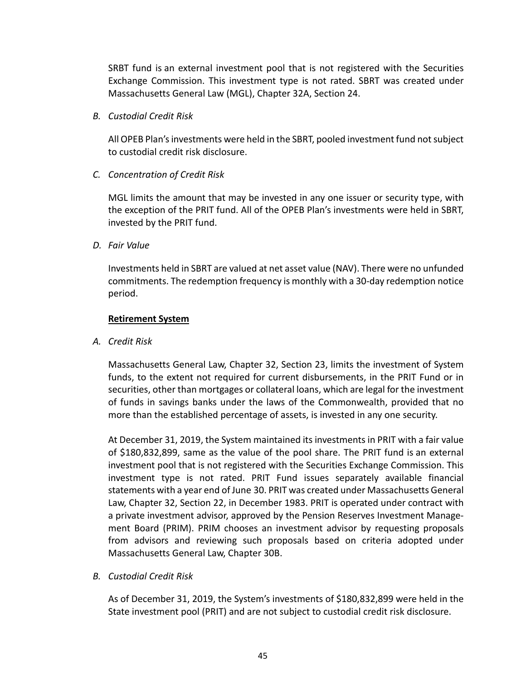SRBT fund is an external investment pool that is not registered with the Securities Exchange Commission. This investment type is not rated. SBRT was created under Massachusetts General Law (MGL), Chapter 32A, Section 24.

*B. Custodial Credit Risk* 

All OPEB Plan's investments were held in the SBRT, pooled investment fund not subject to custodial credit risk disclosure.

*C. Concentration of Credit Risk* 

MGL limits the amount that may be invested in any one issuer or security type, with the exception of the PRIT fund. All of the OPEB Plan's investments were held in SBRT, invested by the PRIT fund.

*D. Fair Value* 

Investments held in SBRT are valued at net asset value (NAV). There were no unfunded commitments. The redemption frequency is monthly with a 30‐day redemption notice period.

# **Retirement System**

*A. Credit Risk* 

Massachusetts General Law, Chapter 32, Section 23, limits the investment of System funds, to the extent not required for current disbursements, in the PRIT Fund or in securities, other than mortgages or collateral loans, which are legal for the investment of funds in savings banks under the laws of the Commonwealth, provided that no more than the established percentage of assets, is invested in any one security.

At December 31, 2019, the System maintained its investments in PRIT with a fair value of \$180,832,899, same as the value of the pool share. The PRIT fund is an external investment pool that is not registered with the Securities Exchange Commission. This investment type is not rated. PRIT Fund issues separately available financial statements with a year end of June 30. PRIT was created under Massachusetts General Law, Chapter 32, Section 22, in December 1983. PRIT is operated under contract with a private investment advisor, approved by the Pension Reserves Investment Manage‐ ment Board (PRIM). PRIM chooses an investment advisor by requesting proposals from advisors and reviewing such proposals based on criteria adopted under Massachusetts General Law, Chapter 30B.

*B. Custodial Credit Risk* 

As of December 31, 2019, the System's investments of \$180,832,899 were held in the State investment pool (PRIT) and are not subject to custodial credit risk disclosure.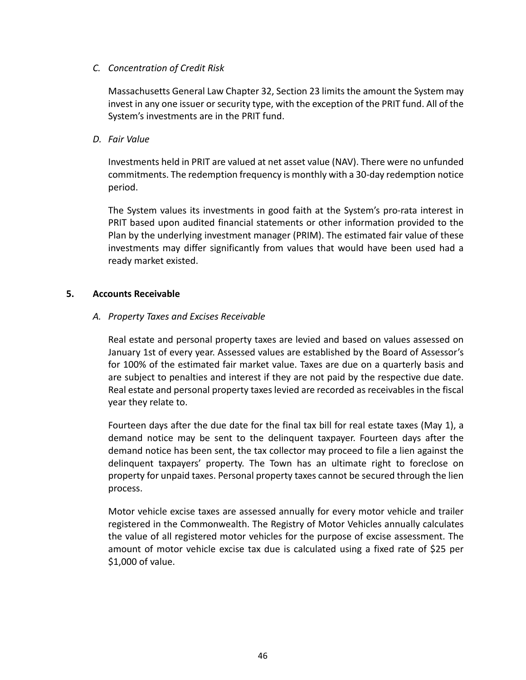## *C. Concentration of Credit Risk*

Massachusetts General Law Chapter 32, Section 23 limits the amount the System may invest in any one issuer or security type, with the exception of the PRIT fund. All of the System's investments are in the PRIT fund.

# *D. Fair Value*

Investments held in PRIT are valued at net asset value (NAV). There were no unfunded commitments. The redemption frequency is monthly with a 30‐day redemption notice period.

The System values its investments in good faith at the System's pro‐rata interest in PRIT based upon audited financial statements or other information provided to the Plan by the underlying investment manager (PRIM). The estimated fair value of these investments may differ significantly from values that would have been used had a ready market existed.

## **5. Accounts Receivable**

# *A. Property Taxes and Excises Receivable*

Real estate and personal property taxes are levied and based on values assessed on January 1st of every year. Assessed values are established by the Board of Assessor's for 100% of the estimated fair market value. Taxes are due on a quarterly basis and are subject to penalties and interest if they are not paid by the respective due date. Real estate and personal property taxes levied are recorded as receivables in the fiscal year they relate to.

Fourteen days after the due date for the final tax bill for real estate taxes (May 1), a demand notice may be sent to the delinquent taxpayer. Fourteen days after the demand notice has been sent, the tax collector may proceed to file a lien against the delinquent taxpayers' property. The Town has an ultimate right to foreclose on property for unpaid taxes. Personal property taxes cannot be secured through the lien process.

Motor vehicle excise taxes are assessed annually for every motor vehicle and trailer registered in the Commonwealth. The Registry of Motor Vehicles annually calculates the value of all registered motor vehicles for the purpose of excise assessment. The amount of motor vehicle excise tax due is calculated using a fixed rate of \$25 per \$1,000 of value.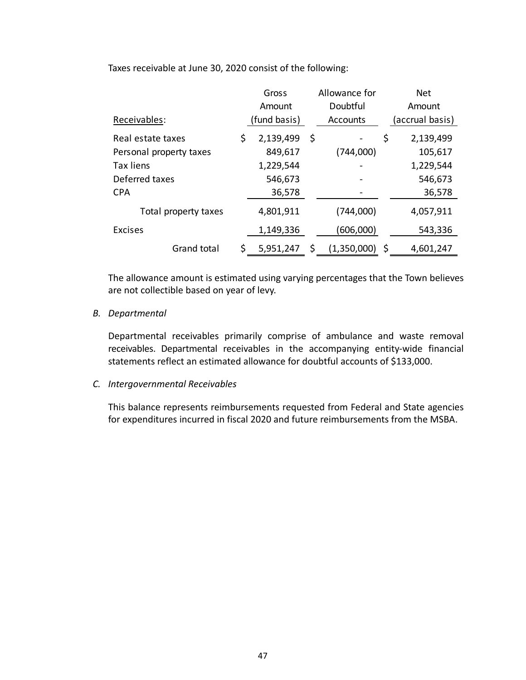Taxes receivable at June 30, 2020 consist of the following:

|                         |     | Gross              |    | Allowance for |                | <b>Net</b>      |
|-------------------------|-----|--------------------|----|---------------|----------------|-----------------|
|                         |     | Doubtful<br>Amount |    |               | Amount         |                 |
| Receivables:            |     | (fund basis)       |    | Accounts      |                | (accrual basis) |
| Real estate taxes       | \$  | 2,139,499          | \$ |               | \$             | 2,139,499       |
| Personal property taxes |     | 849,617            |    | (744,000)     |                | 105,617         |
| <b>Tax liens</b>        |     | 1,229,544          |    |               |                | 1,229,544       |
| Deferred taxes          |     | 546,673            |    |               |                | 546,673         |
| <b>CPA</b>              |     | 36,578             |    |               |                | 36,578          |
| Total property taxes    |     | 4,801,911          |    | (744,000)     |                | 4,057,911       |
| <b>Excises</b>          |     | 1,149,336          |    | (606,000)     |                | 543,336         |
| Grand total             | \$. | 5,951,247          | S  | (1,350,000)   | $\ddot{\zeta}$ | 4,601,247       |

The allowance amount is estimated using varying percentages that the Town believes are not collectible based on year of levy.

# *B. Departmental*

Departmental receivables primarily comprise of ambulance and waste removal receivables. Departmental receivables in the accompanying entity-wide financial statements reflect an estimated allowance for doubtful accounts of \$133,000.

## *C. Intergovernmental Receivables*

This balance represents reimbursements requested from Federal and State agencies for expenditures incurred in fiscal 2020 and future reimbursements from the MSBA.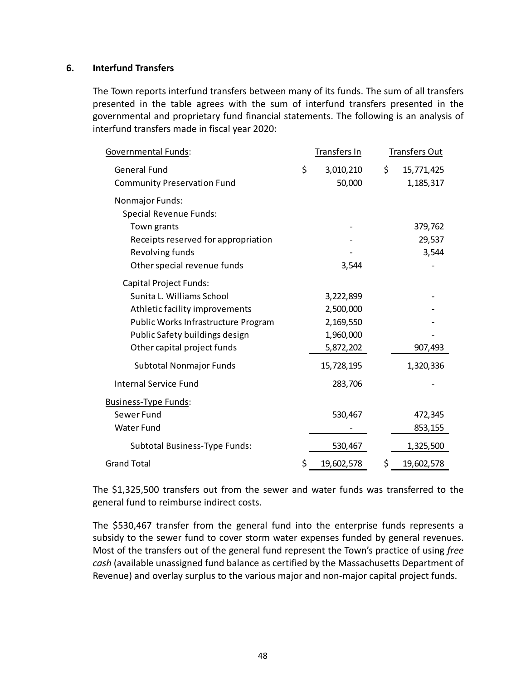### **6. Interfund Transfers**

The Town reports interfund transfers between many of its funds. The sum of all transfers presented in the table agrees with the sum of interfund transfers presented in the governmental and proprietary fund financial statements. The following is an analysis of interfund transfers made in fiscal year 2020:

| <u> Governmental Funds</u> :        | Transfers In     | Transfers Out    |
|-------------------------------------|------------------|------------------|
| <b>General Fund</b>                 | \$<br>3,010,210  | \$<br>15,771,425 |
| <b>Community Preservation Fund</b>  | 50,000           | 1,185,317        |
| Nonmajor Funds:                     |                  |                  |
| <b>Special Revenue Funds:</b>       |                  |                  |
| Town grants                         |                  | 379,762          |
| Receipts reserved for appropriation |                  | 29,537           |
| Revolving funds                     |                  | 3,544            |
| Other special revenue funds         | 3,544            |                  |
| Capital Project Funds:              |                  |                  |
| Sunita L. Williams School           | 3,222,899        |                  |
| Athletic facility improvements      | 2,500,000        |                  |
| Public Works Infrastructure Program | 2,169,550        |                  |
| Public Safety buildings design      | 1,960,000        |                  |
| Other capital project funds         | 5,872,202        | 907,493          |
| Subtotal Nonmajor Funds             | 15,728,195       | 1,320,336        |
| <b>Internal Service Fund</b>        | 283,706          |                  |
| Business-Type Funds:                |                  |                  |
| Sewer Fund                          | 530,467          | 472,345          |
| <b>Water Fund</b>                   |                  | 853,155          |
| Subtotal Business-Type Funds:       | 530,467          | 1,325,500        |
| <b>Grand Total</b>                  | \$<br>19,602,578 | \$<br>19,602,578 |

The \$1,325,500 transfers out from the sewer and water funds was transferred to the general fund to reimburse indirect costs.

The \$530,467 transfer from the general fund into the enterprise funds represents a subsidy to the sewer fund to cover storm water expenses funded by general revenues. Most of the transfers out of the general fund represent the Town's practice of using *free cash* (available unassigned fund balance as certified by the Massachusetts Department of Revenue) and overlay surplus to the various major and non‐major capital project funds.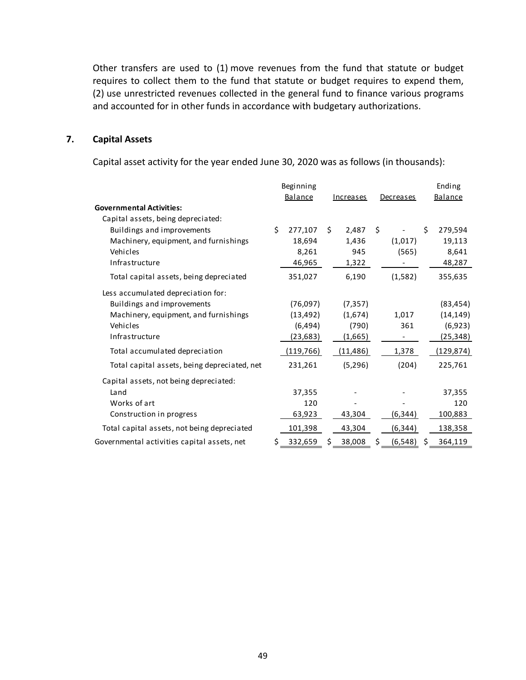Other transfers are used to (1) move revenues from the fund that statute or budget requires to collect them to the fund that statute or budget requires to expend them, (2) use unrestricted revenues collected in the general fund to finance various programs and accounted for in other funds in accordance with budgetary authorizations.

### **7. Capital Assets**

Capital asset activity for the year ended June 30, 2020 was as follows (in thousands):

|                                              | Beginning     |    |           |                |    | Ending     |
|----------------------------------------------|---------------|----|-----------|----------------|----|------------|
|                                              | Balance       |    | Increases | Decreases      |    | Balance    |
| <b>Governmental Activities:</b>              |               |    |           |                |    |            |
| Capital assets, being depreciated:           |               |    |           |                |    |            |
| Buildings and improvements                   | \$<br>277,107 | Ś. | 2,487     | \$             | Ś. | 279,594    |
| Machinery, equipment, and furnishings        | 18,694        |    | 1,436     | (1,017)        |    | 19,113     |
| Vehicles                                     | 8,261         |    | 945       | (565)          |    | 8,641      |
| Infrastructure                               | 46,965        |    | 1,322     |                |    | 48,287     |
| Total capital assets, being depreciated      | 351,027       |    | 6,190     | (1,582)        |    | 355,635    |
| Less accumulated depreciation for:           |               |    |           |                |    |            |
| Buildings and improvements                   | (76,097)      |    | (7, 357)  |                |    | (83, 454)  |
| Machinery, equipment, and furnishings        | (13, 492)     |    | (1,674)   | 1,017          |    | (14, 149)  |
| Vehicles                                     | (6, 494)      |    | (790)     | 361            |    | (6,923)    |
| Infrastructure                               | (23,683)      |    | (1,665)   |                |    | (25,348)   |
| Total accumulated depreciation               | (119, 766)    |    | (11, 486) | 1,378          |    | (129, 874) |
| Total capital assets, being depreciated, net | 231,261       |    | (5,296)   | (204)          |    | 225,761    |
| Capital assets, not being depreciated:       |               |    |           |                |    |            |
| Land                                         | 37,355        |    |           |                |    | 37,355     |
| Works of art                                 | 120           |    |           |                |    | 120        |
| Construction in progress                     | 63,923        |    | 43,304    | (6,344)        |    | 100,883    |
| Total capital assets, not being depreciated  | 101,398       |    | 43,304    | (6, 344)       |    | 138,358    |
| Governmental activities capital assets, net  | \$<br>332,659 | \$ | 38,008    | \$<br>(6, 548) | \$ | 364,119    |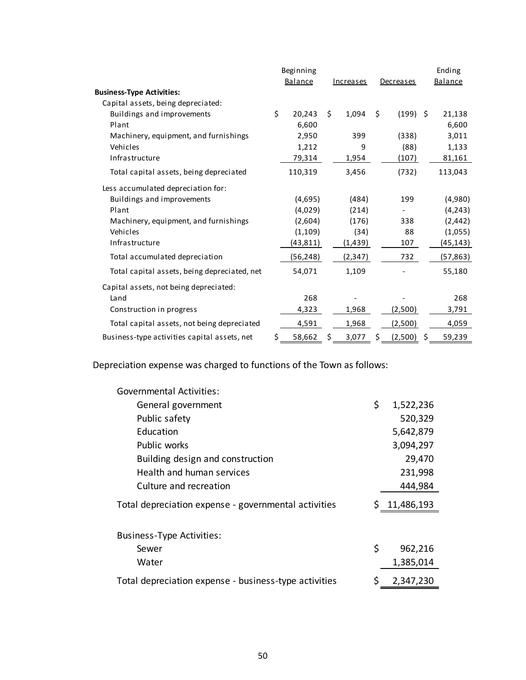|                                              | Beginning    |    |                  |                  |     | Ending          |
|----------------------------------------------|--------------|----|------------------|------------------|-----|-----------------|
|                                              | Balance      |    | <b>Increases</b> | <b>Decreases</b> |     | <b>Balance</b>  |
| <b>Business-Type Activities:</b>             |              |    |                  |                  |     |                 |
| Capital assets, being depreciated:           |              |    |                  |                  |     |                 |
| Buildings and improvements                   | \$<br>20,243 | Ś. | 1,094            | \$<br>(199)      | - Ś | 21,138          |
| Plant                                        | 6,600        |    |                  |                  |     | 6,600           |
| Machinery, equipment, and furnishings        | 2,950        |    | 399              | (338)            |     | 3,011           |
| Vehicles                                     | 1,212        |    | 9                | (88)             |     | 1,133           |
| Infrastructure                               | 79,314       |    | 1,954            | (107)            |     | 81,161          |
| Total capital assets, being depreciated      | 110,319      |    | 3,456            | (732)            |     | 113,043         |
| Less accumulated depreciation for:           |              |    |                  |                  |     |                 |
| Buildings and improvements                   | (4,695)      |    | (484)            | 199              |     | (4,980)         |
| Plant                                        | (4,029)      |    | (214)            |                  |     | (4, 243)        |
| Machinery, equipment, and furnishings        | (2,604)      |    | (176)            | 338              |     | (2, 442)        |
| Vehicles                                     | (1, 109)     |    | (34)             | 88               |     | (1,055)         |
| Infrastructure                               | (43,811)     |    | (1,439)          | 107              |     | <u>(45,143)</u> |
| Total accumulated depreciation               | (56, 248)    |    | (2, 347)         | 732              |     | (57, 863)       |
| Total capital assets, being depreciated, net | 54,071       |    | 1,109            |                  |     | 55,180          |
| Capital assets, not being depreciated:       |              |    |                  |                  |     |                 |
| Land                                         | 268          |    |                  |                  |     | 268             |
| Construction in progress                     | 4,323        |    | 1,968            | (2,500)          |     | 3,791           |
| Total capital assets, not being depreciated  | 4,591        |    | 1,968            | (2,500)          |     | 4,059           |
| Business-type activities capital assets, net | \$<br>58,662 | \$ | 3,077            | \$<br>(2,500)    | \$  | 59,239          |

Depreciation expense was charged to functions of the Town as follows:

| <b>Governmental Activities:</b>                       |                 |
|-------------------------------------------------------|-----------------|
| General government                                    | \$<br>1,522,236 |
| Public safety                                         | 520,329         |
| Education                                             | 5,642,879       |
| Public works                                          | 3,094,297       |
| Building design and construction                      | 29,470          |
| Health and human services                             | 231,998         |
| Culture and recreation                                | 444,984         |
| Total depreciation expense - governmental activities  | \$11,486,193    |
| <b>Business-Type Activities:</b>                      |                 |
| Sewer                                                 | \$<br>962,216   |
| Water                                                 | 1,385,014       |
| Total depreciation expense - business-type activities | \$<br>2,347,230 |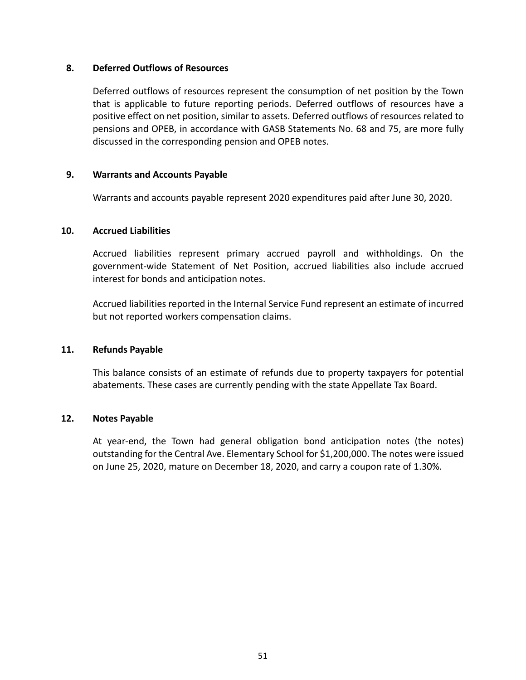### **8. Deferred Outflows of Resources**

Deferred outflows of resources represent the consumption of net position by the Town that is applicable to future reporting periods. Deferred outflows of resources have a positive effect on net position, similar to assets. Deferred outflows of resources related to pensions and OPEB, in accordance with GASB Statements No. 68 and 75, are more fully discussed in the corresponding pension and OPEB notes.

### **9. Warrants and Accounts Payable**

Warrants and accounts payable represent 2020 expenditures paid after June 30, 2020.

### **10. Accrued Liabilities**

Accrued liabilities represent primary accrued payroll and withholdings. On the government‐wide Statement of Net Position, accrued liabilities also include accrued interest for bonds and anticipation notes.

Accrued liabilities reported in the Internal Service Fund represent an estimate of incurred but not reported workers compensation claims.

## **11. Refunds Payable**

This balance consists of an estimate of refunds due to property taxpayers for potential abatements. These cases are currently pending with the state Appellate Tax Board.

### **12. Notes Payable**

At year-end, the Town had general obligation bond anticipation notes (the notes) outstanding for the Central Ave. Elementary School for \$1,200,000. The notes were issued on June 25, 2020, mature on December 18, 2020, and carry a coupon rate of 1.30%.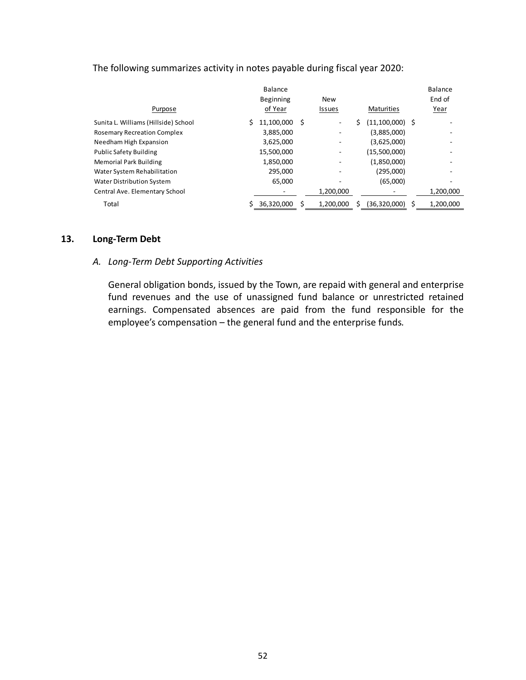| Purpose                              | Balance<br><b>Beginning</b><br>of Year |    | <b>New</b><br><b>Issues</b> | <b>Maturities</b> | <b>Balance</b><br>End of<br>Year |
|--------------------------------------|----------------------------------------|----|-----------------------------|-------------------|----------------------------------|
| Sunita L. Williams (Hillside) School | 11,100,000                             | \$ |                             | $(11,100,000)$ \$ |                                  |
| <b>Rosemary Recreation Complex</b>   | 3,885,000                              |    |                             | (3,885,000)       |                                  |
| Needham High Expansion               | 3,625,000                              |    |                             | (3,625,000)       |                                  |
| <b>Public Safety Building</b>        | 15,500,000                             |    |                             | (15,500,000)      |                                  |
| <b>Memorial Park Building</b>        | 1,850,000                              |    |                             | (1,850,000)       |                                  |
| Water System Rehabilitation          | 295,000                                |    |                             | (295,000)         |                                  |
| <b>Water Distribution System</b>     | 65,000                                 |    |                             | (65,000)          |                                  |
| Central Ave. Elementary School       |                                        |    | 1,200,000                   |                   | 1,200,000                        |
| Total                                | 36,320,000                             | Ś  | 1,200,000                   | (36,320,000)      | 1,200,000                        |

# The following summarizes activity in notes payable during fiscal year 2020:

### **13. Long‐Term Debt**

# *A. Long‐Term Debt Supporting Activities*

General obligation bonds, issued by the Town, are repaid with general and enterprise fund revenues and the use of unassigned fund balance or unrestricted retained earnings. Compensated absences are paid from the fund responsible for the employee's compensation – the general fund and the enterprise funds*.*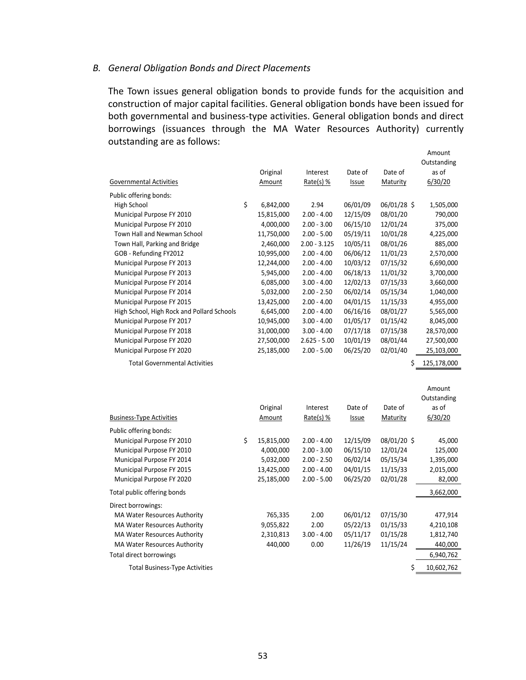#### *B. General Obligation Bonds and Direct Placements*

The Town issues general obligation bonds to provide funds for the acquisition and construction of major capital facilities. General obligation bonds have been issued for both governmental and business‐type activities. General obligation bonds and direct borrowings (issuances through the MA Water Resources Authority) currently outstanding are as follows:

|                                            |                  |                |              |             | Amount<br>Outstanding |
|--------------------------------------------|------------------|----------------|--------------|-------------|-----------------------|
|                                            | Original         | Interest       | Date of      | Date of     | as of                 |
| <b>Governmental Activities</b>             | Amount           | Rate(s) %      | <b>Issue</b> | Maturity    | 6/30/20               |
| Public offering bonds:                     |                  |                |              |             |                       |
| High School                                | \$<br>6,842,000  | 2.94           | 06/01/09     | 06/01/28 \$ | 1,505,000             |
| Municipal Purpose FY 2010                  | 15,815,000       | $2.00 - 4.00$  | 12/15/09     | 08/01/20    | 790,000               |
| Municipal Purpose FY 2010                  | 4,000,000        | $2.00 - 3.00$  | 06/15/10     | 12/01/24    | 375,000               |
| Town Hall and Newman School                | 11,750,000       | $2.00 - 5.00$  | 05/19/11     | 10/01/28    | 4,225,000             |
| Town Hall, Parking and Bridge              | 2,460,000        | $2.00 - 3.125$ | 10/05/11     | 08/01/26    | 885,000               |
| GOB - Refunding FY2012                     | 10,995,000       | $2.00 - 4.00$  | 06/06/12     | 11/01/23    | 2,570,000             |
| Municipal Purpose FY 2013                  | 12,244,000       | $2.00 - 4.00$  | 10/03/12     | 07/15/32    | 6,690,000             |
| Municipal Purpose FY 2013                  | 5,945,000        | $2.00 - 4.00$  | 06/18/13     | 11/01/32    | 3,700,000             |
| Municipal Purpose FY 2014                  | 6,085,000        | $3.00 - 4.00$  | 12/02/13     | 07/15/33    | 3,660,000             |
| Municipal Purpose FY 2014                  | 5,032,000        | $2.00 - 2.50$  | 06/02/14     | 05/15/34    | 1,040,000             |
| Municipal Purpose FY 2015                  | 13,425,000       | $2.00 - 4.00$  | 04/01/15     | 11/15/33    | 4,955,000             |
| High School, High Rock and Pollard Schools | 6,645,000        | $2.00 - 4.00$  | 06/16/16     | 08/01/27    | 5,565,000             |
| Municipal Purpose FY 2017                  | 10,945,000       | $3.00 - 4.00$  | 01/05/17     | 01/15/42    | 8,045,000             |
| Municipal Purpose FY 2018                  | 31,000,000       | $3.00 - 4.00$  | 07/17/18     | 07/15/38    | 28,570,000            |
| Municipal Purpose FY 2020                  | 27,500,000       | $2.625 - 5.00$ | 10/01/19     | 08/01/44    | 27,500,000            |
| Municipal Purpose FY 2020                  | 25,185,000       | $2.00 - 5.00$  | 06/25/20     | 02/01/40    | 25,103,000            |
| <b>Total Governmental Activities</b>       |                  |                |              |             |                       |
|                                            |                  |                |              | \$          | 125,178,000           |
|                                            |                  |                |              |             |                       |
|                                            |                  |                |              |             | Amount                |
|                                            |                  |                |              |             | Outstanding           |
|                                            | Original         | Interest       | Date of      | Date of     | as of                 |
| <b>Business-Type Activities</b>            | Amount           | Rate(s) %      | <b>Issue</b> | Maturity    | 6/30/20               |
| Public offering bonds:                     |                  |                |              |             |                       |
| Municipal Purpose FY 2010                  | \$<br>15,815,000 | $2.00 - 4.00$  | 12/15/09     | 08/01/20\$  | 45,000                |
| Municipal Purpose FY 2010                  | 4,000,000        | $2.00 - 3.00$  | 06/15/10     | 12/01/24    | 125,000               |
| Municipal Purpose FY 2014                  | 5,032,000        | $2.00 - 2.50$  | 06/02/14     | 05/15/34    | 1,395,000             |
| Municipal Purpose FY 2015                  | 13,425,000       | $2.00 - 4.00$  | 04/01/15     | 11/15/33    | 2,015,000             |
| Municipal Purpose FY 2020                  | 25,185,000       | $2.00 - 5.00$  | 06/25/20     | 02/01/28    | 82,000                |
| Total public offering bonds                |                  |                |              |             | 3,662,000             |
| Direct borrowings:                         |                  |                |              |             |                       |
| MA Water Resources Authority               | 765,335          | 2.00           | 06/01/12     | 07/15/30    | 477,914               |
| <b>MA Water Resources Authority</b>        | 9,055,822        | 2.00           | 05/22/13     | 01/15/33    | 4,210,108             |
| <b>MA Water Resources Authority</b>        | 2,310,813        | $3.00 - 4.00$  | 05/11/17     | 01/15/28    | 1,812,740             |
| <b>MA Water Resources Authority</b>        | 440,000          | 0.00           | 11/26/19     | 11/15/24    | 440,000               |
| <b>Total direct borrowings</b>             |                  |                |              |             | 6,940,762             |

Total Business-Type Activities  $\zeta = 10,602,762$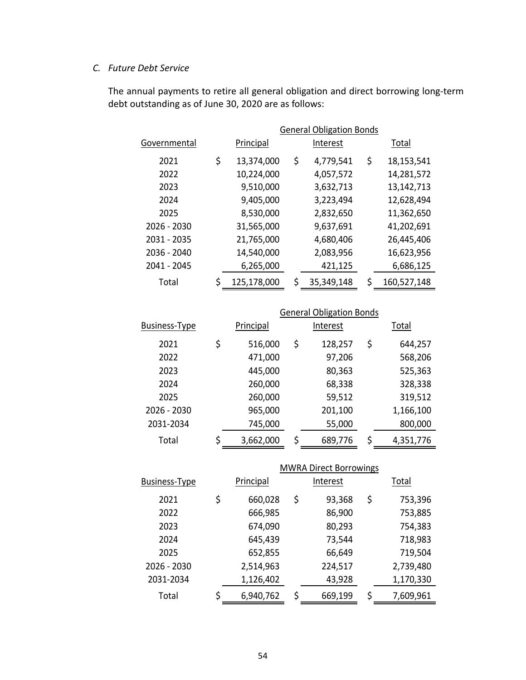# *C. Future Debt Service*

The annual payments to retire all general obligation and direct borrowing long‐term debt outstanding as of June 30, 2020 are as follows:

|              | <b>General Obligation Bonds</b> |             |    |            |            |             |  |  |  |  |
|--------------|---------------------------------|-------------|----|------------|------------|-------------|--|--|--|--|
| Governmental |                                 | Principal   |    | Interest   |            | Total       |  |  |  |  |
| 2021         | \$                              | 13,374,000  | \$ | 4,779,541  | \$         | 18,153,541  |  |  |  |  |
| 2022         |                                 | 10,224,000  |    | 4,057,572  |            | 14,281,572  |  |  |  |  |
| 2023         |                                 | 9,510,000   |    | 3,632,713  | 13,142,713 |             |  |  |  |  |
| 2024         |                                 | 9,405,000   |    | 3,223,494  |            | 12,628,494  |  |  |  |  |
| 2025         |                                 | 8,530,000   |    | 2,832,650  |            | 11,362,650  |  |  |  |  |
| 2026 - 2030  |                                 | 31,565,000  |    | 9,637,691  |            | 41,202,691  |  |  |  |  |
| 2031 - 2035  |                                 | 21,765,000  |    | 4,680,406  |            | 26,445,406  |  |  |  |  |
| 2036 - 2040  |                                 | 14,540,000  |    | 2,083,956  |            | 16,623,956  |  |  |  |  |
| 2041 - 2045  |                                 | 6,265,000   |    | 421,125    |            | 6,686,125   |  |  |  |  |
| Total        | \$                              | 125,178,000 | \$ | 35,349,148 | \$         | 160,527,148 |  |  |  |  |

|                      | <b>General Obligation Bonds</b> |         |          |    |           |  |  |  |  |  |
|----------------------|---------------------------------|---------|----------|----|-----------|--|--|--|--|--|
| <b>Business-Type</b> | Principal                       |         | Interest |    | Total     |  |  |  |  |  |
| 2021                 | \$<br>516,000                   | \$      | 128,257  | \$ | 644,257   |  |  |  |  |  |
| 2022                 | 471,000<br>97,206               |         |          |    | 568,206   |  |  |  |  |  |
| 2023                 | 445,000<br>80,363               |         |          |    | 525,363   |  |  |  |  |  |
| 2024                 | 260,000                         | 328,338 |          |    |           |  |  |  |  |  |
| 2025                 | 260,000                         |         | 59,512   |    | 319,512   |  |  |  |  |  |
| 2026 - 2030          | 965,000                         |         | 201,100  |    | 1,166,100 |  |  |  |  |  |
| 2031-2034            | 745,000                         |         | 55,000   |    | 800,000   |  |  |  |  |  |
| Total                | \$<br>3,662,000                 | Ś       | 689,776  | \$ | 4,351,776 |  |  |  |  |  |

|                      |    |           |          | <b>MWRA Direct Borrowings</b> |    |           |  |
|----------------------|----|-----------|----------|-------------------------------|----|-----------|--|
| <b>Business-Type</b> |    | Principal | Interest |                               |    |           |  |
| 2021                 | \$ | 660,028   | \$       | 93,368                        | \$ | 753,396   |  |
| 2022                 |    | 666,985   |          | 86,900                        |    | 753,885   |  |
| 2023                 |    | 674,090   |          | 80,293                        |    | 754,383   |  |
| 2024                 |    | 645,439   |          | 73,544                        |    | 718,983   |  |
| 2025                 |    | 652,855   |          | 66,649                        |    | 719,504   |  |
| 2026 - 2030          |    | 2,514,963 |          | 224,517                       |    | 2,739,480 |  |
| 2031-2034            |    | 1,126,402 |          | 43,928                        |    | 1,170,330 |  |
| Total                | Ś  | 6,940,762 | \$       | 669,199                       | \$ | 7,609,961 |  |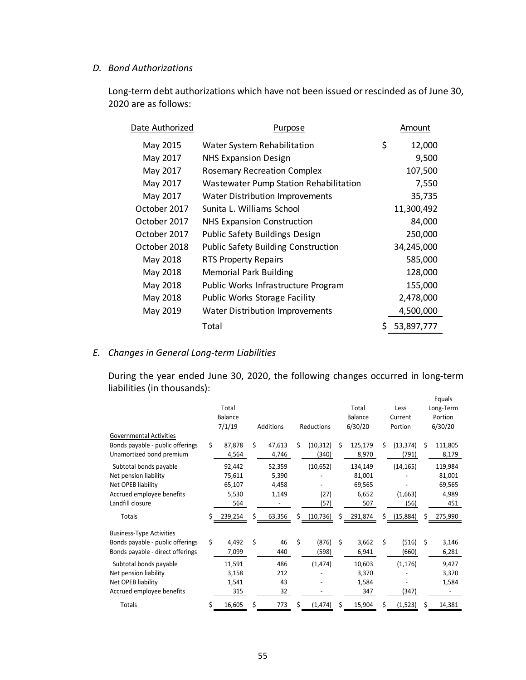### *D. Bond Authorizations*

Long-term debt authorizations which have not been issued or rescinded as of June 30, 2020 are as follows:

| Date Authorized | Purpose                                       | Amount       |
|-----------------|-----------------------------------------------|--------------|
| May 2015        | Water System Rehabilitation                   | \$<br>12,000 |
| May 2017        | <b>NHS Expansion Design</b>                   | 9,500        |
| May 2017        | <b>Rosemary Recreation Complex</b>            | 107,500      |
| May 2017        | <b>Wastewater Pump Station Rehabilitation</b> | 7,550        |
| May 2017        | <b>Water Distribution Improvements</b>        | 35,735       |
| October 2017    | Sunita L. Williams School                     | 11,300,492   |
| October 2017    | <b>NHS Expansion Construction</b>             | 84,000       |
| October 2017    | <b>Public Safety Buildings Design</b>         | 250,000      |
| October 2018    | <b>Public Safety Building Construction</b>    | 34,245,000   |
| May 2018        | RTS Property Repairs                          | 585,000      |
| May 2018        | <b>Memorial Park Building</b>                 | 128,000      |
| May 2018        | Public Works Infrastructure Program           | 155,000      |
| May 2018        | <b>Public Works Storage Facility</b>          | 2,478,000    |
| May 2019        | <b>Water Distribution Improvements</b>        | 4,500,000    |
|                 | Total                                         | 53,897,777   |

# *E. Changes in General Long‐term Liabilities*

During the year ended June 30, 2020, the following changes occurred in long‐term liabilities (in thousands): Equals

| Governmental Activities                                                                                                |    | Total<br>Balance<br>7/1/19                 |    | Additions                         |    | Reductions                |    | Total<br>Balance<br>6/30/20                 |    | Less<br>Current<br>Portion   |    | cyudis<br>Long-Term<br>Portion<br>6/30/20   |
|------------------------------------------------------------------------------------------------------------------------|----|--------------------------------------------|----|-----------------------------------|----|---------------------------|----|---------------------------------------------|----|------------------------------|----|---------------------------------------------|
| Bonds payable - public offerings<br>Unamortized bond premium                                                           | Ś. | 87,878<br>4,564                            | Ś. | 47,613<br>4,746                   | Ś. | (10, 312)<br>(340)        | Ś. | 125,179<br>8,970                            | Ś. | (13, 374)<br>(791)           | Ś. | 111,805<br>8,179                            |
| Subtotal bonds payable<br>Net pension liability<br>Net OPEB liability<br>Accrued employee benefits<br>Landfill closure |    | 92,442<br>75,611<br>65,107<br>5,530<br>564 |    | 52,359<br>5,390<br>4,458<br>1,149 |    | (10, 652)<br>(27)<br>(57) |    | 134,149<br>81,001<br>69,565<br>6,652<br>507 |    | (14, 165)<br>(1,663)<br>(56) |    | 119,984<br>81,001<br>69,565<br>4,989<br>451 |
| Totals                                                                                                                 | Ś  | 239,254                                    | Ś  | 63,356                            | Ś. | (10, 736)                 | S  | 291,874                                     | Ś. | (15,884)                     | S  | 275,990                                     |
| <b>Business-Type Activities</b><br>Bonds payable - public offerings<br>Bonds payable - direct offerings                | \$ | 4,492<br>7,099                             | Ś  | 46<br>440                         | Ś  | (876)<br>(598)            | Ś  | 3,662<br>6,941                              | Ś  | (516)<br>(660)               | Ś  | 3,146<br>6,281                              |
| Subtotal bonds payable<br>Net pension liability<br>Net OPEB liability<br>Accrued employee benefits                     |    | 11,591<br>3,158<br>1,541<br>315            |    | 486<br>212<br>43<br>32            |    | (1, 474)                  |    | 10,603<br>3,370<br>1,584<br>347             |    | (1, 176)<br>(347)            |    | 9,427<br>3,370<br>1,584                     |
| Totals                                                                                                                 | \$ | 16,605                                     | Ś  | 773                               | \$ | (1, 474)                  | Ś  | 15,904                                      | \$ | (1, 523)                     | S  | 14,381                                      |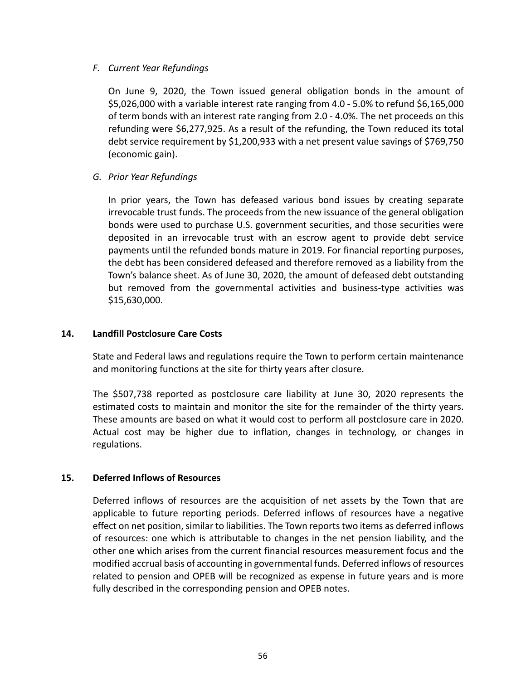# *F. Current Year Refundings*

On June 9, 2020, the Town issued general obligation bonds in the amount of \$5,026,000 with a variable interest rate ranging from 4.0 ‐ 5.0% to refund \$6,165,000 of term bonds with an interest rate ranging from 2.0 ‐ 4.0%. The net proceeds on this refunding were \$6,277,925. As a result of the refunding, the Town reduced its total debt service requirement by \$1,200,933 with a net present value savings of \$769,750 (economic gain).

*G. Prior Year Refundings* 

In prior years, the Town has defeased various bond issues by creating separate irrevocable trust funds. The proceeds from the new issuance of the general obligation bonds were used to purchase U.S. government securities, and those securities were deposited in an irrevocable trust with an escrow agent to provide debt service payments until the refunded bonds mature in 2019. For financial reporting purposes, the debt has been considered defeased and therefore removed as a liability from the Town's balance sheet. As of June 30, 2020, the amount of defeased debt outstanding but removed from the governmental activities and business-type activities was \$15,630,000.

## **14. Landfill Postclosure Care Costs**

State and Federal laws and regulations require the Town to perform certain maintenance and monitoring functions at the site for thirty years after closure.

The \$507,738 reported as postclosure care liability at June 30, 2020 represents the estimated costs to maintain and monitor the site for the remainder of the thirty years. These amounts are based on what it would cost to perform all postclosure care in 2020. Actual cost may be higher due to inflation, changes in technology, or changes in regulations.

## **15. Deferred Inflows of Resources**

Deferred inflows of resources are the acquisition of net assets by the Town that are applicable to future reporting periods. Deferred inflows of resources have a negative effect on net position, similar to liabilities. The Town reports two items as deferred inflows of resources: one which is attributable to changes in the net pension liability, and the other one which arises from the current financial resources measurement focus and the modified accrual basis of accounting in governmental funds. Deferred inflows of resources related to pension and OPEB will be recognized as expense in future years and is more fully described in the corresponding pension and OPEB notes.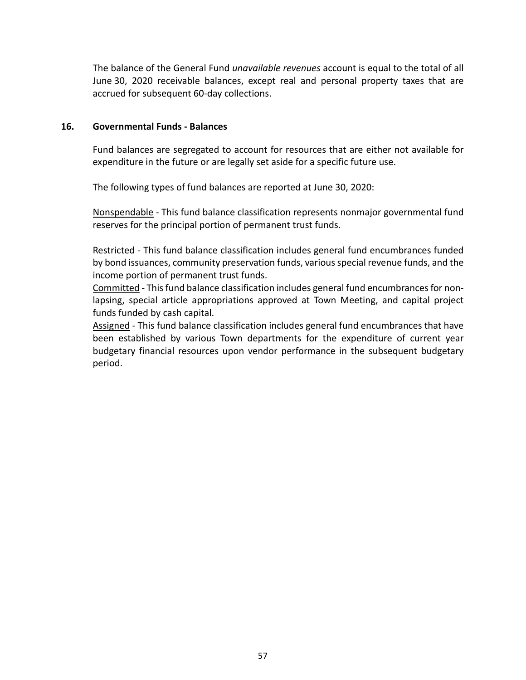The balance of the General Fund *unavailable revenues* account is equal to the total of all June 30, 2020 receivable balances, except real and personal property taxes that are accrued for subsequent 60‐day collections.

### **16. Governmental Funds ‐ Balances**

Fund balances are segregated to account for resources that are either not available for expenditure in the future or are legally set aside for a specific future use.

The following types of fund balances are reported at June 30, 2020:

Nonspendable ‐ This fund balance classification represents nonmajor governmental fund reserves for the principal portion of permanent trust funds.

Restricted - This fund balance classification includes general fund encumbrances funded by bond issuances, community preservation funds, various special revenue funds, and the income portion of permanent trust funds.

Committed ‐ This fund balance classification includes general fund encumbrances for non‐ lapsing, special article appropriations approved at Town Meeting, and capital project funds funded by cash capital.

Assigned - This fund balance classification includes general fund encumbrances that have been established by various Town departments for the expenditure of current year budgetary financial resources upon vendor performance in the subsequent budgetary period.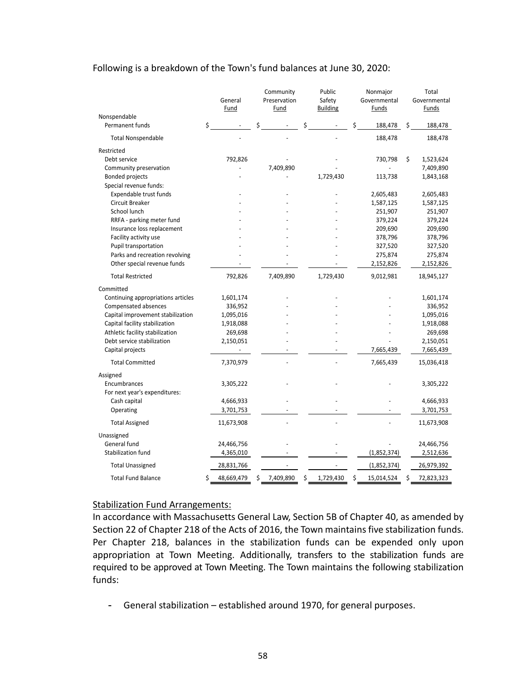### Following is a breakdown of the Town's fund balances at June 30, 2020:

|                                    |    | General<br>Fund | Community<br>Preservation<br>Fund | Public<br>Safety<br><b>Building</b> |    | Nonmajor<br>Governmental<br>Funds |    | Total<br>Governmental<br>Funds |
|------------------------------------|----|-----------------|-----------------------------------|-------------------------------------|----|-----------------------------------|----|--------------------------------|
| Nonspendable                       |    |                 |                                   |                                     |    |                                   |    |                                |
| Permanent funds                    | \$ |                 | \$                                | \$                                  | \$ | 188,478                           | \$ | 188,478                        |
| <b>Total Nonspendable</b>          |    |                 |                                   |                                     |    | 188,478                           |    | 188,478                        |
| Restricted                         |    |                 |                                   |                                     |    |                                   |    |                                |
| Debt service                       |    | 792,826         |                                   |                                     |    | 730,798                           | \$ | 1,523,624                      |
| Community preservation             |    |                 | 7,409,890                         |                                     |    |                                   |    | 7,409,890                      |
| <b>Bonded projects</b>             |    |                 |                                   | 1,729,430                           |    | 113,738                           |    | 1,843,168                      |
| Special revenue funds:             |    |                 |                                   |                                     |    |                                   |    |                                |
| Expendable trust funds             |    |                 |                                   |                                     |    | 2,605,483                         |    | 2,605,483                      |
| Circuit Breaker                    |    |                 |                                   |                                     |    | 1,587,125                         |    | 1,587,125                      |
| School lunch                       |    |                 |                                   |                                     |    | 251,907                           |    | 251,907                        |
| RRFA - parking meter fund          |    |                 |                                   |                                     |    | 379,224                           |    | 379,224                        |
| Insurance loss replacement         |    |                 |                                   |                                     |    | 209,690                           |    | 209,690                        |
| Facility activity use              |    |                 |                                   |                                     |    | 378,796                           |    | 378,796                        |
| Pupil transportation               |    |                 |                                   |                                     |    | 327,520                           |    | 327,520                        |
| Parks and recreation revolving     |    |                 |                                   |                                     |    | 275,874                           |    | 275,874                        |
| Other special revenue funds        |    |                 |                                   |                                     |    | 2,152,826                         |    | 2,152,826                      |
| <b>Total Restricted</b>            |    | 792,826         | 7,409,890                         | 1,729,430                           |    | 9,012,981                         |    | 18,945,127                     |
| Committed                          |    |                 |                                   |                                     |    |                                   |    |                                |
| Continuing appropriations articles |    | 1,601,174       |                                   |                                     |    |                                   |    | 1,601,174                      |
| Compensated absences               |    | 336,952         |                                   |                                     |    |                                   |    | 336,952                        |
| Capital improvement stabilization  |    | 1,095,016       |                                   |                                     |    |                                   |    | 1,095,016                      |
| Capital facility stabilization     |    | 1,918,088       |                                   |                                     |    |                                   |    | 1,918,088                      |
| Athletic facility stabilization    |    | 269,698         |                                   |                                     |    |                                   |    | 269,698                        |
| Debt service stabilization         |    | 2,150,051       |                                   |                                     |    |                                   |    | 2,150,051                      |
| Capital projects                   |    |                 |                                   |                                     |    | 7,665,439                         |    | 7,665,439                      |
| <b>Total Committed</b>             |    | 7,370,979       |                                   |                                     |    | 7,665,439                         |    | 15,036,418                     |
| Assigned                           |    |                 |                                   |                                     |    |                                   |    |                                |
| Encumbrances                       |    | 3,305,222       |                                   |                                     |    |                                   |    | 3,305,222                      |
| For next year's expenditures:      |    |                 |                                   |                                     |    |                                   |    |                                |
| Cash capital                       |    | 4,666,933       |                                   |                                     |    |                                   |    | 4,666,933                      |
| Operating                          |    | 3,701,753       |                                   |                                     |    |                                   |    | 3,701,753                      |
| <b>Total Assigned</b>              |    | 11,673,908      |                                   |                                     |    |                                   |    | 11,673,908                     |
| Unassigned                         |    |                 |                                   |                                     |    |                                   |    |                                |
| General fund                       |    | 24,466,756      |                                   |                                     |    |                                   |    | 24,466,756                     |
| Stabilization fund                 |    | 4,365,010       |                                   |                                     |    | (1,852,374)                       |    | 2,512,636                      |
| <b>Total Unassigned</b>            |    | 28,831,766      |                                   |                                     |    | (1,852,374)                       |    | 26,979,392                     |
| <b>Total Fund Balance</b>          | Ś  | 48,669,479      | \$<br>7,409,890                   | \$<br>1,729,430                     | Ś  | 15,014,524                        | Ś  | 72,823,323                     |

### Stabilization Fund Arrangements:

In accordance with Massachusetts General Law, Section 5B of Chapter 40, as amended by Section 22 of Chapter 218 of the Acts of 2016, the Town maintains five stabilization funds. Per Chapter 218, balances in the stabilization funds can be expended only upon appropriation at Town Meeting. Additionally, transfers to the stabilization funds are required to be approved at Town Meeting. The Town maintains the following stabilization funds:

- General stabilization – established around 1970, for general purposes.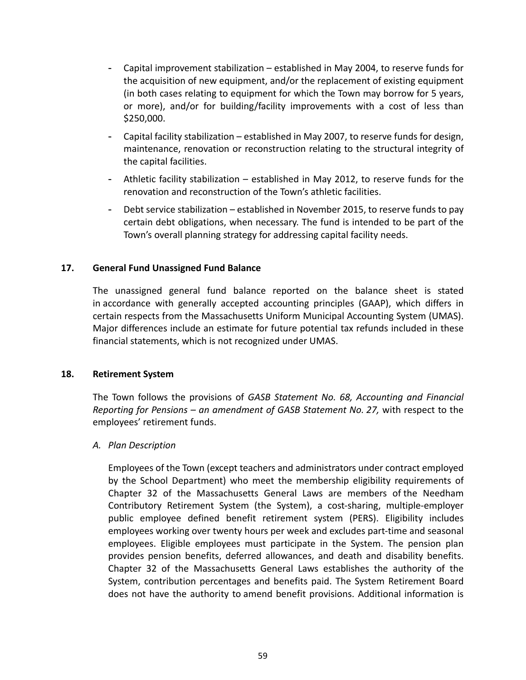- Capital improvement stabilization established in May 2004, to reserve funds for the acquisition of new equipment, and/or the replacement of existing equipment (in both cases relating to equipment for which the Town may borrow for 5 years, or more), and/or for building/facility improvements with a cost of less than \$250,000.
- Capital facility stabilization established in May 2007, to reserve funds for design, maintenance, renovation or reconstruction relating to the structural integrity of the capital facilities.
- Athletic facility stabilization established in May 2012, to reserve funds for the renovation and reconstruction of the Town's athletic facilities.
- Debt service stabilization established in November 2015, to reserve funds to pay certain debt obligations, when necessary. The fund is intended to be part of the Town's overall planning strategy for addressing capital facility needs.

# **17. General Fund Unassigned Fund Balance**

The unassigned general fund balance reported on the balance sheet is stated in accordance with generally accepted accounting principles (GAAP), which differs in certain respects from the Massachusetts Uniform Municipal Accounting System (UMAS). Major differences include an estimate for future potential tax refunds included in these financial statements, which is not recognized under UMAS.

## **18. Retirement System**

The Town follows the provisions of *GASB Statement No. 68, Accounting and Financial Reporting for Pensions – an amendment of GASB Statement No. 27,* with respect to the employees' retirement funds.

## *A. Plan Description*

Employees of the Town (except teachers and administrators under contract employed by the School Department) who meet the membership eligibility requirements of Chapter 32 of the Massachusetts General Laws are members of the Needham Contributory Retirement System (the System), a cost‐sharing, multiple‐employer public employee defined benefit retirement system (PERS). Eligibility includes employees working over twenty hours per week and excludes part‐time and seasonal employees. Eligible employees must participate in the System. The pension plan provides pension benefits, deferred allowances, and death and disability benefits. Chapter 32 of the Massachusetts General Laws establishes the authority of the System, contribution percentages and benefits paid. The System Retirement Board does not have the authority to amend benefit provisions. Additional information is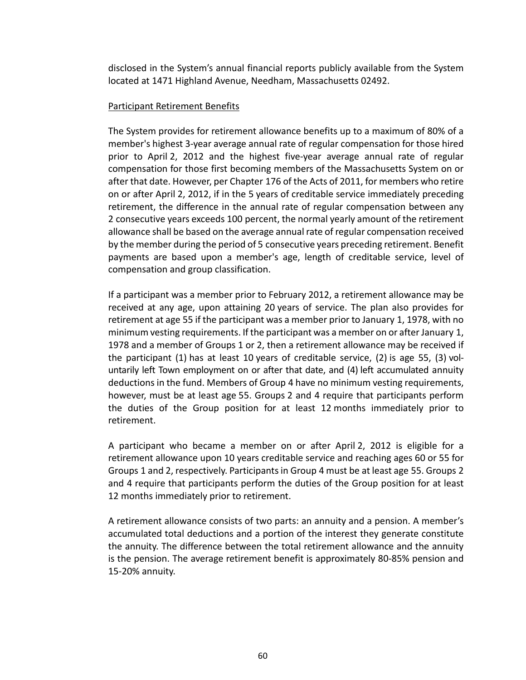disclosed in the System's annual financial reports publicly available from the System located at 1471 Highland Avenue, Needham, Massachusetts 02492.

### Participant Retirement Benefits

The System provides for retirement allowance benefits up to a maximum of 80% of a member's highest 3‐year average annual rate of regular compensation for those hired prior to April 2, 2012 and the highest five-year average annual rate of regular compensation for those first becoming members of the Massachusetts System on or after that date. However, per Chapter 176 of the Acts of 2011, for members who retire on or after April 2, 2012, if in the 5 years of creditable service immediately preceding retirement, the difference in the annual rate of regular compensation between any 2 consecutive years exceeds 100 percent, the normal yearly amount of the retirement allowance shall be based on the average annual rate of regular compensation received by the member during the period of 5 consecutive years preceding retirement. Benefit payments are based upon a member's age, length of creditable service, level of compensation and group classification.

If a participant was a member prior to February 2012, a retirement allowance may be received at any age, upon attaining 20 years of service. The plan also provides for retirement at age 55 if the participant was a member prior to January 1, 1978, with no minimum vesting requirements. If the participant was a member on or after January 1, 1978 and a member of Groups 1 or 2, then a retirement allowance may be received if the participant  $(1)$  has at least 10 years of creditable service,  $(2)$  is age 55,  $(3)$  voluntarily left Town employment on or after that date, and (4) left accumulated annuity deductions in the fund. Members of Group 4 have no minimum vesting requirements, however, must be at least age 55. Groups 2 and 4 require that participants perform the duties of the Group position for at least 12 months immediately prior to retirement.

A participant who became a member on or after April 2, 2012 is eligible for a retirement allowance upon 10 years creditable service and reaching ages 60 or 55 for Groups 1 and 2, respectively. Participants in Group 4 must be at least age 55. Groups 2 and 4 require that participants perform the duties of the Group position for at least 12 months immediately prior to retirement.

A retirement allowance consists of two parts: an annuity and a pension. A member's accumulated total deductions and a portion of the interest they generate constitute the annuity. The difference between the total retirement allowance and the annuity is the pension. The average retirement benefit is approximately 80‐85% pension and 15‐20% annuity.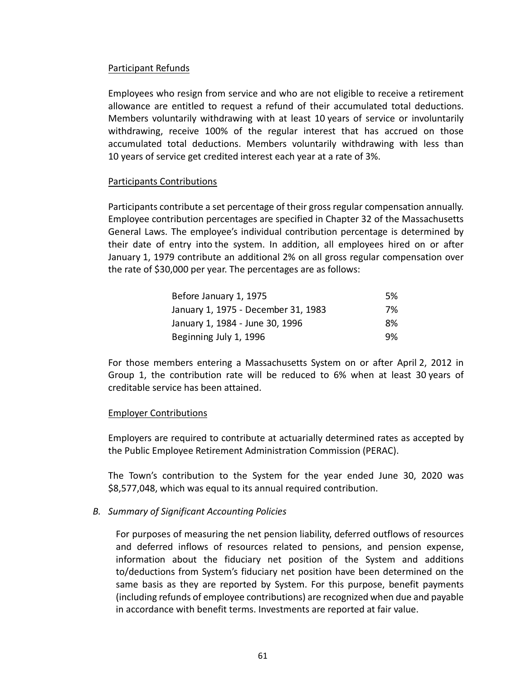## Participant Refunds

Employees who resign from service and who are not eligible to receive a retirement allowance are entitled to request a refund of their accumulated total deductions. Members voluntarily withdrawing with at least 10 years of service or involuntarily withdrawing, receive 100% of the regular interest that has accrued on those accumulated total deductions. Members voluntarily withdrawing with less than 10 years of service get credited interest each year at a rate of 3%.

## Participants Contributions

Participants contribute a set percentage of their gross regular compensation annually. Employee contribution percentages are specified in Chapter 32 of the Massachusetts General Laws. The employee's individual contribution percentage is determined by their date of entry into the system. In addition, all employees hired on or after January 1, 1979 contribute an additional 2% on all gross regular compensation over the rate of \$30,000 per year. The percentages are as follows:

| Before January 1, 1975              | .5% |
|-------------------------------------|-----|
| January 1, 1975 - December 31, 1983 | 7%  |
| January 1, 1984 - June 30, 1996     | 8%  |
| Beginning July 1, 1996              | 9%  |

For those members entering a Massachusetts System on or after April 2, 2012 in Group 1, the contribution rate will be reduced to 6% when at least 30 years of creditable service has been attained.

### Employer Contributions

Employers are required to contribute at actuarially determined rates as accepted by the Public Employee Retirement Administration Commission (PERAC).

The Town's contribution to the System for the year ended June 30, 2020 was \$8,577,048, which was equal to its annual required contribution.

### *B. Summary of Significant Accounting Policies*

For purposes of measuring the net pension liability, deferred outflows of resources and deferred inflows of resources related to pensions, and pension expense, information about the fiduciary net position of the System and additions to/deductions from System's fiduciary net position have been determined on the same basis as they are reported by System. For this purpose, benefit payments (including refunds of employee contributions) are recognized when due and payable in accordance with benefit terms. Investments are reported at fair value.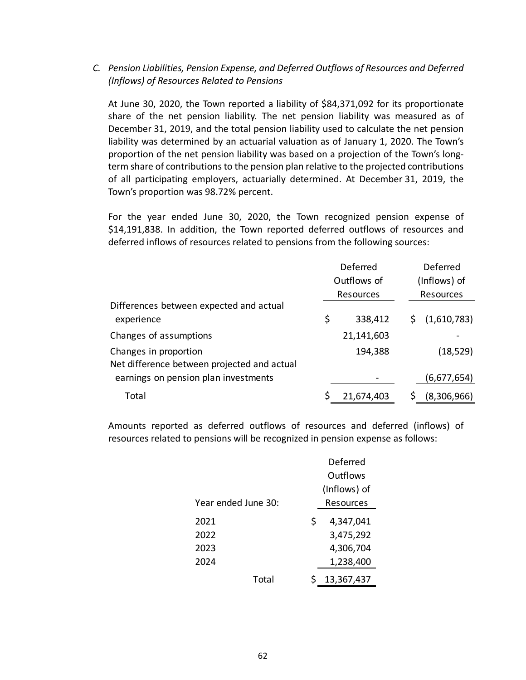# *C. Pension Liabilities, Pension Expense, and Deferred Outflows of Resources and Deferred (Inflows) of Resources Related to Pensions*

At June 30, 2020, the Town reported a liability of \$84,371,092 for its proportionate share of the net pension liability. The net pension liability was measured as of December 31, 2019, and the total pension liability used to calculate the net pension liability was determined by an actuarial valuation as of January 1, 2020. The Town's proportion of the net pension liability was based on a projection of the Town's long‐ term share of contributions to the pension plan relative to the projected contributions of all participating employers, actuarially determined. At December 31, 2019, the Town's proportion was 98.72% percent.

For the year ended June 30, 2020, the Town recognized pension expense of \$14,191,838. In addition, the Town reported deferred outflows of resources and deferred inflows of resources related to pensions from the following sources:

|                                             |    | Deferred    |  | Deferred     |  |  |
|---------------------------------------------|----|-------------|--|--------------|--|--|
|                                             |    | Outflows of |  | (Inflows) of |  |  |
|                                             |    | Resources   |  | Resources    |  |  |
| Differences between expected and actual     |    |             |  |              |  |  |
| experience                                  | \$ | 338,412     |  | (1,610,783)  |  |  |
| Changes of assumptions                      |    | 21,141,603  |  |              |  |  |
| Changes in proportion                       |    | 194,388     |  | (18, 529)    |  |  |
| Net difference between projected and actual |    |             |  |              |  |  |
| earnings on pension plan investments        |    |             |  | (6,677,654)  |  |  |
| Total                                       | S  | 21,674,403  |  | (8,306,966)  |  |  |

Amounts reported as deferred outflows of resources and deferred (inflows) of resources related to pensions will be recognized in pension expense as follows:

|                     | Deferred       |
|---------------------|----------------|
|                     | Outflows       |
|                     | (Inflows) of   |
| Year ended June 30: | Resources      |
| 2021                | Ś<br>4,347,041 |
| 2022                | 3,475,292      |
| 2023                | 4,306,704      |
| 2024                | 1,238,400      |
| Total               | 13,367,437     |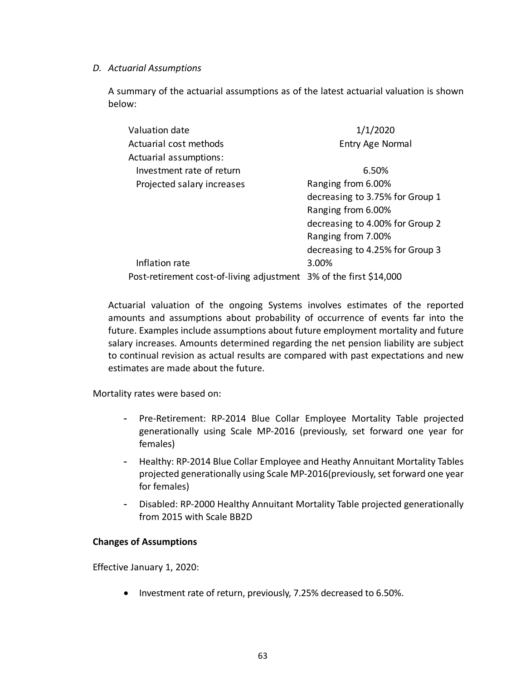## *D. Actuarial Assumptions*

A summary of the actuarial assumptions as of the latest actuarial valuation is shown below:

| Valuation date                                                     | 1/1/2020                        |
|--------------------------------------------------------------------|---------------------------------|
| Actuarial cost methods                                             | <b>Entry Age Normal</b>         |
| Actuarial assumptions:                                             |                                 |
| Investment rate of return                                          | 6.50%                           |
| Projected salary increases                                         | Ranging from 6.00%              |
|                                                                    | decreasing to 3.75% for Group 1 |
|                                                                    | Ranging from 6.00%              |
|                                                                    | decreasing to 4.00% for Group 2 |
|                                                                    | Ranging from 7.00%              |
|                                                                    | decreasing to 4.25% for Group 3 |
| Inflation rate                                                     | 3.00%                           |
| Post-retirement cost-of-living adjustment 3% of the first \$14,000 |                                 |

Actuarial valuation of the ongoing Systems involves estimates of the reported amounts and assumptions about probability of occurrence of events far into the future. Examples include assumptions about future employment mortality and future salary increases. Amounts determined regarding the net pension liability are subject to continual revision as actual results are compared with past expectations and new estimates are made about the future.

Mortality rates were based on:

- Pre‐Retirement: RP‐2014 Blue Collar Employee Mortality Table projected generationally using Scale MP‐2016 (previously, set forward one year for females)
- Healthy: RP‐2014 Blue Collar Employee and Heathy Annuitant Mortality Tables projected generationally using Scale MP‐2016(previously, set forward one year for females)
- Disabled: RP‐2000 Healthy Annuitant Mortality Table projected generationally from 2015 with Scale BB2D

## **Changes of Assumptions**

Effective January 1, 2020:

• Investment rate of return, previously, 7.25% decreased to 6.50%.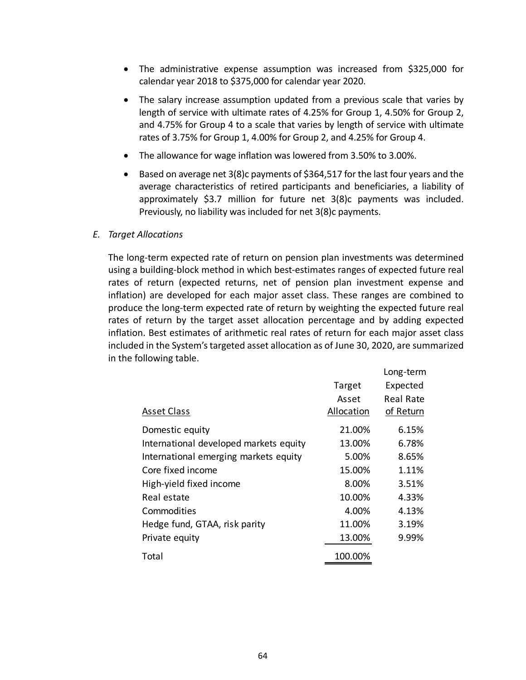- The administrative expense assumption was increased from \$325,000 for calendar year 2018 to \$375,000 for calendar year 2020.
- The salary increase assumption updated from a previous scale that varies by length of service with ultimate rates of 4.25% for Group 1, 4.50% for Group 2, and 4.75% for Group 4 to a scale that varies by length of service with ultimate rates of 3.75% for Group 1, 4.00% for Group 2, and 4.25% for Group 4.
- The allowance for wage inflation was lowered from 3.50% to 3.00%.
- **Based on average net 3(8)c payments of \$364,517 for the last four years and the** average characteristics of retired participants and beneficiaries, a liability of approximately \$3.7 million for future net 3(8)c payments was included. Previously, no liability was included for net 3(8)c payments.

### *E. Target Allocations*

The long‐term expected rate of return on pension plan investments was determined using a building‐block method in which best‐estimates ranges of expected future real rates of return (expected returns, net of pension plan investment expense and inflation) are developed for each major asset class. These ranges are combined to produce the long‐term expected rate of return by weighting the expected future real rates of return by the target asset allocation percentage and by adding expected inflation. Best estimates of arithmetic real rates of return for each major asset class included in the System's targeted asset allocation as of June 30, 2020, are summarized in the following table.

|                                        |            | Long-term |
|----------------------------------------|------------|-----------|
|                                        | Target     | Expected  |
|                                        | Asset      | Real Rate |
| <b>Asset Class</b>                     | Allocation | of Return |
| Domestic equity                        | 21.00%     | 6.15%     |
| International developed markets equity | 13.00%     | 6.78%     |
| International emerging markets equity  | 5.00%      | 8.65%     |
| Core fixed income                      | 15.00%     | 1.11%     |
| High-yield fixed income                | 8.00%      | 3.51%     |
| Real estate                            | 10.00%     | 4.33%     |
| Commodities                            | 4.00%      | 4.13%     |
| Hedge fund, GTAA, risk parity          | 11.00%     | 3.19%     |
| Private equity                         | 13.00%     | 9.99%     |
| Total                                  | 100.00%    |           |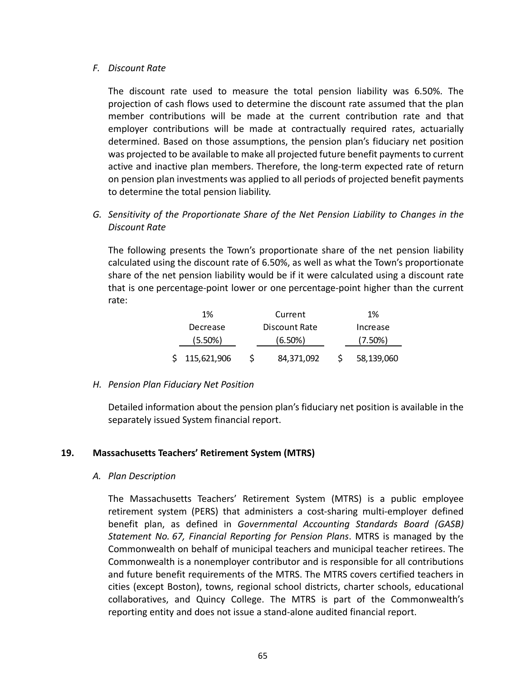### *F. Discount Rate*

The discount rate used to measure the total pension liability was 6.50%. The projection of cash flows used to determine the discount rate assumed that the plan member contributions will be made at the current contribution rate and that employer contributions will be made at contractually required rates, actuarially determined. Based on those assumptions, the pension plan's fiduciary net position was projected to be available to make all projected future benefit payments to current active and inactive plan members. Therefore, the long‐term expected rate of return on pension plan investments was applied to all periods of projected benefit payments to determine the total pension liability.

# *G. Sensitivity of the Proportionate Share of the Net Pension Liability to Changes in the Discount Rate*

The following presents the Town's proportionate share of the net pension liability calculated using the discount rate of 6.50%, as well as what the Town's proportionate share of the net pension liability would be if it were calculated using a discount rate that is one percentage‐point lower or one percentage‐point higher than the current rate:

| 1%            | Current       | 1%         |
|---------------|---------------|------------|
| Decrease      | Discount Rate | Increase   |
| $(5.50\%)$    | $(6.50\%)$    | $(7.50\%)$ |
| \$115,621,906 | 84,371,092    | 58,139,060 |

## *H. Pension Plan Fiduciary Net Position*

Detailed information about the pension plan's fiduciary net position is available in the separately issued System financial report.

## **19. Massachusetts Teachers' Retirement System (MTRS)**

## *A. Plan Description*

The Massachusetts Teachers' Retirement System (MTRS) is a public employee retirement system (PERS) that administers a cost-sharing multi-employer defined benefit plan, as defined in *Governmental Accounting Standards Board (GASB) Statement No. 67, Financial Reporting for Pension Plans*. MTRS is managed by the Commonwealth on behalf of municipal teachers and municipal teacher retirees. The Commonwealth is a nonemployer contributor and is responsible for all contributions and future benefit requirements of the MTRS. The MTRS covers certified teachers in cities (except Boston), towns, regional school districts, charter schools, educational collaboratives, and Quincy College. The MTRS is part of the Commonwealth's reporting entity and does not issue a stand‐alone audited financial report.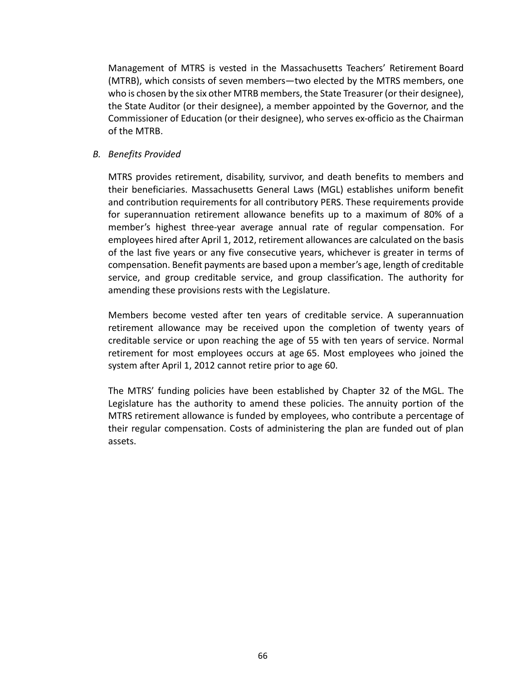Management of MTRS is vested in the Massachusetts Teachers' Retirement Board (MTRB), which consists of seven members—two elected by the MTRS members, one who is chosen by the six other MTRB members, the State Treasurer (or their designee), the State Auditor (or their designee), a member appointed by the Governor, and the Commissioner of Education (or their designee), who serves ex‐officio as the Chairman of the MTRB.

## *B. Benefits Provided*

MTRS provides retirement, disability, survivor, and death benefits to members and their beneficiaries. Massachusetts General Laws (MGL) establishes uniform benefit and contribution requirements for all contributory PERS. These requirements provide for superannuation retirement allowance benefits up to a maximum of 80% of a member's highest three-year average annual rate of regular compensation. For employees hired after April 1, 2012, retirement allowances are calculated on the basis of the last five years or any five consecutive years, whichever is greater in terms of compensation. Benefit payments are based upon a member's age, length of creditable service, and group creditable service, and group classification. The authority for amending these provisions rests with the Legislature.

Members become vested after ten years of creditable service. A superannuation retirement allowance may be received upon the completion of twenty years of creditable service or upon reaching the age of 55 with ten years of service. Normal retirement for most employees occurs at age 65. Most employees who joined the system after April 1, 2012 cannot retire prior to age 60.

The MTRS' funding policies have been established by Chapter 32 of the MGL. The Legislature has the authority to amend these policies. The annuity portion of the MTRS retirement allowance is funded by employees, who contribute a percentage of their regular compensation. Costs of administering the plan are funded out of plan assets.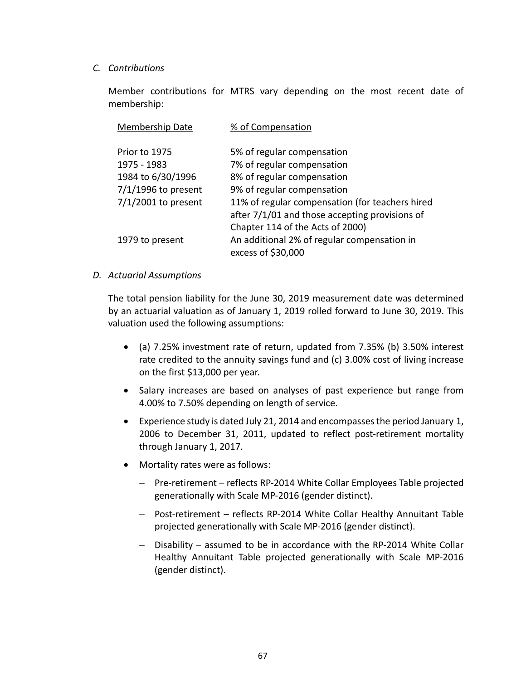## *C. Contributions*

Member contributions for MTRS vary depending on the most recent date of membership:

| Membership Date       | % of Compensation                               |
|-----------------------|-------------------------------------------------|
| Prior to 1975         | 5% of regular compensation                      |
| 1975 - 1983           | 7% of regular compensation                      |
| 1984 to 6/30/1996     | 8% of regular compensation                      |
| $7/1/1996$ to present | 9% of regular compensation                      |
| $7/1/2001$ to present | 11% of regular compensation (for teachers hired |
|                       | after 7/1/01 and those accepting provisions of  |
|                       | Chapter 114 of the Acts of 2000)                |
| 1979 to present       | An additional 2% of regular compensation in     |
|                       | excess of \$30,000                              |

## *D. Actuarial Assumptions*

The total pension liability for the June 30, 2019 measurement date was determined by an actuarial valuation as of January 1, 2019 rolled forward to June 30, 2019. This valuation used the following assumptions:

- (a) 7.25% investment rate of return, updated from 7.35% (b) 3.50% interest rate credited to the annuity savings fund and (c) 3.00% cost of living increase on the first \$13,000 per year.
- Salary increases are based on analyses of past experience but range from 4.00% to 7.50% depending on length of service.
- Experience study is dated July 21, 2014 and encompasses the period January 1, 2006 to December 31, 2011, updated to reflect post-retirement mortality through January 1, 2017.
- Mortality rates were as follows:
	- Pre-retirement reflects RP-2014 White Collar Employees Table projected generationally with Scale MP‐2016 (gender distinct).
	- Post-retirement reflects RP-2014 White Collar Healthy Annuitant Table projected generationally with Scale MP‐2016 (gender distinct).
	- Disability assumed to be in accordance with the RP‐2014 White Collar Healthy Annuitant Table projected generationally with Scale MP‐2016 (gender distinct).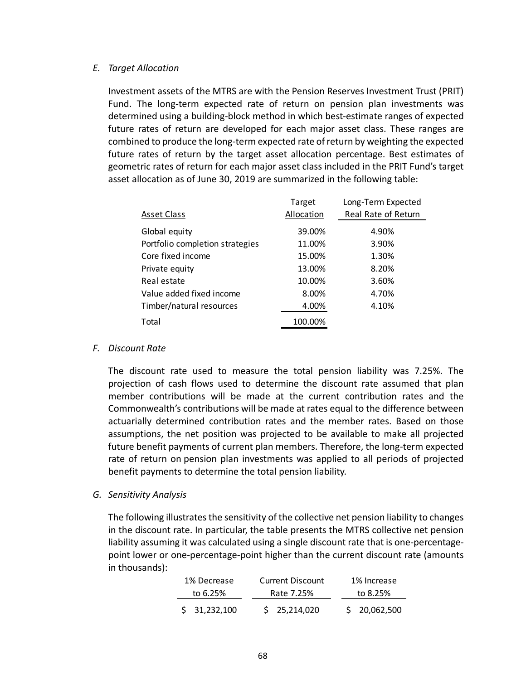### *E. Target Allocation*

Investment assets of the MTRS are with the Pension Reserves Investment Trust (PRIT) Fund. The long-term expected rate of return on pension plan investments was determined using a building‐block method in which best‐estimate ranges of expected future rates of return are developed for each major asset class. These ranges are combined to produce the long‐term expected rate of return by weighting the expected future rates of return by the target asset allocation percentage. Best estimates of geometric rates of return for each major asset class included in the PRIT Fund's target asset allocation as of June 30, 2019 are summarized in the following table:

| Target     | Long-Term Expected  |
|------------|---------------------|
| Allocation | Real Rate of Return |
| 39.00%     | 4.90%               |
| 11.00%     | 3.90%               |
| 15.00%     | 1.30%               |
| 13.00%     | 8.20%               |
| 10.00%     | 3.60%               |
| 8.00%      | 4.70%               |
| 4.00%      | 4.10%               |
| 100.00%    |                     |
|            |                     |

### *F. Discount Rate*

The discount rate used to measure the total pension liability was 7.25%. The projection of cash flows used to determine the discount rate assumed that plan member contributions will be made at the current contribution rates and the Commonwealth's contributions will be made at rates equal to the difference between actuarially determined contribution rates and the member rates. Based on those assumptions, the net position was projected to be available to make all projected future benefit payments of current plan members. Therefore, the long‐term expected rate of return on pension plan investments was applied to all periods of projected benefit payments to determine the total pension liability.

## *G. Sensitivity Analysis*

The following illustrates the sensitivity of the collective net pension liability to changes in the discount rate. In particular, the table presents the MTRS collective net pension liability assuming it was calculated using a single discount rate that is one‐percentage‐ point lower or one‐percentage‐point higher than the current discount rate (amounts in thousands):

| 1% Decrease  | <b>Current Discount</b> | 1% Increase  |
|--------------|-------------------------|--------------|
| to 6.25%     | Rate 7.25%              | to 8.25%     |
| \$31,232,100 | \$25,214,020            | \$20,062,500 |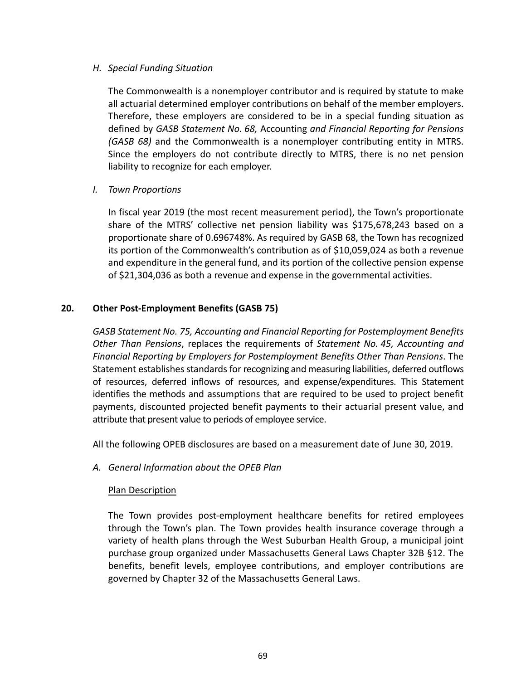## *H. Special Funding Situation*

The Commonwealth is a nonemployer contributor and is required by statute to make all actuarial determined employer contributions on behalf of the member employers. Therefore, these employers are considered to be in a special funding situation as defined by *GASB Statement No. 68,* Accounting *and Financial Reporting for Pensions (GASB 68)* and the Commonwealth is a nonemployer contributing entity in MTRS. Since the employers do not contribute directly to MTRS, there is no net pension liability to recognize for each employer.

# *I. Town Proportions*

In fiscal year 2019 (the most recent measurement period), the Town's proportionate share of the MTRS' collective net pension liability was \$175,678,243 based on a proportionate share of 0.696748%. As required by GASB 68, the Town has recognized its portion of the Commonwealth's contribution as of \$10,059,024 as both a revenue and expenditure in the general fund, and its portion of the collective pension expense of \$21,304,036 as both a revenue and expense in the governmental activities.

# **20. Other Post‐Employment Benefits (GASB 75)**

*GASB Statement No. 75, Accounting and Financial Reporting for Postemployment Benefits Other Than Pensions*, replaces the requirements of *Statement No. 45, Accounting and Financial Reporting by Employers for Postemployment Benefits Other Than Pensions*. The Statement establishes standards for recognizing and measuring liabilities, deferred outflows of resources, deferred inflows of resources, and expense/expenditures. This Statement identifies the methods and assumptions that are required to be used to project benefit payments, discounted projected benefit payments to their actuarial present value, and attribute that present value to periods of employee service.

All the following OPEB disclosures are based on a measurement date of June 30, 2019.

*A. General Information about the OPEB Plan* 

## Plan Description

The Town provides post-employment healthcare benefits for retired employees through the Town's plan. The Town provides health insurance coverage through a variety of health plans through the West Suburban Health Group, a municipal joint purchase group organized under Massachusetts General Laws Chapter 32B §12. The benefits, benefit levels, employee contributions, and employer contributions are governed by Chapter 32 of the Massachusetts General Laws.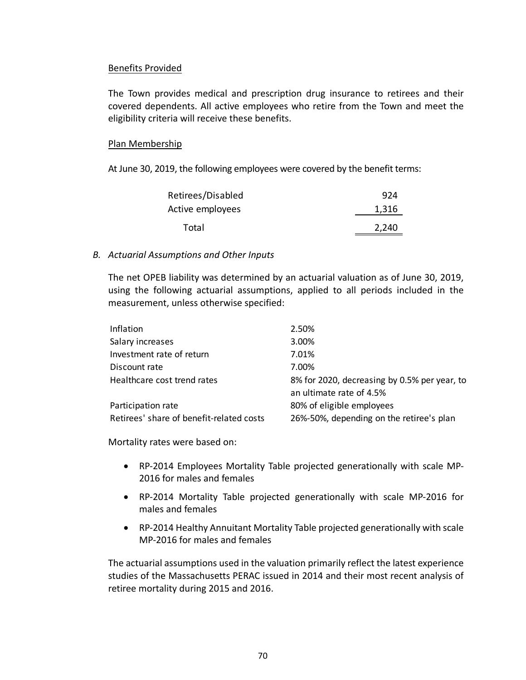## Benefits Provided

The Town provides medical and prescription drug insurance to retirees and their covered dependents. All active employees who retire from the Town and meet the eligibility criteria will receive these benefits.

## Plan Membership

At June 30, 2019, the following employees were covered by the benefit terms:

| Retirees/Disabled | 924   |
|-------------------|-------|
| Active employees  | 1,316 |
| Total             | 2,240 |

## *B. Actuarial Assumptions and Other Inputs*

The net OPEB liability was determined by an actuarial valuation as of June 30, 2019, using the following actuarial assumptions, applied to all periods included in the measurement, unless otherwise specified:

| Inflation                                | 2.50%                                        |
|------------------------------------------|----------------------------------------------|
| Salary increases                         | 3.00%                                        |
| Investment rate of return                | 7.01%                                        |
| Discount rate                            | 7.00%                                        |
| Healthcare cost trend rates              | 8% for 2020, decreasing by 0.5% per year, to |
|                                          | an ultimate rate of 4.5%                     |
| Participation rate                       | 80% of eligible employees                    |
| Retirees' share of benefit-related costs | 26%-50%, depending on the retiree's plan     |
|                                          |                                              |

Mortality rates were based on:

- RP‐2014 Employees Mortality Table projected generationally with scale MP‐ 2016 for males and females
- RP‐2014 Mortality Table projected generationally with scale MP‐2016 for males and females
- RP-2014 Healthy Annuitant Mortality Table projected generationally with scale MP‐2016 for males and females

The actuarial assumptions used in the valuation primarily reflect the latest experience studies of the Massachusetts PERAC issued in 2014 and their most recent analysis of retiree mortality during 2015 and 2016.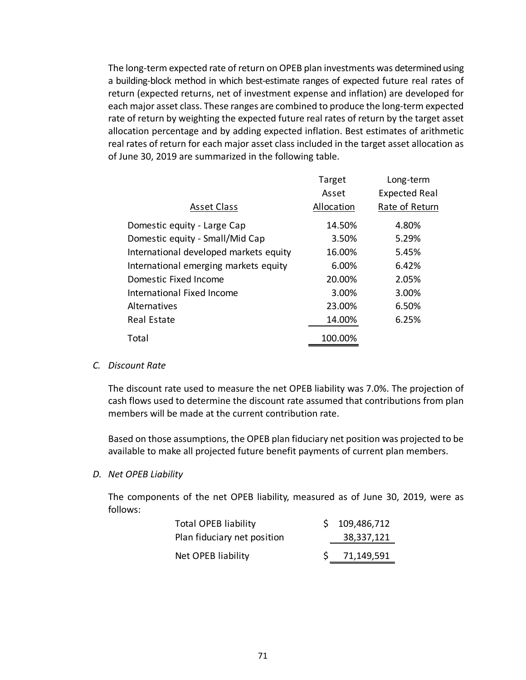The long‐term expected rate of return on OPEB plan investments was determined using a building‐block method in which best‐estimate ranges of expected future real rates of return (expected returns, net of investment expense and inflation) are developed for each major asset class. These ranges are combined to produce the long‐term expected rate of return by weighting the expected future real rates of return by the target asset allocation percentage and by adding expected inflation. Best estimates of arithmetic real rates of return for each major asset class included in the target asset allocation as of June 30, 2019 are summarized in the following table.

|                                        | Target     | Long-term            |
|----------------------------------------|------------|----------------------|
|                                        | Asset      | <b>Expected Real</b> |
| <b>Asset Class</b>                     | Allocation | Rate of Return       |
| Domestic equity - Large Cap            | 14.50%     | 4.80%                |
| Domestic equity - Small/Mid Cap        | 3.50%      | 5.29%                |
| International developed markets equity | 16.00%     | 5.45%                |
| International emerging markets equity  | 6.00%      | 6.42%                |
| Domestic Fixed Income                  | 20.00%     | 2.05%                |
| International Fixed Income             | 3.00%      | 3.00%                |
| Alternatives                           | 23.00%     | 6.50%                |
| Real Estate                            | 14.00%     | 6.25%                |
| Total                                  | 100.00%    |                      |

### *C. Discount Rate*

The discount rate used to measure the net OPEB liability was 7.0%. The projection of cash flows used to determine the discount rate assumed that contributions from plan members will be made at the current contribution rate.

Based on those assumptions, the OPEB plan fiduciary net position was projected to be available to make all projected future benefit payments of current plan members.

### *D. Net OPEB Liability*

The components of the net OPEB liability, measured as of June 30, 2019, were as follows:

| <b>Total OPEB liability</b> | \$109,486,712 |
|-----------------------------|---------------|
| Plan fiduciary net position | 38,337,121    |
| Net OPEB liability          | 71,149,591    |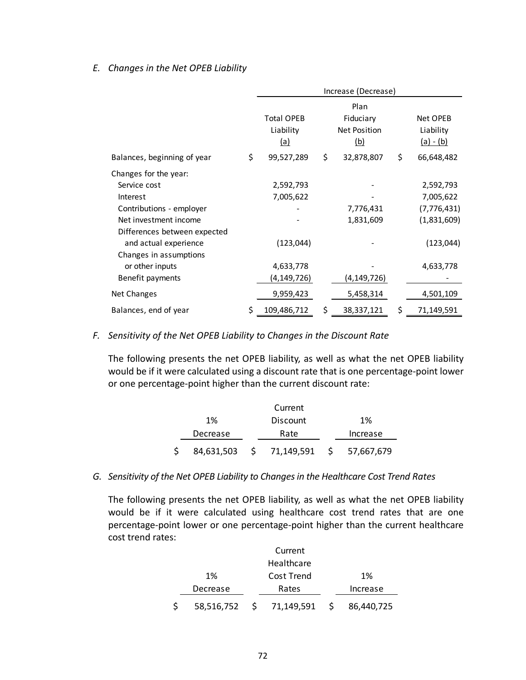## *E. Changes in the Net OPEB Liability*

|                              | Increase (Decrease)                          |    |                                                 |    |                                      |
|------------------------------|----------------------------------------------|----|-------------------------------------------------|----|--------------------------------------|
|                              | <b>Total OPEB</b><br>Liability<br><u>(a)</u> |    | Plan<br>Fiduciary<br>Net Position<br><u>(b)</u> |    | Net OPEB<br>Liability<br>$(a) - (b)$ |
| Balances, beginning of year  | \$<br>99,527,289                             | \$ | 32,878,807                                      | \$ | 66,648,482                           |
| Changes for the year:        |                                              |    |                                                 |    |                                      |
| Service cost                 | 2,592,793                                    |    |                                                 |    | 2,592,793                            |
| Interest                     | 7,005,622                                    |    |                                                 |    | 7,005,622                            |
| Contributions - employer     |                                              |    | 7,776,431                                       |    | (7, 776, 431)                        |
| Net investment income        |                                              |    | 1,831,609                                       |    | (1,831,609)                          |
| Differences between expected |                                              |    |                                                 |    |                                      |
| and actual experience        | (123, 044)                                   |    |                                                 |    | (123, 044)                           |
| Changes in assumptions       |                                              |    |                                                 |    |                                      |
| or other inputs              | 4,633,778                                    |    |                                                 |    | 4,633,778                            |
| Benefit payments             | (4,149,726)                                  |    | (4,149,726)                                     |    |                                      |
| Net Changes                  | 9,959,423                                    |    | 5,458,314                                       |    | 4,501,109                            |
| Balances, end of year        | \$<br>109,486,712                            | \$ | 38,337,121                                      | S  | 71,149,591                           |

### *F. Sensitivity of the Net OPEB Liability to Changes in the Discount Rate*

The following presents the net OPEB liability, as well as what the net OPEB liability would be if it were calculated using a discount rate that is one percentage‐point lower or one percentage‐point higher than the current discount rate:

|     |          | Current                     |            |
|-----|----------|-----------------------------|------------|
|     | $1\%$    | <b>Discount</b>             | 1%         |
|     | Decrease | Rate                        | Increase   |
| \$. |          | 84,631,503 \$ 71,149,591 \$ | 57,667,679 |

*G. Sensitivity of the Net OPEB Liability to Changes in the Healthcare Cost Trend Rates* 

The following presents the net OPEB liability, as well as what the net OPEB liability would be if it were calculated using healthcare cost trend rates that are one percentage‐point lower or one percentage‐point higher than the current healthcare cost trend rates:

|          | Current                     |            |
|----------|-----------------------------|------------|
|          | Healthcare                  |            |
| 1%       | Cost Trend                  | 1%         |
| Decrease | Rates                       | Increase   |
| \$       | 58,516,752 \$ 71,149,591 \$ | 86,440,725 |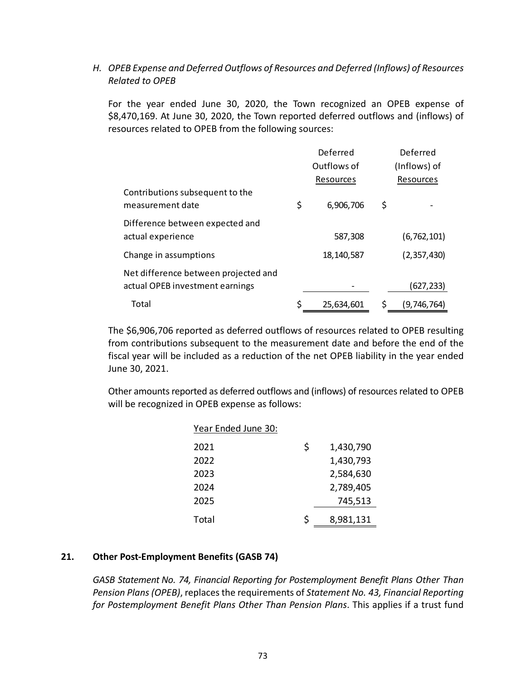*H. OPEB Expense and Deferred Outflows of Resources and Deferred (Inflows) of Resources Related to OPEB* 

For the year ended June 30, 2020, the Town recognized an OPEB expense of \$8,470,169. At June 30, 2020, the Town reported deferred outflows and (inflows) of resources related to OPEB from the following sources:

|                                                     | Deferred         | Deferred          |
|-----------------------------------------------------|------------------|-------------------|
|                                                     | Outflows of      | (Inflows) of      |
|                                                     | Resources        | Resources         |
| Contributions subsequent to the<br>measurement date | \$<br>6,906,706  | \$                |
| Difference between expected and                     |                  |                   |
| actual experience                                   | 587,308          | (6, 762, 101)     |
| Change in assumptions                               | 18,140,587       | (2,357,430)       |
| Net difference between projected and                |                  |                   |
| actual OPEB investment earnings                     |                  | (627, 233)        |
| Total                                               | \$<br>25,634,601 | \$<br>(9,746,764) |

The \$6,906,706 reported as deferred outflows of resources related to OPEB resulting from contributions subsequent to the measurement date and before the end of the fiscal year will be included as a reduction of the net OPEB liability in the year ended June 30, 2021.

Other amounts reported as deferred outflows and (inflows) of resources related to OPEB will be recognized in OPEB expense as follows:

| Year Ended June 30: |   |           |
|---------------------|---|-----------|
| 2021                | Ś | 1,430,790 |
| 2022                |   | 1,430,793 |
| 2023                |   | 2,584,630 |
| 2024                |   | 2,789,405 |
| 2025                |   | 745,513   |
| Total               | Ś | 8,981,131 |

## **21. Other Post‐Employment Benefits (GASB 74)**

*GASB Statement No. 74, Financial Reporting for Postemployment Benefit Plans Other Than Pension Plans (OPEB)*, replaces the requirements of *Statement No. 43, Financial Reporting for Postemployment Benefit Plans Other Than Pension Plans*. This applies if a trust fund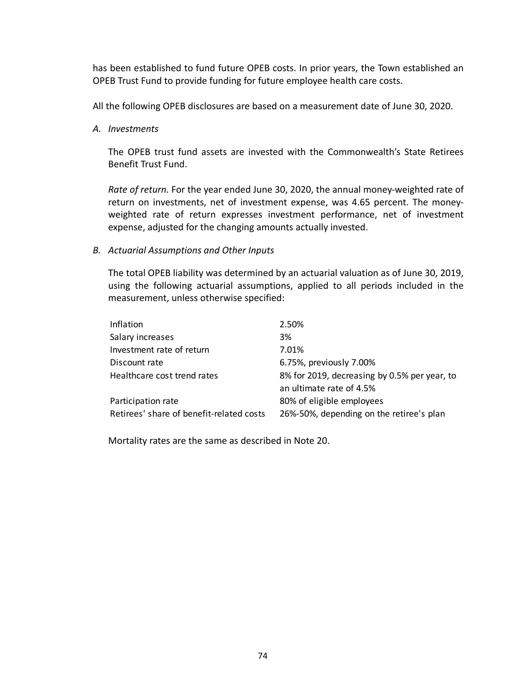has been established to fund future OPEB costs. In prior years, the Town established an OPEB Trust Fund to provide funding for future employee health care costs.

All the following OPEB disclosures are based on a measurement date of June 30, 2020.

*A. Investments* 

The OPEB trust fund assets are invested with the Commonwealth's State Retirees Benefit Trust Fund.

*Rate of return.* For the year ended June 30, 2020, the annual money‐weighted rate of return on investments, net of investment expense, was 4.65 percent. The moneyweighted rate of return expresses investment performance, net of investment expense, adjusted for the changing amounts actually invested.

## *B. Actuarial Assumptions and Other Inputs*

The total OPEB liability was determined by an actuarial valuation as of June 30, 2019, using the following actuarial assumptions, applied to all periods included in the measurement, unless otherwise specified:

| Inflation                                | 2.50%                                        |
|------------------------------------------|----------------------------------------------|
| Salary increases                         | 3%                                           |
| Investment rate of return                | 7.01%                                        |
| Discount rate                            | 6.75%, previously 7.00%                      |
| Healthcare cost trend rates              | 8% for 2019, decreasing by 0.5% per year, to |
|                                          | an ultimate rate of 4.5%                     |
| Participation rate                       | 80% of eligible employees                    |
| Retirees' share of benefit-related costs | 26%-50%, depending on the retiree's plan     |

Mortality rates are the same as described in Note 20.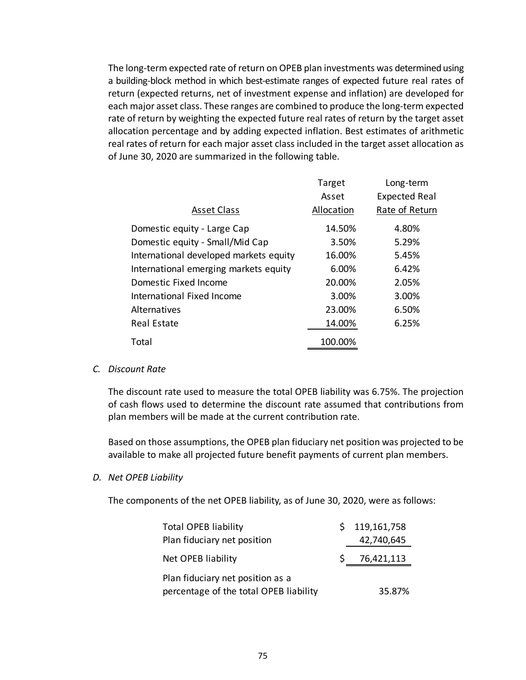The long‐term expected rate of return on OPEB plan investments was determined using a building‐block method in which best‐estimate ranges of expected future real rates of return (expected returns, net of investment expense and inflation) are developed for each major asset class. These ranges are combined to produce the long‐term expected rate of return by weighting the expected future real rates of return by the target asset allocation percentage and by adding expected inflation. Best estimates of arithmetic real rates of return for each major asset class included in the target asset allocation as of June 30, 2020 are summarized in the following table.

|                                        | Target<br>Asset | Long-term<br><b>Expected Real</b> |
|----------------------------------------|-----------------|-----------------------------------|
| <b>Asset Class</b>                     | Allocation      | Rate of Return                    |
| Domestic equity - Large Cap            | 14.50%          | 4.80%                             |
| Domestic equity - Small/Mid Cap        | 3.50%           | 5.29%                             |
| International developed markets equity | 16.00%          | 5.45%                             |
| International emerging markets equity  | 6.00%           | 6.42%                             |
| Domestic Fixed Income                  | 20.00%          | 2.05%                             |
| International Fixed Income             | 3.00%           | 3.00%                             |
| Alternatives                           | 23.00%          | 6.50%                             |
| <b>Real Estate</b>                     | 14.00%          | 6.25%                             |
| Total                                  | 100.00%         |                                   |

## *C. Discount Rate*

The discount rate used to measure the total OPEB liability was 6.75%. The projection of cash flows used to determine the discount rate assumed that contributions from plan members will be made at the current contribution rate.

Based on those assumptions, the OPEB plan fiduciary net position was projected to be available to make all projected future benefit payments of current plan members.

### *D. Net OPEB Liability*

The components of the net OPEB liability, as of June 30, 2020, were as follows:

| <b>Total OPEB liability</b>            | \$119,161,758 |
|----------------------------------------|---------------|
| Plan fiduciary net position            | 42,740,645    |
| Net OPEB liability                     | 76,421,113    |
| Plan fiduciary net position as a       |               |
| percentage of the total OPEB liability | 35.87%        |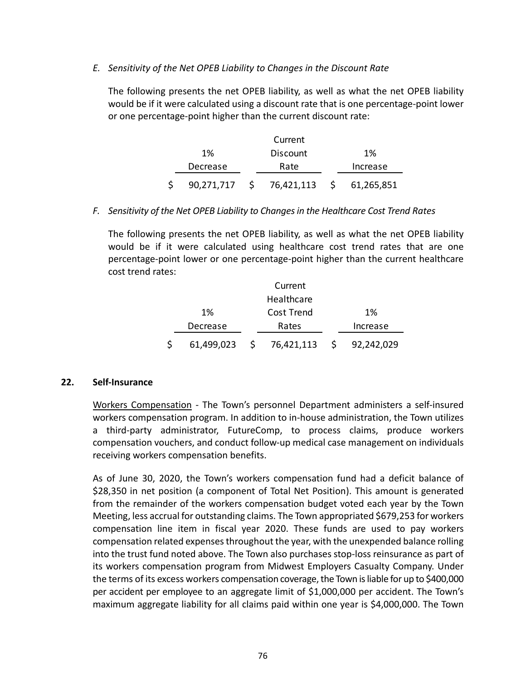## *E. Sensitivity of the Net OPEB Liability to Changes in the Discount Rate*

The following presents the net OPEB liability, as well as what the net OPEB liability would be if it were calculated using a discount rate that is one percentage-point lower or one percentage‐point higher than the current discount rate:

|            |      | Current    |           |            |
|------------|------|------------|-----------|------------|
| 1%         |      | Discount   |           | 1%         |
| Decrease   | Rate |            |           | Increase   |
| 90,271,717 | 5    | 76,421,113 | $\sim$ \$ | 61,265,851 |

## *F. Sensitivity of the Net OPEB Liability to Changes in the Healthcare Cost Trend Rates*

The following presents the net OPEB liability, as well as what the net OPEB liability would be if it were calculated using healthcare cost trend rates that are one percentage‐point lower or one percentage‐point higher than the current healthcare cost trend rates:

|   |            | Current      |    |            |
|---|------------|--------------|----|------------|
|   |            | Healthcare   |    |            |
|   | 1%         | Cost Trend   |    | 1%         |
|   | Decrease   | Rates        |    | Increase   |
| Ś | 61,499,023 | \$76,421,113 | S. | 92,242,029 |

## **22. Self‐Insurance**

Workers Compensation - The Town's personnel Department administers a self-insured workers compensation program. In addition to in‐house administration, the Town utilizes a third‐party administrator, FutureComp, to process claims, produce workers compensation vouchers, and conduct follow‐up medical case management on individuals receiving workers compensation benefits.

As of June 30, 2020, the Town's workers compensation fund had a deficit balance of \$28,350 in net position (a component of Total Net Position). This amount is generated from the remainder of the workers compensation budget voted each year by the Town Meeting, less accrual for outstanding claims. The Town appropriated \$679,253 for workers compensation line item in fiscal year 2020. These funds are used to pay workers compensation related expenses throughout the year, with the unexpended balance rolling into the trust fund noted above. The Town also purchases stop‐loss reinsurance as part of its workers compensation program from Midwest Employers Casualty Company. Under the terms of its excess workers compensation coverage, the Town is liable for up to \$400,000 per accident per employee to an aggregate limit of \$1,000,000 per accident. The Town's maximum aggregate liability for all claims paid within one year is \$4,000,000. The Town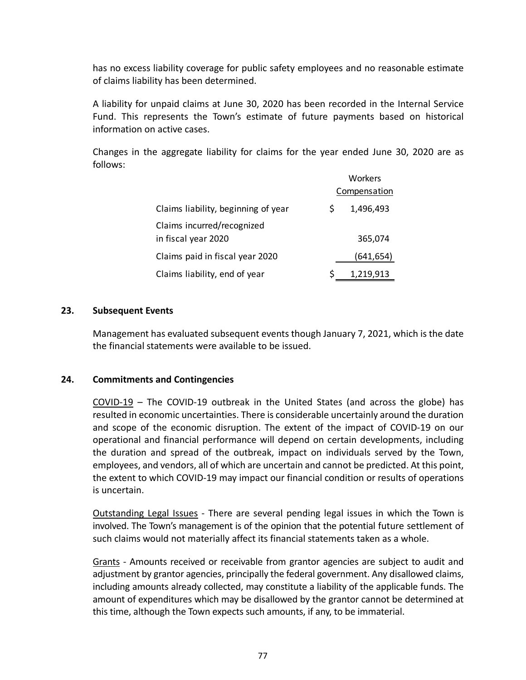has no excess liability coverage for public safety employees and no reasonable estimate of claims liability has been determined.

A liability for unpaid claims at June 30, 2020 has been recorded in the Internal Service Fund. This represents the Town's estimate of future payments based on historical information on active cases.

Changes in the aggregate liability for claims for the year ended June 30, 2020 are as follows:

|                                                   |   | Workers      |
|---------------------------------------------------|---|--------------|
|                                                   |   | Compensation |
| Claims liability, beginning of year               | S | 1,496,493    |
| Claims incurred/recognized<br>in fiscal year 2020 |   | 365,074      |
| Claims paid in fiscal year 2020                   |   | (641,654)    |
| Claims liability, end of year                     |   | 1,219,913    |

## **23. Subsequent Events**

Management has evaluated subsequent events though January 7, 2021, which is the date the financial statements were available to be issued.

### **24. Commitments and Contingencies**

COVID‐19 – The COVID‐19 outbreak in the United States (and across the globe) has resulted in economic uncertainties. There is considerable uncertainly around the duration and scope of the economic disruption. The extent of the impact of COVID-19 on our operational and financial performance will depend on certain developments, including the duration and spread of the outbreak, impact on individuals served by the Town, employees, and vendors, all of which are uncertain and cannot be predicted. At this point, the extent to which COVID‐19 may impact our financial condition or results of operations is uncertain.

Outstanding Legal Issues - There are several pending legal issues in which the Town is involved. The Town's management is of the opinion that the potential future settlement of such claims would not materially affect its financial statements taken as a whole.

Grants ‐ Amounts received or receivable from grantor agencies are subject to audit and adjustment by grantor agencies, principally the federal government. Any disallowed claims, including amounts already collected, may constitute a liability of the applicable funds. The amount of expenditures which may be disallowed by the grantor cannot be determined at this time, although the Town expects such amounts, if any, to be immaterial.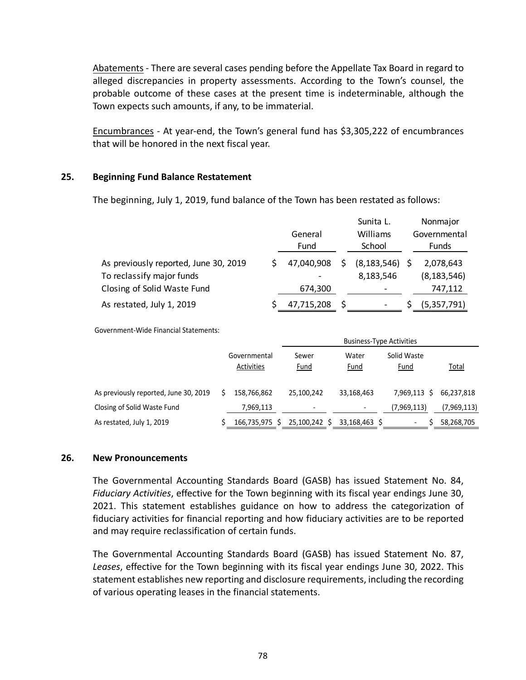Abatements ‐ There are several cases pending before the Appellate Tax Board in regard to alleged discrepancies in property assessments. According to the Town's counsel, the probable outcome of these cases at the present time is indeterminable, although the Town expects such amounts, if any, to be immaterial.

Encumbrances ‐ At year‐end, the Town's general fund has \$3,305,222 of encumbrances that will be honored in the next fiscal year.

### **25. Beginning Fund Balance Restatement**

The beginning, July 1, 2019, fund balance of the Town has been restated as follows:

|                                       |            | Sunita L.     | Nonmajor      |
|---------------------------------------|------------|---------------|---------------|
|                                       | General    | Williams      | Governmental  |
|                                       | Fund       | School        | <b>Funds</b>  |
| As previously reported, June 30, 2019 | 47,040,908 | (8, 183, 546) | 2,078,643     |
| To reclassify major funds             |            | 8,183,546     | (8, 183, 546) |
| Closing of Solid Waste Fund           | 674,300    |               | 747,112       |
| As restated, July 1, 2019             | 47,715,208 |               | (5,357,791)   |

Government‐Wide Financial Statements:

|                                       |                            | <b>Business-Type Activities</b> |               |                            |              |  |  |  |  |  |  |  |
|---------------------------------------|----------------------------|---------------------------------|---------------|----------------------------|--------------|--|--|--|--|--|--|--|
|                                       | Governmental<br>Activities | Sewer<br>Fund                   | Water<br>Fund | Solid Waste<br><u>Fund</u> | <u>Total</u> |  |  |  |  |  |  |  |
| As previously reported, June 30, 2019 | 158.766.862                | 25.100.242                      | 33,168,463    | 7.969.113 \$               | 66.237.818   |  |  |  |  |  |  |  |
| Closing of Solid Waste Fund           | 7,969,113                  | $\overline{\phantom{a}}$        |               | (7,969,113)                | (7,969,113)  |  |  |  |  |  |  |  |
| As restated, July 1, 2019             | 166,735,975<br>S.          | 25,100,242 \$                   | 33.168.463 S  | $\overline{\phantom{0}}$   | 58,268,705   |  |  |  |  |  |  |  |

## **26. New Pronouncements**

The Governmental Accounting Standards Board (GASB) has issued Statement No. 84, *Fiduciary Activities*, effective for the Town beginning with its fiscal year endings June 30, 2021. This statement establishes guidance on how to address the categorization of fiduciary activities for financial reporting and how fiduciary activities are to be reported and may require reclassification of certain funds.

The Governmental Accounting Standards Board (GASB) has issued Statement No. 87, *Leases*, effective for the Town beginning with its fiscal year endings June 30, 2022. This statement establishes new reporting and disclosure requirements, including the recording of various operating leases in the financial statements.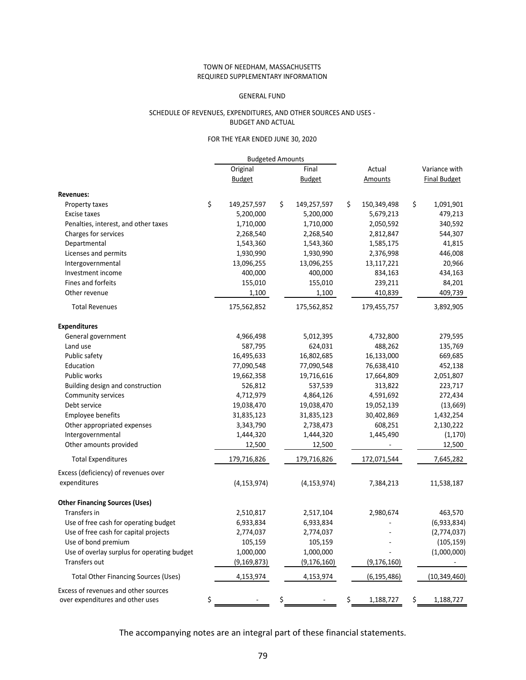#### TOWN OF NEEDHAM, MASSACHUSETTS REQUIRED SUPPLEMENTARY INFORMATION

#### GENERAL FUND

#### SCHEDULE OF REVENUES, EXPENDITURES, AND OTHER SOURCES AND USES ‐ BUDGET AND ACTUAL

#### FOR THE YEAR ENDED JUNE 30, 2020

|                                                                          | <b>Budgeted Amounts</b> |                   |                   |                     |
|--------------------------------------------------------------------------|-------------------------|-------------------|-------------------|---------------------|
|                                                                          | Original                | Final             | Actual            | Variance with       |
|                                                                          | <b>Budget</b>           | <b>Budget</b>     | Amounts           | <b>Final Budget</b> |
| <b>Revenues:</b>                                                         |                         |                   |                   |                     |
| Property taxes                                                           | \$<br>149,257,597       | \$<br>149,257,597 | \$<br>150,349,498 | \$<br>1,091,901     |
| Excise taxes                                                             | 5,200,000               | 5,200,000         | 5,679,213         | 479,213             |
| Penalties, interest, and other taxes                                     | 1,710,000               | 1,710,000         | 2,050,592         | 340,592             |
| Charges for services                                                     | 2,268,540               | 2,268,540         | 2,812,847         | 544,307             |
| Departmental                                                             | 1,543,360               | 1,543,360         | 1,585,175         | 41,815              |
| Licenses and permits                                                     | 1,930,990               | 1,930,990         | 2,376,998         | 446,008             |
| Intergovernmental                                                        | 13,096,255              | 13,096,255        | 13,117,221        | 20,966              |
| Investment income                                                        | 400,000                 | 400,000           | 834,163           | 434,163             |
| Fines and forfeits                                                       | 155,010                 | 155,010           | 239,211           | 84,201              |
| Other revenue                                                            | 1,100                   | 1,100             | 410,839           | 409,739             |
| <b>Total Revenues</b>                                                    | 175,562,852             | 175,562,852       | 179,455,757       | 3,892,905           |
| <b>Expenditures</b>                                                      |                         |                   |                   |                     |
| General government                                                       | 4,966,498               | 5,012,395         | 4,732,800         | 279,595             |
| Land use                                                                 | 587,795                 | 624,031           | 488,262           | 135,769             |
| Public safety                                                            | 16,495,633              | 16,802,685        | 16,133,000        | 669,685             |
| Education                                                                | 77,090,548              | 77,090,548        | 76,638,410        | 452,138             |
| Public works                                                             | 19,662,358              | 19,716,616        | 17,664,809        | 2,051,807           |
| Building design and construction                                         | 526,812                 | 537,539           | 313,822           | 223,717             |
| Community services                                                       | 4,712,979               | 4,864,126         | 4,591,692         | 272,434             |
| Debt service                                                             | 19,038,470              | 19,038,470        | 19,052,139        | (13, 669)           |
| <b>Employee benefits</b>                                                 | 31,835,123              | 31,835,123        | 30,402,869        | 1,432,254           |
| Other appropriated expenses                                              | 3,343,790               | 2,738,473         | 608,251           | 2,130,222           |
| Intergovernmental                                                        | 1,444,320               | 1,444,320         | 1,445,490         | (1, 170)            |
| Other amounts provided                                                   | 12,500                  | 12,500            |                   | 12,500              |
| <b>Total Expenditures</b>                                                | 179,716,826             | 179,716,826       | 172,071,544       | 7,645,282           |
| Excess (deficiency) of revenues over                                     |                         |                   |                   |                     |
| expenditures                                                             | (4, 153, 974)           | (4, 153, 974)     | 7,384,213         | 11,538,187          |
| <b>Other Financing Sources (Uses)</b>                                    |                         |                   |                   |                     |
| Transfers in                                                             | 2,510,817               | 2,517,104         | 2,980,674         | 463,570             |
| Use of free cash for operating budget                                    | 6,933,834               | 6,933,834         |                   | (6,933,834)         |
| Use of free cash for capital projects                                    | 2,774,037               | 2,774,037         |                   | (2,774,037)         |
| Use of bond premium                                                      | 105,159                 | 105,159           |                   | (105, 159)          |
| Use of overlay surplus for operating budget                              | 1,000,000               | 1,000,000         |                   | (1,000,000)         |
| Transfers out                                                            | (9, 169, 873)           | (9, 176, 160)     | (9, 176, 160)     |                     |
| Total Other Financing Sources (Uses)                                     | 4,153,974               | 4,153,974         | (6, 195, 486)     | (10, 349, 460)      |
| Excess of revenues and other sources<br>over expenditures and other uses | \$                      | \$                | \$<br>1,188,727   | \$<br>1,188,727     |

The accompanying notes are an integral part of these financial statements.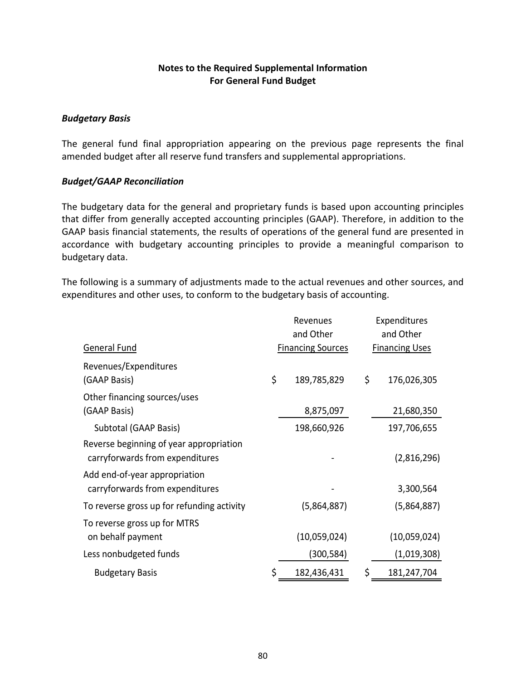# **Notes to the Required Supplemental Information For General Fund Budget**

## *Budgetary Basis*

The general fund final appropriation appearing on the previous page represents the final amended budget after all reserve fund transfers and supplemental appropriations.

# *Budget/GAAP Reconciliation*

The budgetary data for the general and proprietary funds is based upon accounting principles that differ from generally accepted accounting principles (GAAP). Therefore, in addition to the GAAP basis financial statements, the results of operations of the general fund are presented in accordance with budgetary accounting principles to provide a meaningful comparison to budgetary data.

The following is a summary of adjustments made to the actual revenues and other sources, and expenditures and other uses, to conform to the budgetary basis of accounting.

|                                                                            | Revenues<br>and Other    | Expenditures<br>and Other |                       |  |  |
|----------------------------------------------------------------------------|--------------------------|---------------------------|-----------------------|--|--|
| <b>General Fund</b>                                                        | <b>Financing Sources</b> |                           | <b>Financing Uses</b> |  |  |
| Revenues/Expenditures<br>(GAAP Basis)                                      | \$<br>189,785,829        | \$                        | 176,026,305           |  |  |
| Other financing sources/uses<br>(GAAP Basis)                               | 8,875,097                |                           | 21,680,350            |  |  |
| Subtotal (GAAP Basis)                                                      | 198,660,926              |                           | 197,706,655           |  |  |
| Reverse beginning of year appropriation<br>carryforwards from expenditures |                          |                           | (2,816,296)           |  |  |
| Add end-of-year appropriation<br>carryforwards from expenditures           |                          |                           | 3,300,564             |  |  |
| To reverse gross up for refunding activity                                 | (5,864,887)              |                           | (5,864,887)           |  |  |
| To reverse gross up for MTRS<br>on behalf payment                          | (10,059,024)             |                           | (10,059,024)          |  |  |
| Less nonbudgeted funds                                                     | (300, 584)               |                           | (1,019,308)           |  |  |
| <b>Budgetary Basis</b>                                                     | \$<br>182,436,431        | \$                        | 181,247,704           |  |  |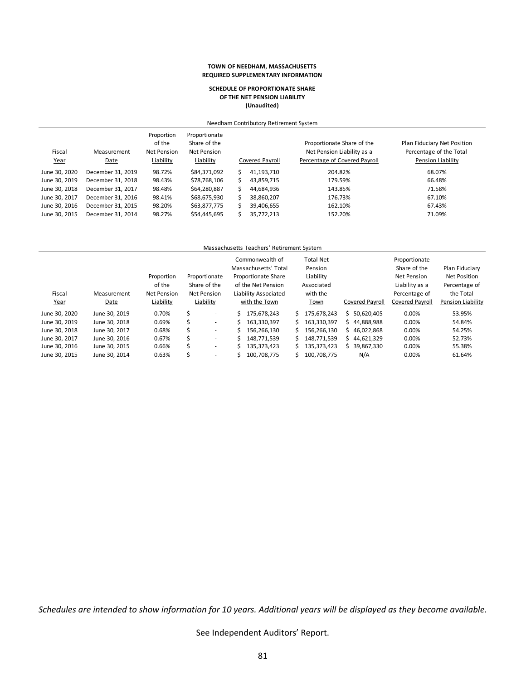#### **TOWN OF NEEDHAM, MASSACHUSETTS REQUIRED SUPPLEMENTARY INFORMATION**

#### **SCHEDULE OF PROPORTIONATE SHARE OF THE NET PENSION LIABILITY (Unaudited)**

|                       | Needham Contributory Retirement System |                                                  |                                                           |     |                 |                                                                                           |                                                                             |  |  |  |  |  |  |
|-----------------------|----------------------------------------|--------------------------------------------------|-----------------------------------------------------------|-----|-----------------|-------------------------------------------------------------------------------------------|-----------------------------------------------------------------------------|--|--|--|--|--|--|
| Fiscal<br><u>Year</u> | Measurement<br>Date                    | Proportion<br>of the<br>Net Pension<br>Liability | Proportionate<br>Share of the<br>Net Pension<br>Liability |     | Covered Pavroll | Proportionate Share of the<br>Net Pension Liability as a<br>Percentage of Covered Payroll | Plan Fiduciary Net Position<br>Percentage of the Total<br>Pension Liability |  |  |  |  |  |  |
| June 30, 2020         | December 31, 2019                      | 98.72%                                           | \$84,371,092                                              | \$. | 41.193.710      | 204.82%                                                                                   | 68.07%                                                                      |  |  |  |  |  |  |
| June 30, 2019         | December 31, 2018                      | 98.43%                                           | \$78,768,106                                              |     | 43,859,715      | 179.59%                                                                                   | 66.48%                                                                      |  |  |  |  |  |  |
| June 30, 2018         | December 31, 2017                      | 98.48%                                           | \$64,280,887                                              |     | 44.684.936      | 143.85%                                                                                   | 71.58%                                                                      |  |  |  |  |  |  |
| June 30, 2017         | December 31, 2016                      | 98.41%                                           | \$68,675,930                                              |     | 38.860.207      | 176.73%                                                                                   | 67.10%                                                                      |  |  |  |  |  |  |
| June 30, 2016         | December 31, 2015                      | 98.20%                                           | \$63,877,775                                              |     | 39,406,655      | 162.10%                                                                                   | 67.43%                                                                      |  |  |  |  |  |  |
| June 30, 2015         | December 31, 2014                      | 98.27%                                           | \$54,445,695                                              |     | 35,772,213      | 152.20%                                                                                   | 71.09%                                                                      |  |  |  |  |  |  |

#### Massachusetts Teachers' Retirement System

|               |               | Proportion<br>of the |    | Proportionate<br>Share of the | Commonwealth of<br>Massachusetts' Total<br>Proportionate Share<br>of the Net Pension |    | Total Net<br>Pension<br>Liability<br>Associated |   |                        | Proportionate<br>Share of the<br><b>Net Pension</b><br>Liability as a | Plan Fiduciary<br><b>Net Position</b><br>Percentage of |
|---------------|---------------|----------------------|----|-------------------------------|--------------------------------------------------------------------------------------|----|-------------------------------------------------|---|------------------------|-----------------------------------------------------------------------|--------------------------------------------------------|
| Fiscal        | Measurement   | <b>Net Pension</b>   |    | Net Pension                   | Liability Associated                                                                 |    | with the                                        |   |                        | Percentage of                                                         | the Total                                              |
| <u>Year</u>   | Date          | Liability            |    | Liability                     | with the Town                                                                        |    | Town                                            |   | <b>Covered Payroll</b> | Covered Payroll                                                       | Pension Liability                                      |
| June 30, 2020 | June 30, 2019 | 0.70%                | Ś  | ۰                             | 175.678.243                                                                          | Ś. | 175.678.243                                     | Ś | 50.620.405             | 0.00%                                                                 | 53.95%                                                 |
| June 30, 2019 | June 30, 2018 | 0.69%                | Ś  | $\overline{\phantom{a}}$      | 163.330.397                                                                          |    | 163.330.397                                     |   | 44.888.988             | 0.00%                                                                 | 54.84%                                                 |
| June 30, 2018 | June 30, 2017 | 0.68%                | Ś  | ٠                             | 156.266.130                                                                          |    | 156,266,130                                     |   | 46.022.868             | 0.00%                                                                 | 54.25%                                                 |
| June 30, 2017 | June 30, 2016 | 0.67%                | Ś. | ۰                             | 148.771.539                                                                          |    | 148,771,539                                     |   | 44.621.329             | 0.00%                                                                 | 52.73%                                                 |
| June 30, 2016 | June 30, 2015 | 0.66%                | Ŝ. | ۰                             | 135,373,423                                                                          | S  | 135,373,423                                     |   | 39,867,330             | 0.00%                                                                 | 55.38%                                                 |
| June 30, 2015 | June 30, 2014 | 0.63%                |    | $\overline{\phantom{a}}$      | 100.708.775                                                                          |    | 100.708.775                                     |   | N/A                    | 0.00%                                                                 | 61.64%                                                 |

*Schedules are intended to show information for 10 years. Additional years will be displayed as they become available.*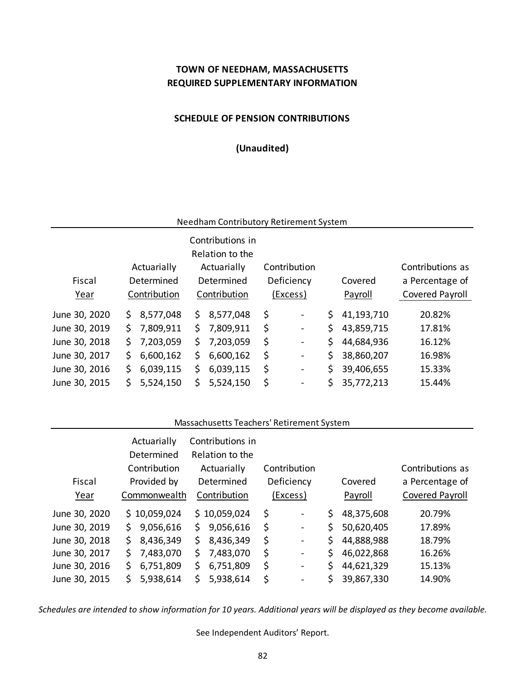# **TOWN OF NEEDHAM, MASSACHUSETTS REQUIRED SUPPLEMENTARY INFORMATION**

## **SCHEDULE OF PENSION CONTRIBUTIONS**

**(Unaudited)**

## Needham Contributory Retirement System

|               |            |              |     | Contributions in |          |                |                  |                 |  |
|---------------|------------|--------------|-----|------------------|----------|----------------|------------------|-----------------|--|
|               |            |              |     | Relation to the  |          |                |                  |                 |  |
|               |            | Actuarially  |     | Actuarially      |          | Contribution   | Contributions as |                 |  |
| Fiscal        | Determined |              |     | Determined       |          | Deficiency     | Covered          | a Percentage of |  |
| Year          |            | Contribution |     | Contribution     | (Excess) |                | Payroll          | Covered Payroll |  |
| June 30, 2020 | \$.        | 8,577,048    | S.  | 8,577,048        | \$       | $\blacksquare$ | \$<br>41,193,710 | 20.82%          |  |
| June 30, 2019 |            | \$7,809,911  | \$. | 7,809,911        | \$       | $\blacksquare$ | \$<br>43,859,715 | 17.81%          |  |
| June 30, 2018 | S.         | 7,203,059    | S.  | 7,203,059        | \$       | $\blacksquare$ | \$<br>44,684,936 | 16.12%          |  |
| June 30, 2017 | \$.        | 6,600,162    | \$. | 6,600,162        | \$       | $\blacksquare$ | \$<br>38,860,207 | 16.98%          |  |
| June 30, 2016 | \$.        | 6,039,115    | \$  | 6,039,115        | \$       | $\blacksquare$ | \$<br>39,406,655 | 15.33%          |  |
| June 30, 2015 |            | 5,524,150    | \$. | 5,524,150        | \$       | $\blacksquare$ | \$<br>35,772,213 | 15.44%          |  |

#### Massachusetts Teachers' Retirement System

| Fiscal<br>Year | Actuarially<br>Determined<br>Contribution<br>Provided by<br>Commonwealth | Contributions in<br>Relation to the<br>Actuarially<br>Determined<br>Contribution | Contribution<br>Deficiency<br>(Excess) |    | Covered<br>Payroll | Contributions as<br>a Percentage of<br>Covered Payroll |
|----------------|--------------------------------------------------------------------------|----------------------------------------------------------------------------------|----------------------------------------|----|--------------------|--------------------------------------------------------|
| June 30, 2020  | \$10,059,024                                                             | \$10,059,024                                                                     | \$<br>$\overline{\phantom{a}}$         | \$ | 48,375,608         | 20.79%                                                 |
| June 30, 2019  | 9,056,616<br>\$.                                                         | 9,056,616<br>\$                                                                  | \$<br>$\blacksquare$                   | Ś. | 50,620,405         | 17.89%                                                 |
| June 30, 2018  | 8,436,349<br>\$.                                                         | \$<br>8,436,349                                                                  | \$<br>$\blacksquare$                   | \$ | 44,888,988         | 18.79%                                                 |
| June 30, 2017  | 7,483,070<br>S.                                                          | 7,483,070<br>\$                                                                  | \$<br>$\blacksquare$                   | \$ | 46,022,868         | 16.26%                                                 |
| June 30, 2016  | \$.<br>6,751,809                                                         | \$<br>6,751,809                                                                  | \$<br>$\blacksquare$                   | \$ | 44,621,329         | 15.13%                                                 |
| June 30, 2015  | 5,938,614<br>S                                                           | \$<br>5,938,614                                                                  | \$<br>$\qquad \qquad \blacksquare$     | \$ | 39,867,330         | 14.90%                                                 |

*Schedules are intended to show information for 10 years. Additional years will be displayed as they become available.*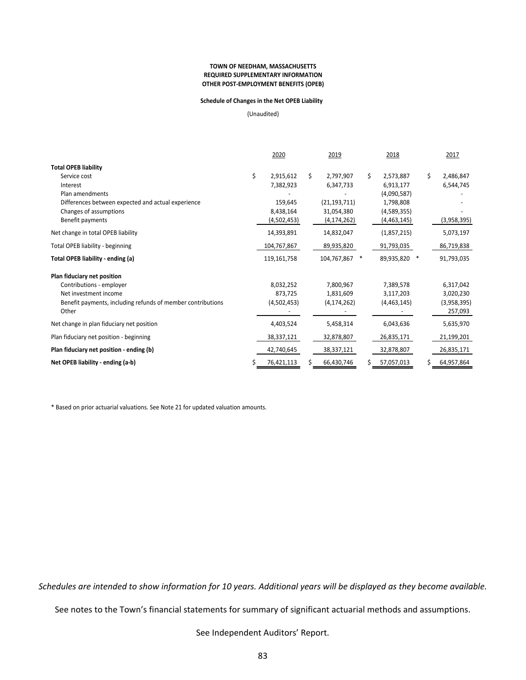#### **TOWN OF NEEDHAM, MASSACHUSETTS OTHER POST‐EMPLOYMENT BENEFITS (OPEB) REQUIRED SUPPLEMENTARY INFORMATION**

#### **Schedule of Changes in the Net OPEB Liability**

(Unaudited)

|                                                             | 2020            |    | 2019           |    | 2018        |        | 2017        |
|-------------------------------------------------------------|-----------------|----|----------------|----|-------------|--------|-------------|
| <b>Total OPEB liability</b>                                 |                 |    |                |    |             |        |             |
| Service cost                                                | \$<br>2,915,612 | Ś. | 2,797,907      | Ś. | 2,573,887   | Ś.     | 2,486,847   |
| Interest                                                    | 7,382,923       |    | 6,347,733      |    | 6,913,177   |        | 6,544,745   |
| Plan amendments                                             |                 |    |                |    | (4,090,587) |        |             |
| Differences between expected and actual experience          | 159,645         |    | (21, 193, 711) |    | 1,798,808   |        |             |
| Changes of assumptions                                      | 8,438,164       |    | 31,054,380     |    | (4,589,355) |        |             |
| Benefit payments                                            | (4,502,453)     |    | (4, 174, 262)  |    | (4,463,145) |        | (3,958,395) |
| Net change in total OPEB liability                          | 14,393,891      |    | 14,832,047     |    | (1,857,215) |        | 5,073,197   |
| <b>Total OPEB liability - beginning</b>                     | 104,767,867     |    | 89,935,820     |    | 91,793,035  |        | 86,719,838  |
| Total OPEB liability - ending (a)                           | 119,161,758     |    | 104,767,867    | ∗  | 89,935,820  | $\ast$ | 91,793,035  |
| Plan fiduciary net position                                 |                 |    |                |    |             |        |             |
| Contributions - employer                                    | 8,032,252       |    | 7,800,967      |    | 7,389,578   |        | 6,317,042   |
| Net investment income                                       | 873,725         |    | 1,831,609      |    | 3,117,203   |        | 3,020,230   |
| Benefit payments, including refunds of member contributions | (4,502,453)     |    | (4, 174, 262)  |    | (4,463,145) |        | (3,958,395) |
| Other                                                       |                 |    |                |    |             |        | 257,093     |
| Net change in plan fiduciary net position                   | 4,403,524       |    | 5,458,314      |    | 6,043,636   |        | 5,635,970   |
| Plan fiduciary net position - beginning                     | 38,337,121      |    | 32,878,807     |    | 26,835,171  |        | 21,199,201  |
| Plan fiduciary net position - ending (b)                    | 42,740,645      |    | 38,337,121     |    | 32,878,807  |        | 26,835,171  |
| Net OPEB liability - ending (a-b)                           | 76,421,113      |    | 66,430,746     | Ś. | 57,057,013  |        | 64,957,864  |

\* Based on prior actuarial valuations. See Note 21 for updated valuation amounts.

*Schedules are intended to show information for 10 years. Additional years will be displayed as they become available.* 

See notes to the Town's financial statements for summary of significant actuarial methods and assumptions.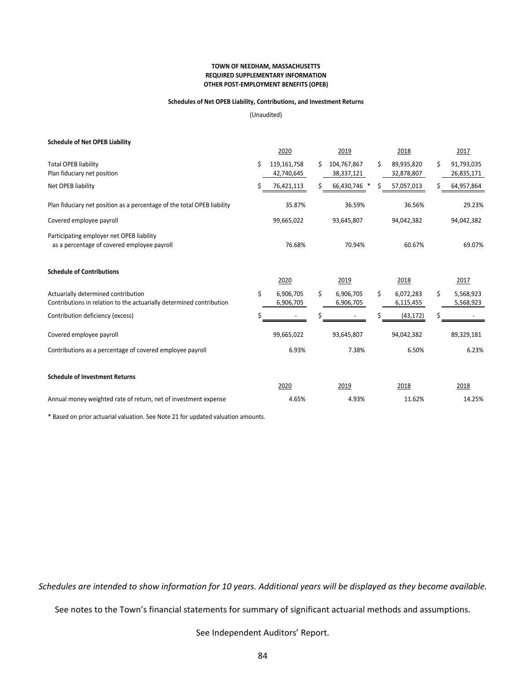#### **TOWN OF NEEDHAM, MASSACHUSETTS OTHER POST‐EMPLOYMENT BENEFITS (OPEB) REQUIRED SUPPLEMENTARY INFORMATION**

#### **Schedules of Net OPEB Liability, Contributions, and Investment Returns**

(Unaudited)

| <b>Schedule of Net OPEB Liability</b>                                                                       |    |                           |    |                           |        |                          |        |                          |
|-------------------------------------------------------------------------------------------------------------|----|---------------------------|----|---------------------------|--------|--------------------------|--------|--------------------------|
|                                                                                                             |    | 2020                      |    | 2019                      |        | 2018                     |        | 2017                     |
| <b>Total OPEB liability</b><br>Plan fiduciary net position                                                  | \$ | 119,161,758<br>42,740,645 | Ś. | 104,767,867<br>38,337,121 | Ś.     | 89,935,820<br>32,878,807 | Ś.     | 91,793,035<br>26,835,171 |
| Net OPEB liability                                                                                          | \$ | 76,421,113                |    | 66,430,746 *              |        | 57,057,013               |        | 64,957,864               |
| Plan fiduciary net position as a percentage of the total OPEB liability                                     |    | 35.87%                    |    | 36.59%                    |        | 36.56%                   |        | 29.23%                   |
| Covered employee payroll                                                                                    |    | 99,665,022                |    | 93,645,807                |        | 94,042,382               |        | 94,042,382               |
| Participating employer net OPEB liability<br>as a percentage of covered employee payroll                    |    | 76.68%<br>70.94%          |    |                           | 60.67% |                          | 69.07% |                          |
| <b>Schedule of Contributions</b>                                                                            |    | 2020                      |    | 2019                      |        | 2018                     |        | 2017                     |
| Actuarially determined contribution<br>Contributions in relation to the actuarially determined contribution | \$ | 6,906,705<br>6,906,705    | \$ | 6,906,705<br>6,906,705    | \$     | 6,072,283<br>6,115,455   | \$     | 5,568,923<br>5,568,923   |
| Contribution deficiency (excess)                                                                            | Ś  |                           |    |                           |        | (43, 172)                |        |                          |
| Covered employee payroll                                                                                    |    | 99,665,022                |    | 93,645,807                |        | 94,042,382               |        | 89,329,181               |
| Contributions as a percentage of covered employee payroll                                                   |    | 6.93%                     |    | 7.38%                     | 6.50%  |                          |        | 6.23%                    |
| <b>Schedule of Investment Returns</b>                                                                       |    |                           |    |                           |        |                          |        |                          |
|                                                                                                             |    | 2020                      |    | 2019                      |        | 2018                     |        | 2018                     |
| Annual money weighted rate of return, net of investment expense                                             |    | 4.65%                     |    | 4.93%                     |        | 11.62%                   |        | 14.25%                   |

\* Based on prior actuarial valuation. See Note 21 for updated valuation amounts.

*Schedules are intended to show information for 10 years. Additional years will be displayed as they become available.* 

See notes to the Town's financial statements for summary of significant actuarial methods and assumptions.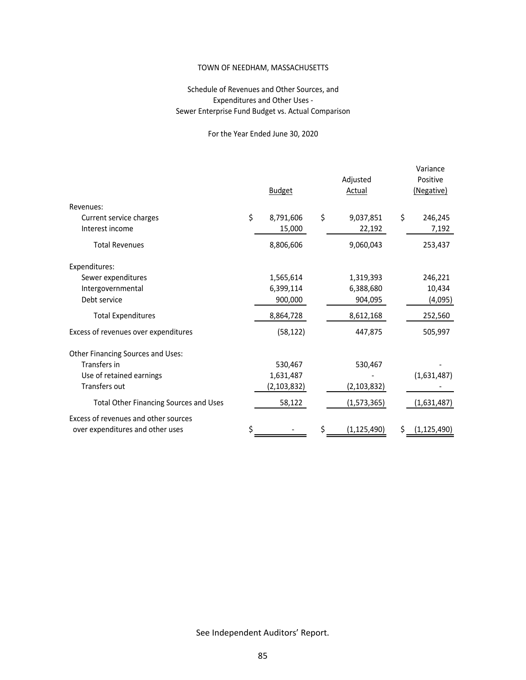### TOWN OF NEEDHAM, MASSACHUSETTS

## Schedule of Revenues and Other Sources, and Expenditures and Other Uses ‐ Sewer Enterprise Fund Budget vs. Actual Comparison

# For the Year Ended June 30, 2020

|                                               |    | <b>Budget</b> | Adjusted<br><b>Actual</b> | Variance<br>Positive<br>(Negative) |               |  |
|-----------------------------------------------|----|---------------|---------------------------|------------------------------------|---------------|--|
| Revenues:                                     |    |               |                           |                                    |               |  |
| Current service charges                       | \$ | 8,791,606     | \$<br>9,037,851           | \$                                 | 246,245       |  |
| Interest income                               |    | 15,000        | 22,192                    |                                    | 7,192         |  |
| <b>Total Revenues</b>                         |    | 8,806,606     | 9,060,043                 |                                    | 253,437       |  |
| Expenditures:                                 |    |               |                           |                                    |               |  |
| Sewer expenditures                            |    | 1,565,614     | 1,319,393                 |                                    | 246,221       |  |
| Intergovernmental                             |    | 6,399,114     | 6,388,680                 |                                    | 10,434        |  |
| Debt service                                  |    | 900,000       | 904,095                   |                                    | (4,095)       |  |
| <b>Total Expenditures</b>                     |    | 8,864,728     | 8,612,168                 |                                    | 252,560       |  |
| Excess of revenues over expenditures          |    | (58, 122)     | 447,875                   |                                    | 505,997       |  |
| Other Financing Sources and Uses:             |    |               |                           |                                    |               |  |
| Transfers in                                  |    | 530,467       | 530,467                   |                                    |               |  |
| Use of retained earnings                      |    | 1,631,487     |                           |                                    | (1,631,487)   |  |
| Transfers out                                 |    | (2, 103, 832) | (2, 103, 832)             |                                    |               |  |
| <b>Total Other Financing Sources and Uses</b> |    | 58,122        | (1,573,365)               |                                    | (1,631,487)   |  |
| Excess of revenues and other sources          |    |               |                           |                                    |               |  |
| over expenditures and other uses              |    |               | (1, 125, 490)             | \$                                 | (1, 125, 490) |  |